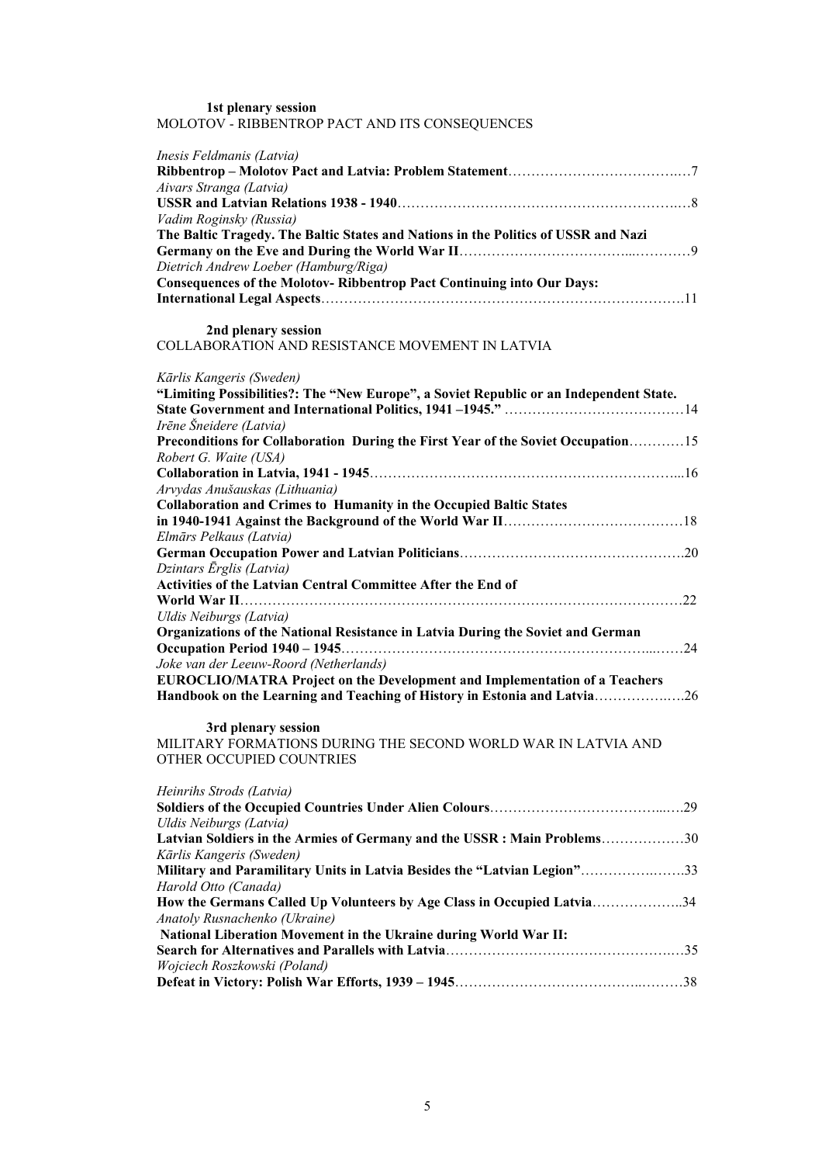| 1st plenary session<br>MOLOTOV - RIBBENTROP PACT AND ITS CONSEQUENCES                                              |
|--------------------------------------------------------------------------------------------------------------------|
| Inesis Feldmanis (Latvia)                                                                                          |
| Aivars Stranga (Latvia)                                                                                            |
| Vadim Roginsky (Russia)                                                                                            |
| The Baltic Tragedy. The Baltic States and Nations in the Politics of USSR and Nazi                                 |
|                                                                                                                    |
| Dietrich Andrew Loeber (Hamburg/Riga)                                                                              |
| Consequences of the Molotov-Ribbentrop Pact Continuing into Our Days:                                              |
|                                                                                                                    |
| 2nd plenary session                                                                                                |
| COLLABORATION AND RESISTANCE MOVEMENT IN LATVIA                                                                    |
| Kārlis Kangeris (Sweden)<br>"Limiting Possibilities?: The "New Europe", a Soviet Republic or an Independent State. |
| Irēne Šneidere (Latvia)                                                                                            |
| Preconditions for Collaboration During the First Year of the Soviet Occupation15                                   |
| Robert G. Waite (USA)                                                                                              |
|                                                                                                                    |
| Arvydas Anušauskas (Lithuania)<br><b>Collaboration and Crimes to Humanity in the Occupied Baltic States</b>        |
|                                                                                                                    |
| Elmārs Pelkaus (Latvia)                                                                                            |
|                                                                                                                    |
| Dzintars Ērglis (Latvia)                                                                                           |
| Activities of the Latvian Central Committee After the End of                                                       |
|                                                                                                                    |
| Uldis Neiburgs (Latvia)                                                                                            |
| Organizations of the National Resistance in Latvia During the Soviet and German                                    |
| Joke van der Leeuw-Roord (Netherlands)                                                                             |
| <b>EUROCLIO/MATRA Project on the Development and Implementation of a Teachers</b>                                  |
| Handbook on the Learning and Teaching of History in Estonia and Latvia26                                           |
| 3rd plenary session                                                                                                |
| MILITARY FORMATIONS DURING THE SECOND WORLD WAR IN LATVIA AND                                                      |
| OTHER OCCUPIED COUNTRIES                                                                                           |
| Heinrihs Strods (Latvia)                                                                                           |
|                                                                                                                    |
| Uldis Neiburgs (Latvia)                                                                                            |
| Latvian Soldiers in the Armies of Germany and the USSR : Main Problems30                                           |
| Kārlis Kangeris (Sweden)                                                                                           |
| Military and Paramilitary Units in Latvia Besides the "Latvian Legion"33                                           |
| Harold Otto (Canada)                                                                                               |
| How the Germans Called Up Volunteers by Age Class in Occupied Latvia34                                             |
| Anatoly Rusnachenko (Ukraine)                                                                                      |
| National Liberation Movement in the Ukraine during World War II:                                                   |
| Wojciech Roszkowski (Poland)                                                                                       |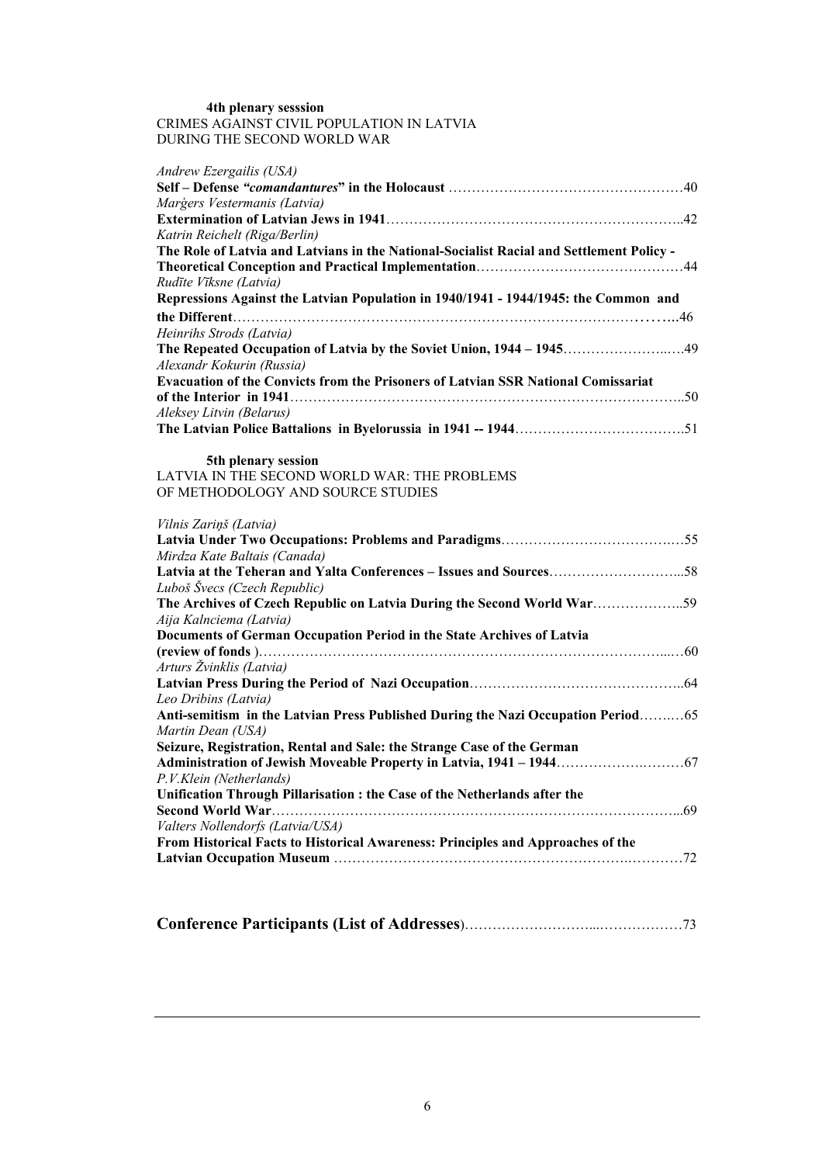#### **4th plenary sesssion**  CRIMES AGAINST CIVIL POPULATION IN LATVIA DURING THE SECOND WORLD WAR

| Andrew Ezergailis (USA)                                                                  |  |
|------------------------------------------------------------------------------------------|--|
|                                                                                          |  |
| Marģers Vestermanis (Latvia)                                                             |  |
|                                                                                          |  |
| Katrin Reichelt (Riga/Berlin)                                                            |  |
| The Role of Latvia and Latvians in the National-Socialist Racial and Settlement Policy - |  |
| Rudīte Vīksne (Latvia)                                                                   |  |
| Repressions Against the Latvian Population in 1940/1941 - 1944/1945: the Common and      |  |
|                                                                                          |  |
| Heinrihs Strods (Latvia)                                                                 |  |
| Alexandr Kokurin (Russia)                                                                |  |
| <b>Evacuation of the Convicts from the Prisoners of Latvian SSR National Comissariat</b> |  |
|                                                                                          |  |
| Aleksey Litvin (Belarus)                                                                 |  |
|                                                                                          |  |
|                                                                                          |  |
| 5th plenary session                                                                      |  |
| LATVIA IN THE SECOND WORLD WAR: THE PROBLEMS                                             |  |
| OF METHODOLOGY AND SOURCE STUDIES                                                        |  |
| Vilnis Zariņš (Latvia)                                                                   |  |
|                                                                                          |  |
| Mirdza Kate Baltais (Canada)                                                             |  |
| Latvia at the Teheran and Yalta Conferences - Issues and Sources58                       |  |
| Luboš Švecs (Czech Republic)                                                             |  |
| The Archives of Czech Republic on Latvia During the Second World War                     |  |
| Aija Kalnciema (Latvia)                                                                  |  |
| Documents of German Occupation Period in the State Archives of Latvia                    |  |
|                                                                                          |  |
| Arturs Žvinklis (Latvia)                                                                 |  |
| Leo Dribins (Latvia)                                                                     |  |
| Anti-semitism in the Latvian Press Published During the Nazi Occupation Period65         |  |
| Martin Dean (USA)                                                                        |  |
| Seizure, Registration, Rental and Sale: the Strange Case of the German                   |  |
|                                                                                          |  |
| P.V.Klein (Netherlands)                                                                  |  |
| Unification Through Pillarisation: the Case of the Netherlands after the                 |  |
|                                                                                          |  |
| Valters Nollendorfs (Latvia/USA)                                                         |  |
| From Historical Facts to Historical Awareness: Principles and Approaches of the          |  |
|                                                                                          |  |
|                                                                                          |  |
|                                                                                          |  |

**Conference Participants (List of Addresses**)………………………...………………73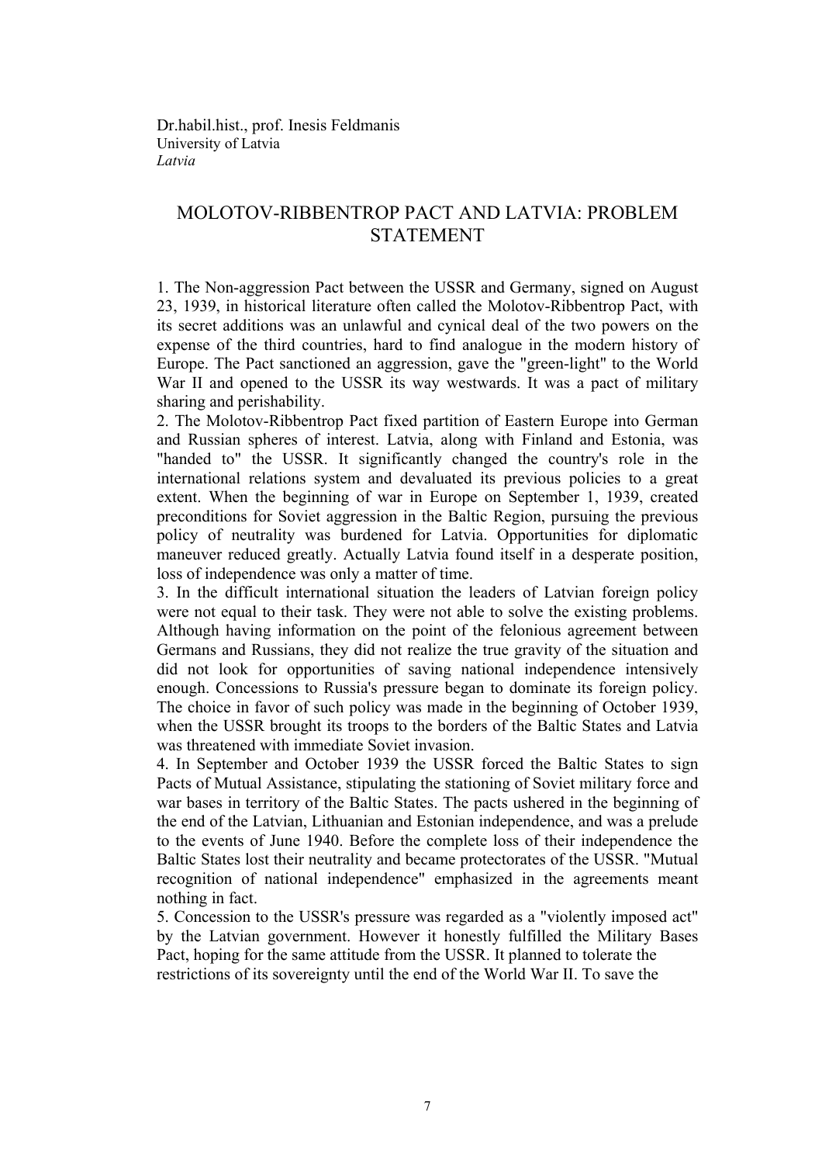Dr.habil.hist., prof. Inesis Feldmanis University of Latvia *Latvia* 

# MOLOTOV-RIBBENTROP PACT AND LATVIA: PROBLEM STATEMENT

1. The Non-aggression Pact between the USSR and Germany, signed on August 23, 1939, in historical literature often called the Molotov-Ribbentrop Pact, with its secret additions was an unlawful and cynical deal of the two powers on the expense of the third countries, hard to find analogue in the modern history of Europe. The Pact sanctioned an aggression, gave the "green-light" to the World War II and opened to the USSR its way westwards. It was a pact of military sharing and perishability.

2. The Molotov-Ribbentrop Pact fixed partition of Eastern Europe into German and Russian spheres of interest. Latvia, along with Finland and Estonia, was "handed to" the USSR. It significantly changed the country's role in the international relations system and devaluated its previous policies to a great extent. When the beginning of war in Europe on September 1, 1939, created preconditions for Soviet aggression in the Baltic Region, pursuing the previous policy of neutrality was burdened for Latvia. Opportunities for diplomatic maneuver reduced greatly. Actually Latvia found itself in a desperate position, loss of independence was only a matter of time.

3. In the difficult international situation the leaders of Latvian foreign policy were not equal to their task. They were not able to solve the existing problems. Although having information on the point of the felonious agreement between Germans and Russians, they did not realize the true gravity of the situation and did not look for opportunities of saving national independence intensively enough. Concessions to Russia's pressure began to dominate its foreign policy. The choice in favor of such policy was made in the beginning of October 1939, when the USSR brought its troops to the borders of the Baltic States and Latvia was threatened with immediate Soviet invasion.

4. In September and October 1939 the USSR forced the Baltic States to sign Pacts of Mutual Assistance, stipulating the stationing of Soviet military force and war bases in territory of the Baltic States. The pacts ushered in the beginning of the end of the Latvian, Lithuanian and Estonian independence, and was a prelude to the events of June 1940. Before the complete loss of their independence the Baltic States lost their neutrality and became protectorates of the USSR. "Mutual recognition of national independence" emphasized in the agreements meant nothing in fact.

5. Concession to the USSR's pressure was regarded as a "violently imposed act" by the Latvian government. However it honestly fulfilled the Military Bases Pact, hoping for the same attitude from the USSR. It planned to tolerate the restrictions of its sovereignty until the end of the World War II. To save the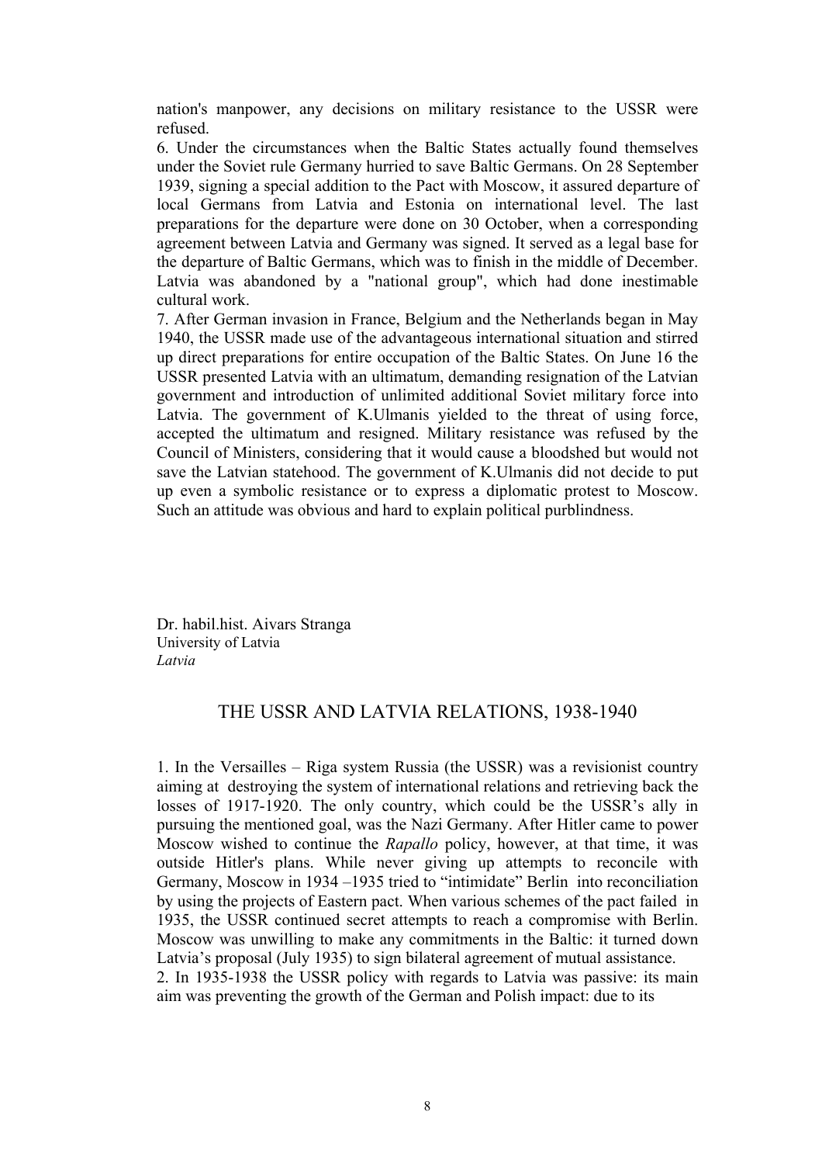nation's manpower, any decisions on military resistance to the USSR were refused.

6. Under the circumstances when the Baltic States actually found themselves under the Soviet rule Germany hurried to save Baltic Germans. On 28 September 1939, signing a special addition to the Pact with Moscow, it assured departure of local Germans from Latvia and Estonia on international level. The last preparations for the departure were done on 30 October, when a corresponding agreement between Latvia and Germany was signed. It served as a legal base for the departure of Baltic Germans, which was to finish in the middle of December. Latvia was abandoned by a "national group", which had done inestimable cultural work.

7. After German invasion in France, Belgium and the Netherlands began in May 1940, the USSR made use of the advantageous international situation and stirred up direct preparations for entire occupation of the Baltic States. On June 16 the USSR presented Latvia with an ultimatum, demanding resignation of the Latvian government and introduction of unlimited additional Soviet military force into Latvia. The government of K.Ulmanis yielded to the threat of using force, accepted the ultimatum and resigned. Military resistance was refused by the Council of Ministers, considering that it would cause a bloodshed but would not save the Latvian statehood. The government of K.Ulmanis did not decide to put up even a symbolic resistance or to express a diplomatic protest to Moscow. Such an attitude was obvious and hard to explain political purblindness.

Dr. habil.hist. Aivars Stranga University of Latvia *Latvia* 

#### THE USSR AND LATVIA RELATIONS, 1938-1940

1. In the Versailles – Riga system Russia (the USSR) was a revisionist country aiming at destroying the system of international relations and retrieving back the losses of 1917-1920. The only country, which could be the USSR's ally in pursuing the mentioned goal, was the Nazi Germany. After Hitler came to power Moscow wished to continue the *Rapallo* policy, however, at that time, it was outside Hitler's plans. While never giving up attempts to reconcile with Germany, Moscow in 1934 –1935 tried to "intimidate" Berlin into reconciliation by using the projects of Eastern pact. When various schemes of the pact failed in 1935, the USSR continued secret attempts to reach a compromise with Berlin. Moscow was unwilling to make any commitments in the Baltic: it turned down Latvia's proposal (July 1935) to sign bilateral agreement of mutual assistance. 2. In 1935-1938 the USSR policy with regards to Latvia was passive: its main aim was preventing the growth of the German and Polish impact: due to its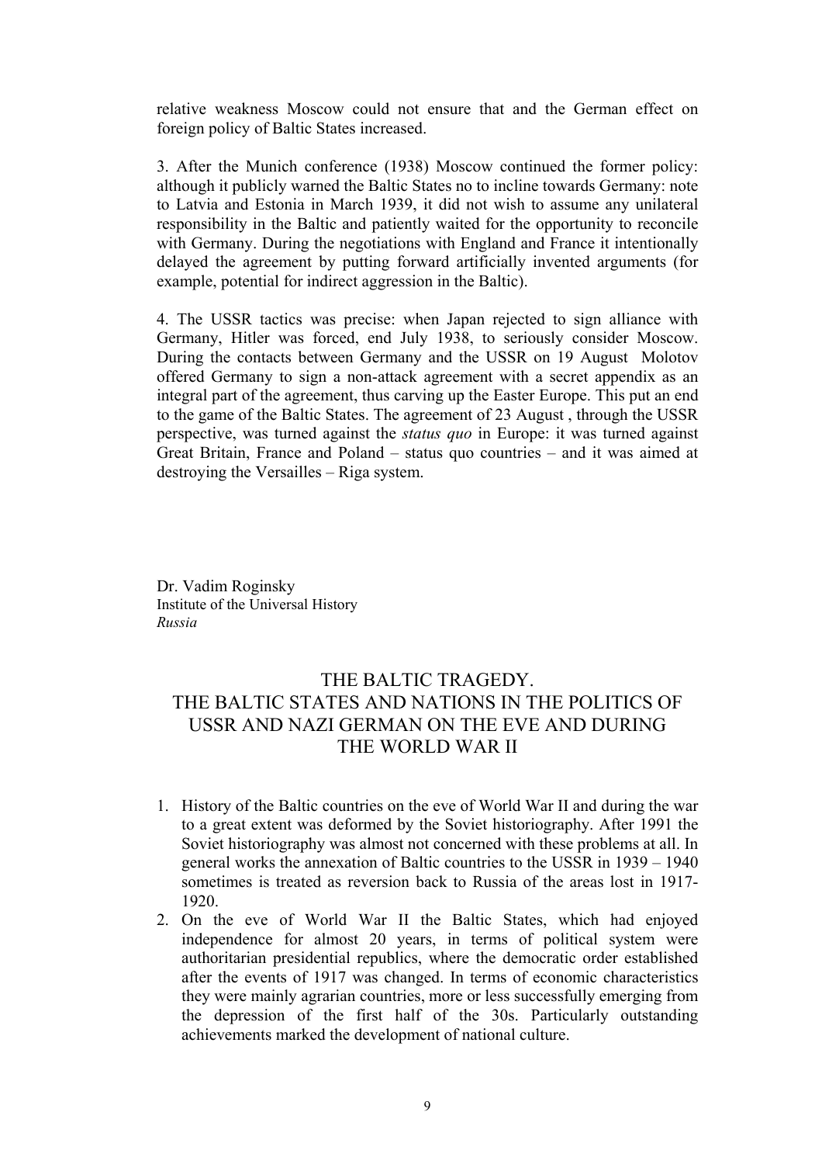relative weakness Moscow could not ensure that and the German effect on foreign policy of Baltic States increased.

3. After the Munich conference (1938) Moscow continued the former policy: although it publicly warned the Baltic States no to incline towards Germany: note to Latvia and Estonia in March 1939, it did not wish to assume any unilateral responsibility in the Baltic and patiently waited for the opportunity to reconcile with Germany. During the negotiations with England and France it intentionally delayed the agreement by putting forward artificially invented arguments (for example, potential for indirect aggression in the Baltic).

4. The USSR tactics was precise: when Japan rejected to sign alliance with Germany, Hitler was forced, end July 1938, to seriously consider Moscow. During the contacts between Germany and the USSR on 19 August Molotov offered Germany to sign a non-attack agreement with a secret appendix as an integral part of the agreement, thus carving up the Easter Europe. This put an end to the game of the Baltic States. The agreement of 23 August , through the USSR perspective, was turned against the *status quo* in Europe: it was turned against Great Britain, France and Poland – status quo countries – and it was aimed at destroying the Versailles – Riga system.

Dr. Vadim Roginsky Institute of the Universal History *Russia* 

# THE BALTIC TRAGEDY. THE BALTIC STATES AND NATIONS IN THE POLITICS OF USSR AND NAZI GERMAN ON THE EVE AND DURING THE WORLD WAR II

- 1. History of the Baltic countries on the eve of World War II and during the war to a great extent was deformed by the Soviet historiography. After 1991 the Soviet historiography was almost not concerned with these problems at all. In general works the annexation of Baltic countries to the USSR in 1939 – 1940 sometimes is treated as reversion back to Russia of the areas lost in 1917- 1920.
- 2. On the eve of World War II the Baltic States, which had enjoyed independence for almost 20 years, in terms of political system were authoritarian presidential republics, where the democratic order established after the events of 1917 was changed. In terms of economic characteristics they were mainly agrarian countries, more or less successfully emerging from the depression of the first half of the 30s. Particularly outstanding achievements marked the development of national culture.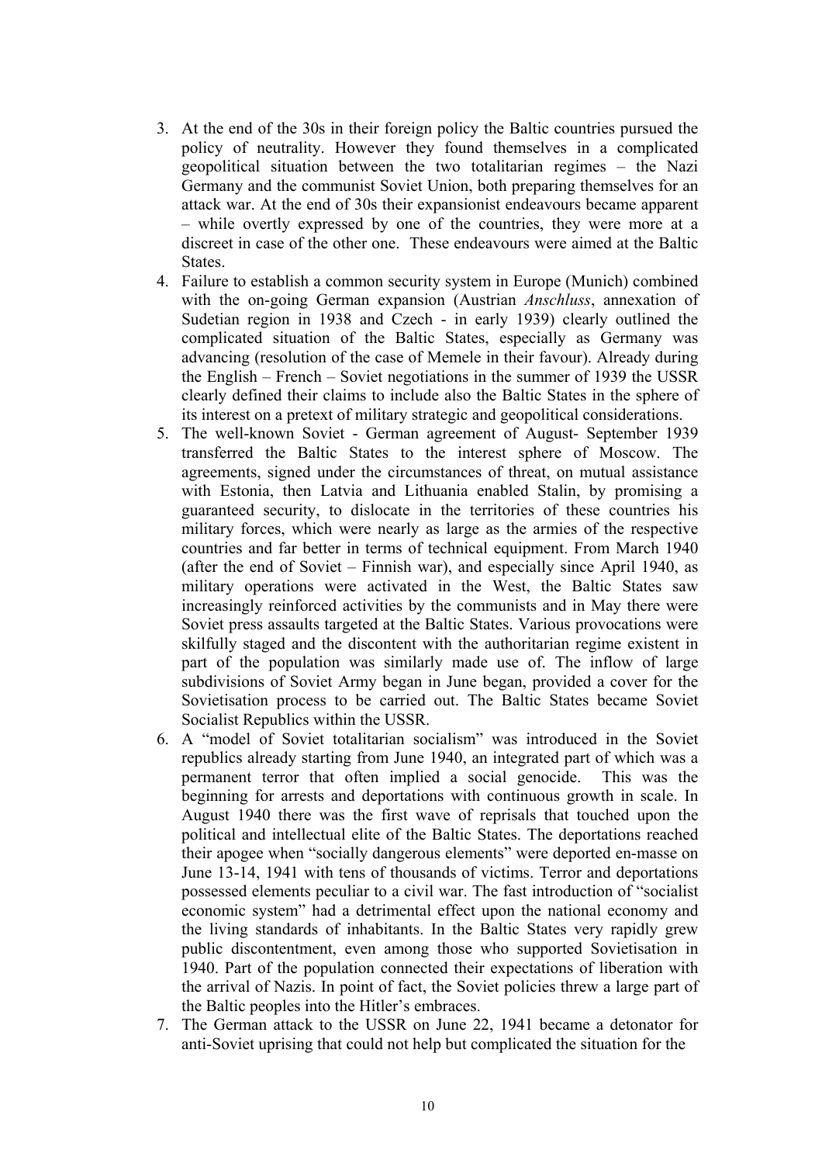- 3. At the end of the 30s in their foreign policy the Baltic countries pursued the policy of neutrality. However they found themselves in a complicated geopolitical situation between the two totalitarian regimes – the Nazi Germany and the communist Soviet Union, both preparing themselves for an attack war. At the end of 30s their expansionist endeavours became apparent – while overtly expressed by one of the countries, they were more at a discreet in case of the other one. These endeavours were aimed at the Baltic **States**
- 4. Failure to establish a common security system in Europe (Munich) combined with the on-going German expansion (Austrian *Anschluss*, annexation of Sudetian region in 1938 and Czech - in early 1939) clearly outlined the complicated situation of the Baltic States, especially as Germany was advancing (resolution of the case of Memele in their favour). Already during the English – French – Soviet negotiations in the summer of 1939 the USSR clearly defined their claims to include also the Baltic States in the sphere of its interest on a pretext of military strategic and geopolitical considerations.
- 5. The well-known Soviet German agreement of August- September 1939 transferred the Baltic States to the interest sphere of Moscow. The agreements, signed under the circumstances of threat, on mutual assistance with Estonia, then Latvia and Lithuania enabled Stalin, by promising a guaranteed security, to dislocate in the territories of these countries his military forces, which were nearly as large as the armies of the respective countries and far better in terms of technical equipment. From March 1940 (after the end of Soviet – Finnish war), and especially since April 1940, as military operations were activated in the West, the Baltic States saw increasingly reinforced activities by the communists and in May there were Soviet press assaults targeted at the Baltic States. Various provocations were skilfully staged and the discontent with the authoritarian regime existent in part of the population was similarly made use of. The inflow of large subdivisions of Soviet Army began in June began, provided a cover for the Sovietisation process to be carried out. The Baltic States became Soviet Socialist Republics within the USSR.
- 6. A "model of Soviet totalitarian socialism" was introduced in the Soviet republics already starting from June 1940, an integrated part of which was a permanent terror that often implied a social genocide. This was the beginning for arrests and deportations with continuous growth in scale. In August 1940 there was the first wave of reprisals that touched upon the political and intellectual elite of the Baltic States. The deportations reached their apogee when "socially dangerous elements" were deported en-masse on June 13-14, 1941 with tens of thousands of victims. Terror and deportations possessed elements peculiar to a civil war. The fast introduction of "socialist economic system" had a detrimental effect upon the national economy and the living standards of inhabitants. In the Baltic States very rapidly grew public discontentment, even among those who supported Sovietisation in 1940. Part of the population connected their expectations of liberation with the arrival of Nazis. In point of fact, the Soviet policies threw a large part of the Baltic peoples into the Hitler's embraces.
- 7. The German attack to the USSR on June 22, 1941 became a detonator for anti-Soviet uprising that could not help but complicated the situation for the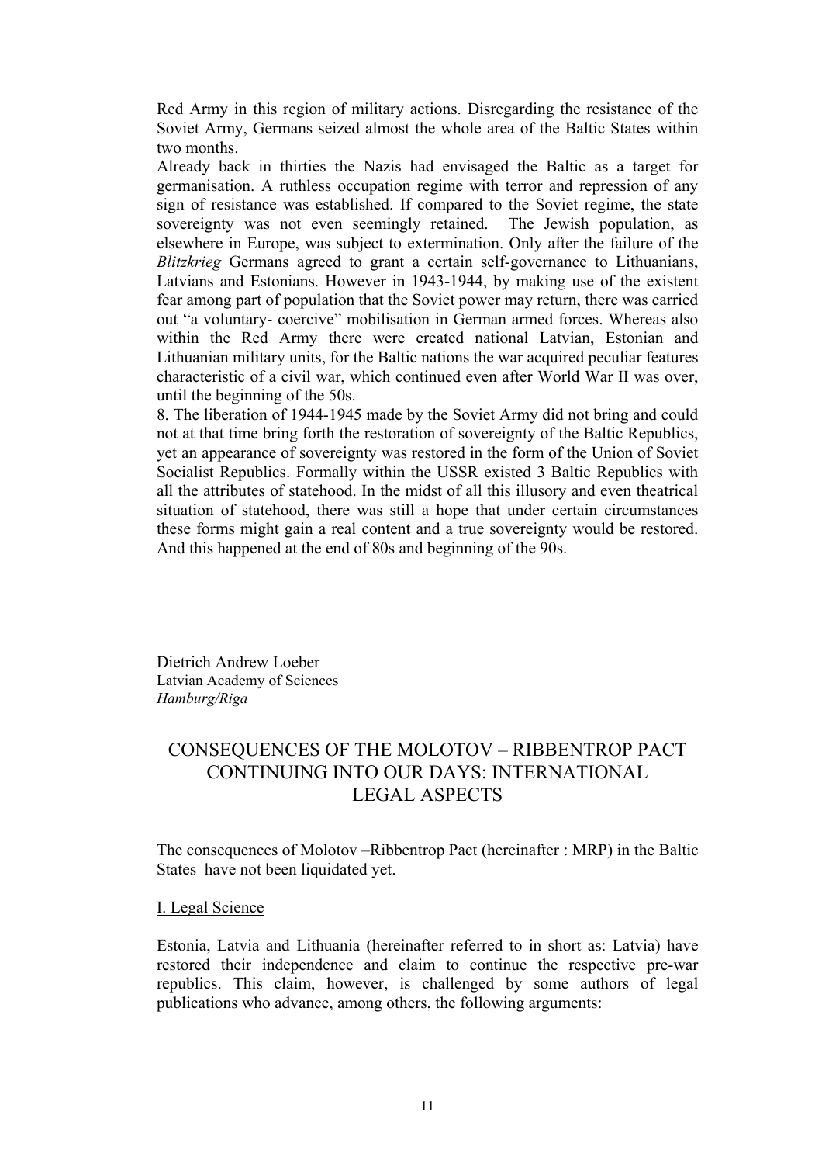Red Army in this region of military actions. Disregarding the resistance of the Soviet Army, Germans seized almost the whole area of the Baltic States within two months.

Already back in thirties the Nazis had envisaged the Baltic as a target for germanisation. A ruthless occupation regime with terror and repression of any sign of resistance was established. If compared to the Soviet regime, the state sovereignty was not even seemingly retained. The Jewish population, as elsewhere in Europe, was subject to extermination. Only after the failure of the *Blitzkrieg* Germans agreed to grant a certain self-governance to Lithuanians, Latvians and Estonians. However in 1943-1944, by making use of the existent fear among part of population that the Soviet power may return, there was carried out "a voluntary- coercive" mobilisation in German armed forces. Whereas also within the Red Army there were created national Latvian, Estonian and Lithuanian military units, for the Baltic nations the war acquired peculiar features characteristic of a civil war, which continued even after World War II was over, until the beginning of the 50s.

8. The liberation of 1944-1945 made by the Soviet Army did not bring and could not at that time bring forth the restoration of sovereignty of the Baltic Republics, yet an appearance of sovereignty was restored in the form of the Union of Soviet Socialist Republics. Formally within the USSR existed 3 Baltic Republics with all the attributes of statehood. In the midst of all this illusory and even theatrical situation of statehood, there was still a hope that under certain circumstances these forms might gain a real content and a true sovereignty would be restored. And this happened at the end of 80s and beginning of the 90s.

Dietrich Andrew Loeber Latvian Academy of Sciences *Hamburg/Riga* 

# CONSEQUENCES OF THE MOLOTOV – RIBBENTROP PACT CONTINUING INTO OUR DAYS: INTERNATIONAL LEGAL ASPECTS

The consequences of Molotov –Ribbentrop Pact (hereinafter : MRP) in the Baltic States have not been liquidated yet.

#### I. Legal Science

Estonia, Latvia and Lithuania (hereinafter referred to in short as: Latvia) have restored their independence and claim to continue the respective pre-war republics. This claim, however, is challenged by some authors of legal publications who advance, among others, the following arguments: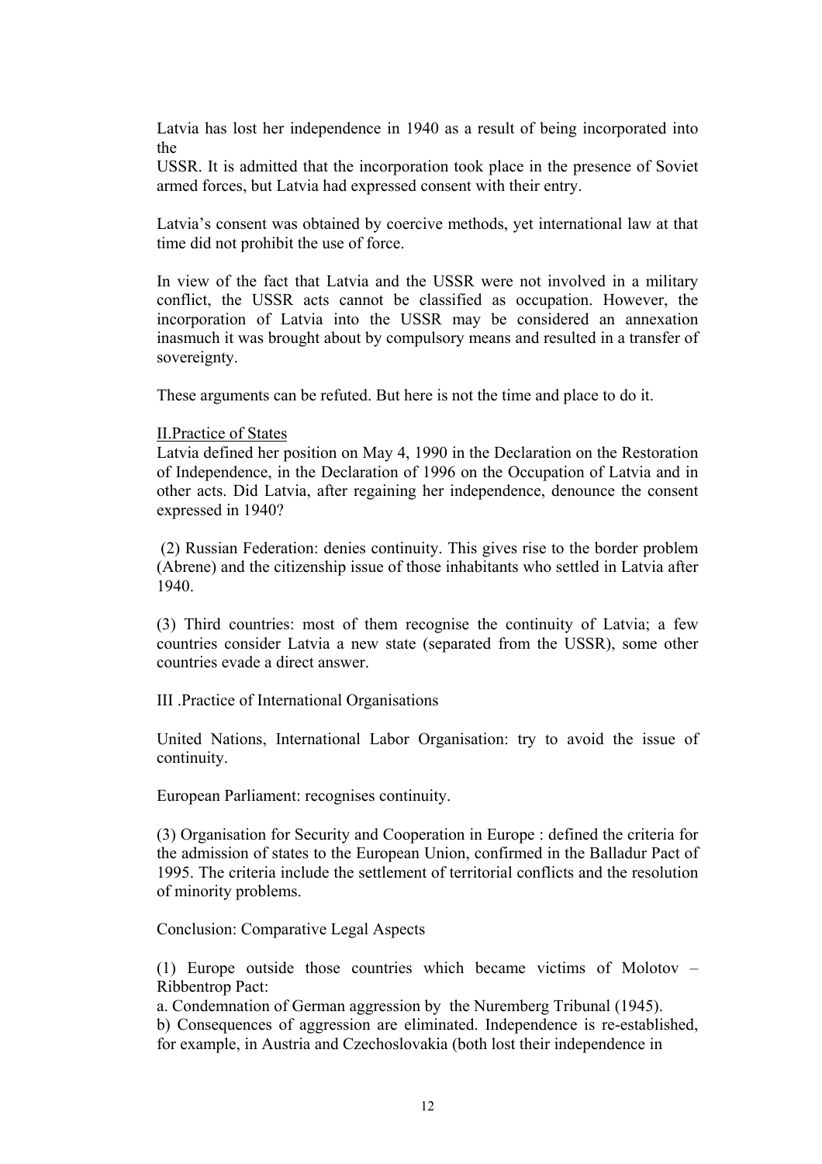Latvia has lost her independence in 1940 as a result of being incorporated into the

USSR. It is admitted that the incorporation took place in the presence of Soviet armed forces, but Latvia had expressed consent with their entry.

Latvia's consent was obtained by coercive methods, yet international law at that time did not prohibit the use of force.

In view of the fact that Latvia and the USSR were not involved in a military conflict, the USSR acts cannot be classified as occupation. However, the incorporation of Latvia into the USSR may be considered an annexation inasmuch it was brought about by compulsory means and resulted in a transfer of sovereignty.

These arguments can be refuted. But here is not the time and place to do it.

#### II.Practice of States

Latvia defined her position on May 4, 1990 in the Declaration on the Restoration of Independence, in the Declaration of 1996 on the Occupation of Latvia and in other acts. Did Latvia, after regaining her independence, denounce the consent expressed in 1940?

 (2) Russian Federation: denies continuity. This gives rise to the border problem (Abrene) and the citizenship issue of those inhabitants who settled in Latvia after 1940.

(3) Third countries: most of them recognise the continuity of Latvia; a few countries consider Latvia a new state (separated from the USSR), some other countries evade a direct answer.

III .Practice of International Organisations

United Nations, International Labor Organisation: try to avoid the issue of continuity.

European Parliament: recognises continuity.

(3) Organisation for Security and Cooperation in Europe : defined the criteria for the admission of states to the European Union, confirmed in the Balladur Pact of 1995. The criteria include the settlement of territorial conflicts and the resolution of minority problems.

Conclusion: Comparative Legal Aspects

(1) Europe outside those countries which became victims of Molotov – Ribbentrop Pact:

a. Condemnation of German aggression by the Nuremberg Tribunal (1945). b) Consequences of aggression are eliminated. Independence is re-established, for example, in Austria and Czechoslovakia (both lost their independence in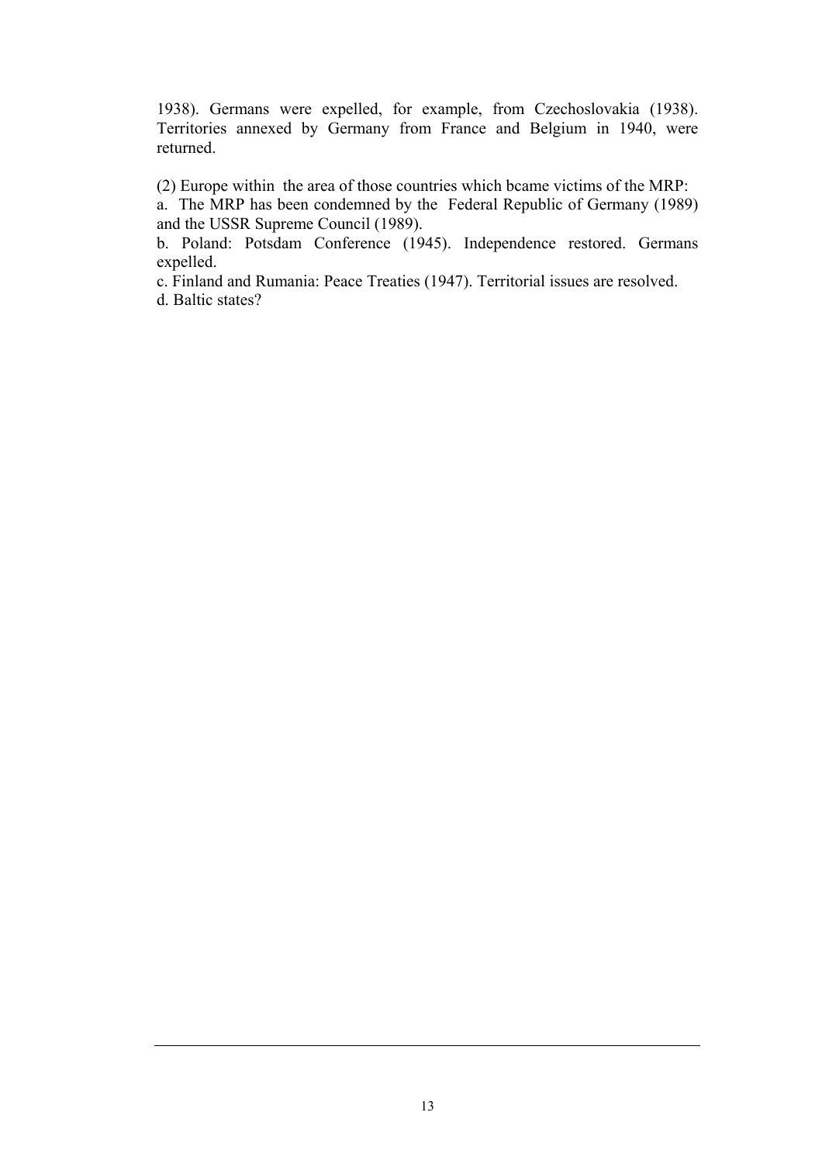1938). Germans were expelled, for example, from Czechoslovakia (1938). Territories annexed by Germany from France and Belgium in 1940, were returned.

(2) Europe within the area of those countries which bcame victims of the MRP:

a. The MRP has been condemned by the Federal Republic of Germany (1989) and the USSR Supreme Council (1989).

b. Poland: Potsdam Conference (1945). Independence restored. Germans expelled.

c. Finland and Rumania: Peace Treaties (1947). Territorial issues are resolved.

d. Baltic states?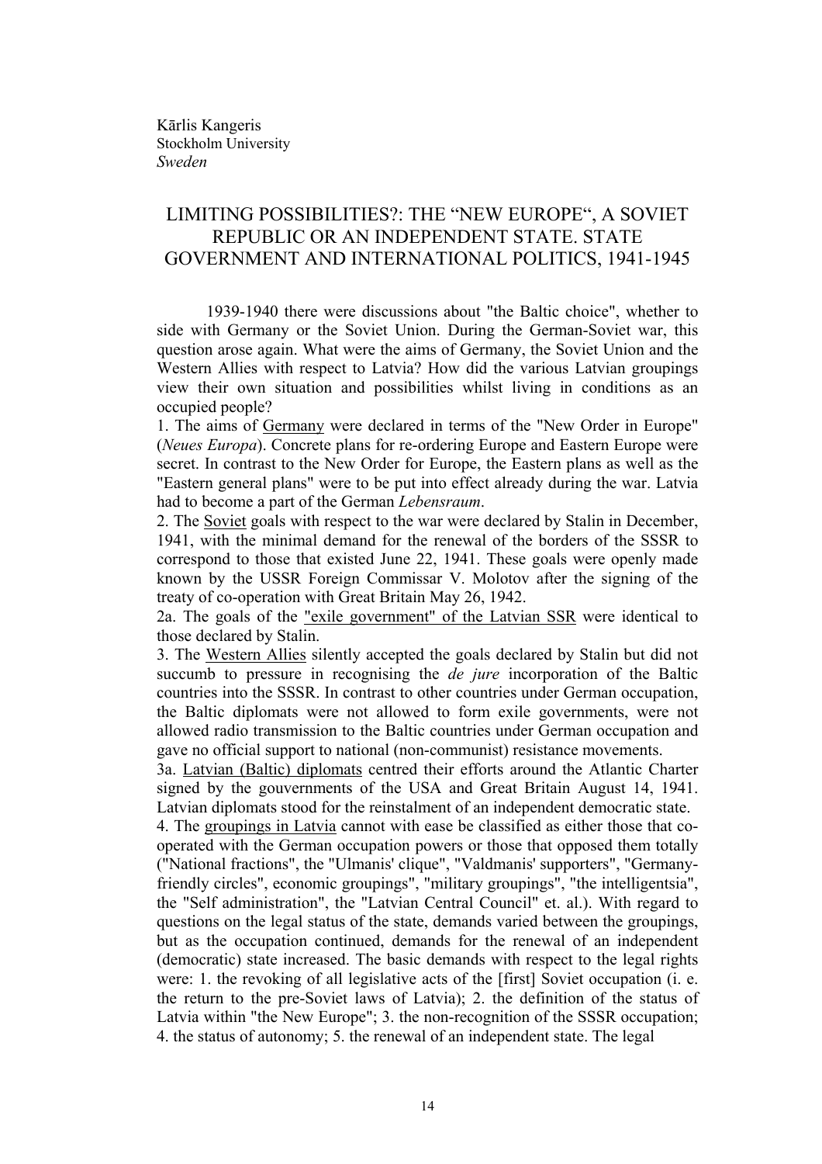# LIMITING POSSIBILITIES?: THE "NEW EUROPE", A SOVIET REPUBLIC OR AN INDEPENDENT STATE. STATE GOVERNMENT AND INTERNATIONAL POLITICS, 1941-1945

1939-1940 there were discussions about "the Baltic choice", whether to side with Germany or the Soviet Union. During the German-Soviet war, this question arose again. What were the aims of Germany, the Soviet Union and the Western Allies with respect to Latvia? How did the various Latvian groupings view their own situation and possibilities whilst living in conditions as an occupied people?

1. The aims of Germany were declared in terms of the "New Order in Europe" (*Neues Europa*). Concrete plans for re-ordering Europe and Eastern Europe were secret. In contrast to the New Order for Europe, the Eastern plans as well as the "Eastern general plans" were to be put into effect already during the war. Latvia had to become a part of the German *Lebensraum*.

2. The Soviet goals with respect to the war were declared by Stalin in December, 1941, with the minimal demand for the renewal of the borders of the SSSR to correspond to those that existed June 22, 1941. These goals were openly made known by the USSR Foreign Commissar V. Molotov after the signing of the treaty of co-operation with Great Britain May 26, 1942.

2a. The goals of the "exile government" of the Latvian SSR were identical to those declared by Stalin.

3. The Western Allies silently accepted the goals declared by Stalin but did not succumb to pressure in recognising the *de jure* incorporation of the Baltic countries into the SSSR. In contrast to other countries under German occupation, the Baltic diplomats were not allowed to form exile governments, were not allowed radio transmission to the Baltic countries under German occupation and gave no official support to national (non-communist) resistance movements.

3a. Latvian (Baltic) diplomats centred their efforts around the Atlantic Charter signed by the gouvernments of the USA and Great Britain August 14, 1941. Latvian diplomats stood for the reinstalment of an independent democratic state.

4. The groupings in Latvia cannot with ease be classified as either those that cooperated with the German occupation powers or those that opposed them totally ("National fractions", the "Ulmanis' clique", "Valdmanis' supporters", "Germanyfriendly circles", economic groupings", "military groupings", "the intelligentsia", the "Self administration", the "Latvian Central Council" et. al.). With regard to questions on the legal status of the state, demands varied between the groupings, but as the occupation continued, demands for the renewal of an independent (democratic) state increased. The basic demands with respect to the legal rights were: 1. the revoking of all legislative acts of the [first] Soviet occupation (i. e. the return to the pre-Soviet laws of Latvia); 2. the definition of the status of Latvia within "the New Europe"; 3. the non-recognition of the SSSR occupation; 4. the status of autonomy; 5. the renewal of an independent state. The legal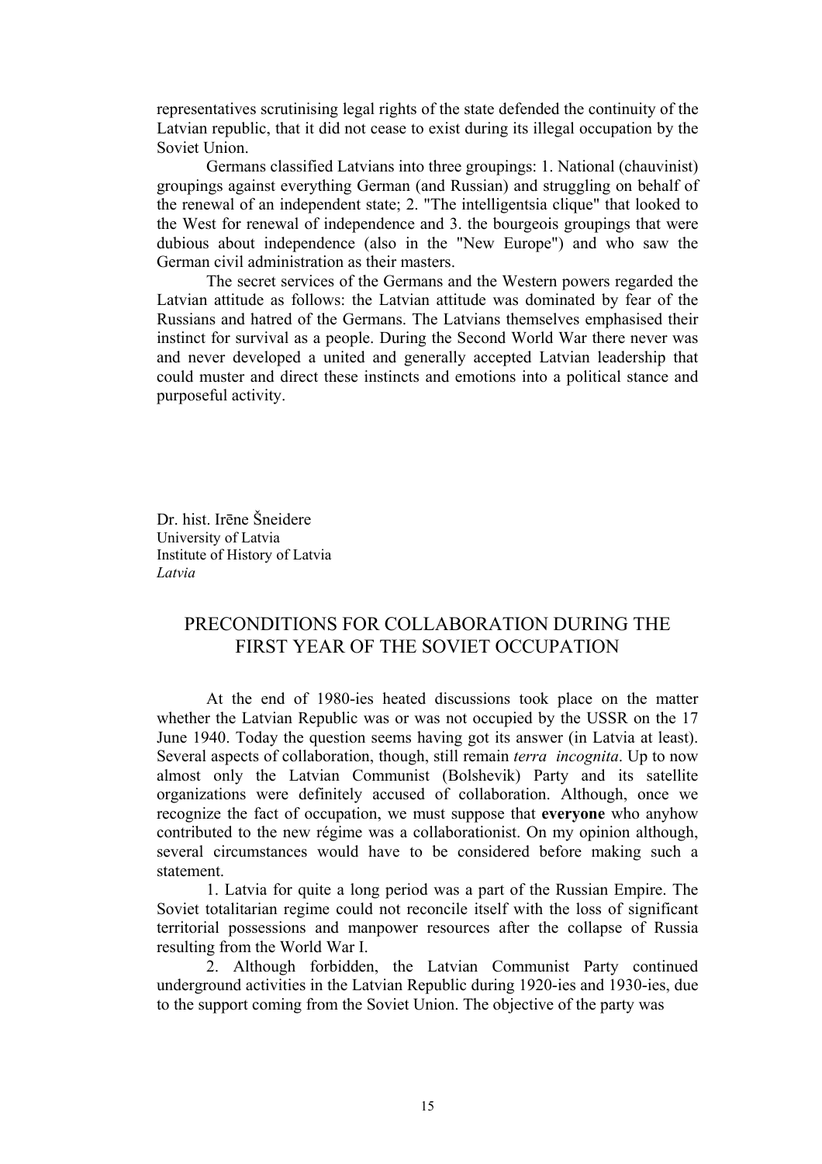representatives scrutinising legal rights of the state defended the continuity of the Latvian republic, that it did not cease to exist during its illegal occupation by the Soviet Union.

 Germans classified Latvians into three groupings: 1. National (chauvinist) groupings against everything German (and Russian) and struggling on behalf of the renewal of an independent state; 2. "The intelligentsia clique" that looked to the West for renewal of independence and 3. the bourgeois groupings that were dubious about independence (also in the "New Europe") and who saw the German civil administration as their masters.

 The secret services of the Germans and the Western powers regarded the Latvian attitude as follows: the Latvian attitude was dominated by fear of the Russians and hatred of the Germans. The Latvians themselves emphasised their instinct for survival as a people. During the Second World War there never was and never developed a united and generally accepted Latvian leadership that could muster and direct these instincts and emotions into a political stance and purposeful activity.

Dr. hist. Irēne Šneidere University of Latvia Institute of History of Latvia *Latvia* 

### PRECONDITIONS FOR COLLABORATION DURING THE FIRST YEAR OF THE SOVIET OCCUPATION

 At the end of 1980-ies heated discussions took place on the matter whether the Latvian Republic was or was not occupied by the USSR on the 17 June 1940. Today the question seems having got its answer (in Latvia at least). Several aspects of collaboration, though, still remain *terra incognita*. Up to now almost only the Latvian Communist (Bolshevik) Party and its satellite organizations were definitely accused of collaboration. Although, once we recognize the fact of occupation, we must suppose that **everyone** who anyhow contributed to the new régime was a collaborationist. On my opinion although, several circumstances would have to be considered before making such a statement.

1. Latvia for quite a long period was a part of the Russian Empire. The Soviet totalitarian regime could not reconcile itself with the loss of significant territorial possessions and manpower resources after the collapse of Russia resulting from the World War I.

2. Although forbidden, the Latvian Communist Party continued underground activities in the Latvian Republic during 1920-ies and 1930-ies, due to the support coming from the Soviet Union. The objective of the party was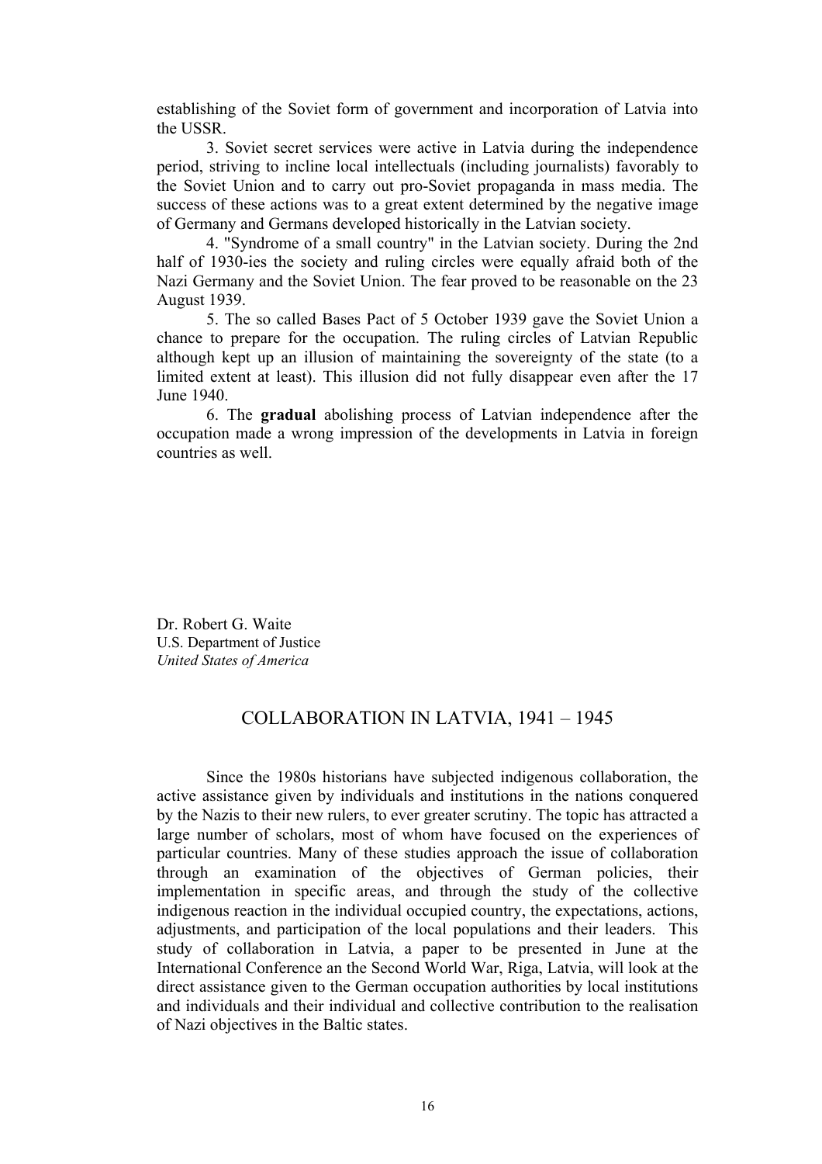establishing of the Soviet form of government and incorporation of Latvia into the USSR.

 3. Soviet secret services were active in Latvia during the independence period, striving to incline local intellectuals (including journalists) favorably to the Soviet Union and to carry out pro-Soviet propaganda in mass media. The success of these actions was to a great extent determined by the negative image of Germany and Germans developed historically in the Latvian society.

 4. "Syndrome of a small country" in the Latvian society. During the 2nd half of 1930-ies the society and ruling circles were equally afraid both of the Nazi Germany and the Soviet Union. The fear proved to be reasonable on the 23 August 1939.

 5. The so called Bases Pact of 5 October 1939 gave the Soviet Union a chance to prepare for the occupation. The ruling circles of Latvian Republic although kept up an illusion of maintaining the sovereignty of the state (to a limited extent at least). This illusion did not fully disappear even after the 17 June 1940.

 6. The **gradual** abolishing process of Latvian independence after the occupation made a wrong impression of the developments in Latvia in foreign countries as well.

Dr. Robert G. Waite U.S. Department of Justice *United States of America* 

### COLLABORATION IN LATVIA, 1941 – 1945

 Since the 1980s historians have subjected indigenous collaboration, the active assistance given by individuals and institutions in the nations conquered by the Nazis to their new rulers, to ever greater scrutiny. The topic has attracted a large number of scholars, most of whom have focused on the experiences of particular countries. Many of these studies approach the issue of collaboration through an examination of the objectives of German policies, their implementation in specific areas, and through the study of the collective indigenous reaction in the individual occupied country, the expectations, actions, adjustments, and participation of the local populations and their leaders. This study of collaboration in Latvia, a paper to be presented in June at the International Conference an the Second World War, Riga, Latvia, will look at the direct assistance given to the German occupation authorities by local institutions and individuals and their individual and collective contribution to the realisation of Nazi objectives in the Baltic states.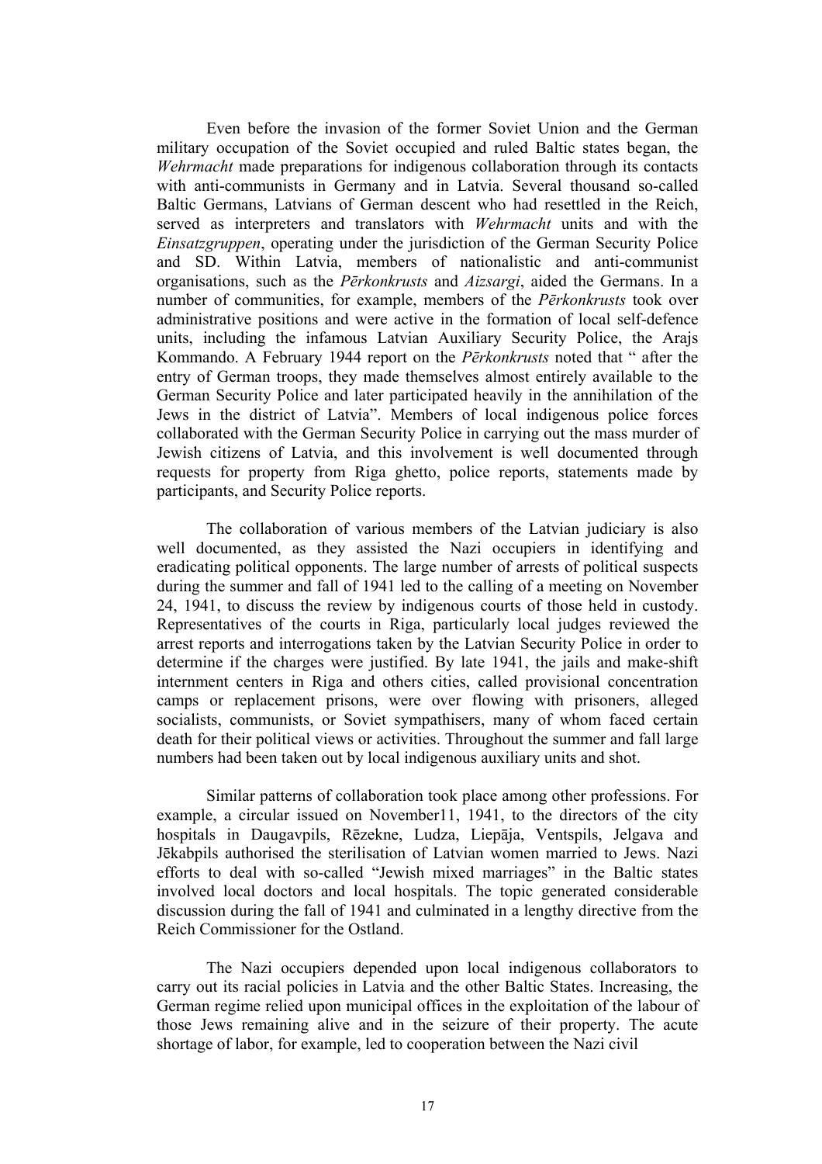Even before the invasion of the former Soviet Union and the German military occupation of the Soviet occupied and ruled Baltic states began, the *Wehrmacht* made preparations for indigenous collaboration through its contacts with anti-communists in Germany and in Latvia. Several thousand so-called Baltic Germans, Latvians of German descent who had resettled in the Reich, served as interpreters and translators with *Wehrmacht* units and with the *Einsatzgruppen*, operating under the jurisdiction of the German Security Police and SD. Within Latvia, members of nationalistic and anti-communist organisations, such as the *Pērkonkrusts* and *Aizsargi*, aided the Germans. In a number of communities, for example, members of the *Pērkonkrusts* took over administrative positions and were active in the formation of local self-defence units, including the infamous Latvian Auxiliary Security Police, the Arajs Kommando. A February 1944 report on the *Pērkonkrusts* noted that " after the entry of German troops, they made themselves almost entirely available to the German Security Police and later participated heavily in the annihilation of the Jews in the district of Latvia". Members of local indigenous police forces collaborated with the German Security Police in carrying out the mass murder of Jewish citizens of Latvia, and this involvement is well documented through requests for property from Riga ghetto, police reports, statements made by participants, and Security Police reports.

 The collaboration of various members of the Latvian judiciary is also well documented, as they assisted the Nazi occupiers in identifying and eradicating political opponents. The large number of arrests of political suspects during the summer and fall of 1941 led to the calling of a meeting on November 24, 1941, to discuss the review by indigenous courts of those held in custody. Representatives of the courts in Riga, particularly local judges reviewed the arrest reports and interrogations taken by the Latvian Security Police in order to determine if the charges were justified. By late 1941, the jails and make-shift internment centers in Riga and others cities, called provisional concentration camps or replacement prisons, were over flowing with prisoners, alleged socialists, communists, or Soviet sympathisers, many of whom faced certain death for their political views or activities. Throughout the summer and fall large numbers had been taken out by local indigenous auxiliary units and shot.

 Similar patterns of collaboration took place among other professions. For example, a circular issued on November11, 1941, to the directors of the city hospitals in Daugavpils, Rēzekne, Ludza, Liepāja, Ventspils, Jelgava and Jēkabpils authorised the sterilisation of Latvian women married to Jews. Nazi efforts to deal with so-called "Jewish mixed marriages" in the Baltic states involved local doctors and local hospitals. The topic generated considerable discussion during the fall of 1941 and culminated in a lengthy directive from the Reich Commissioner for the Ostland.

 The Nazi occupiers depended upon local indigenous collaborators to carry out its racial policies in Latvia and the other Baltic States. Increasing, the German regime relied upon municipal offices in the exploitation of the labour of those Jews remaining alive and in the seizure of their property. The acute shortage of labor, for example, led to cooperation between the Nazi civil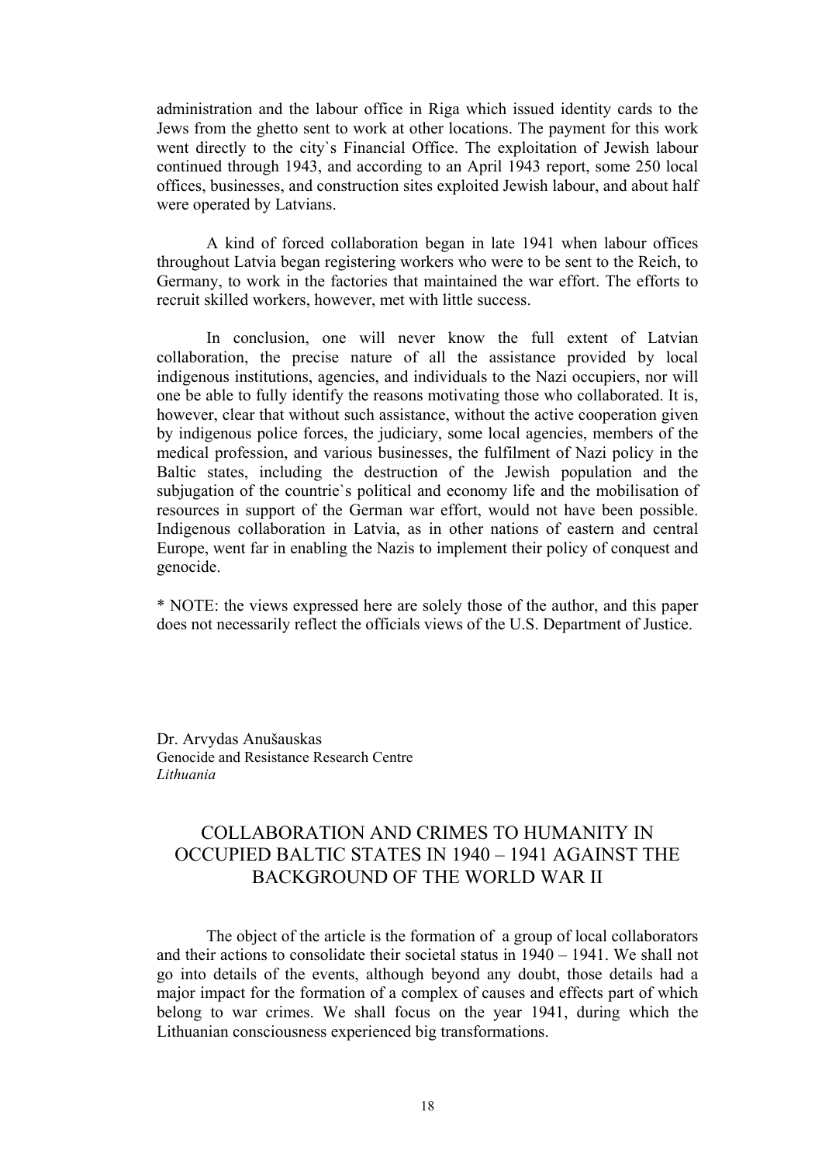administration and the labour office in Riga which issued identity cards to the Jews from the ghetto sent to work at other locations. The payment for this work went directly to the city`s Financial Office. The exploitation of Jewish labour continued through 1943, and according to an April 1943 report, some 250 local offices, businesses, and construction sites exploited Jewish labour, and about half were operated by Latvians.

 A kind of forced collaboration began in late 1941 when labour offices throughout Latvia began registering workers who were to be sent to the Reich, to Germany, to work in the factories that maintained the war effort. The efforts to recruit skilled workers, however, met with little success.

 In conclusion, one will never know the full extent of Latvian collaboration, the precise nature of all the assistance provided by local indigenous institutions, agencies, and individuals to the Nazi occupiers, nor will one be able to fully identify the reasons motivating those who collaborated. It is, however, clear that without such assistance, without the active cooperation given by indigenous police forces, the judiciary, some local agencies, members of the medical profession, and various businesses, the fulfilment of Nazi policy in the Baltic states, including the destruction of the Jewish population and the subjugation of the countrie`s political and economy life and the mobilisation of resources in support of the German war effort, would not have been possible. Indigenous collaboration in Latvia, as in other nations of eastern and central Europe, went far in enabling the Nazis to implement their policy of conquest and genocide.

\* NOTE: the views expressed here are solely those of the author, and this paper does not necessarily reflect the officials views of the U.S. Department of Justice.

Dr. Arvydas Anušauskas Genocide and Resistance Research Centre *Lithuania* 

# COLLABORATION AND CRIMES TO HUMANITY IN OCCUPIED BALTIC STATES IN 1940 – 1941 AGAINST THE BACKGROUND OF THE WORLD WAR II

The object of the article is the formation of a group of local collaborators and their actions to consolidate their societal status in 1940 – 1941. We shall not go into details of the events, although beyond any doubt, those details had a major impact for the formation of a complex of causes and effects part of which belong to war crimes. We shall focus on the year 1941, during which the Lithuanian consciousness experienced big transformations.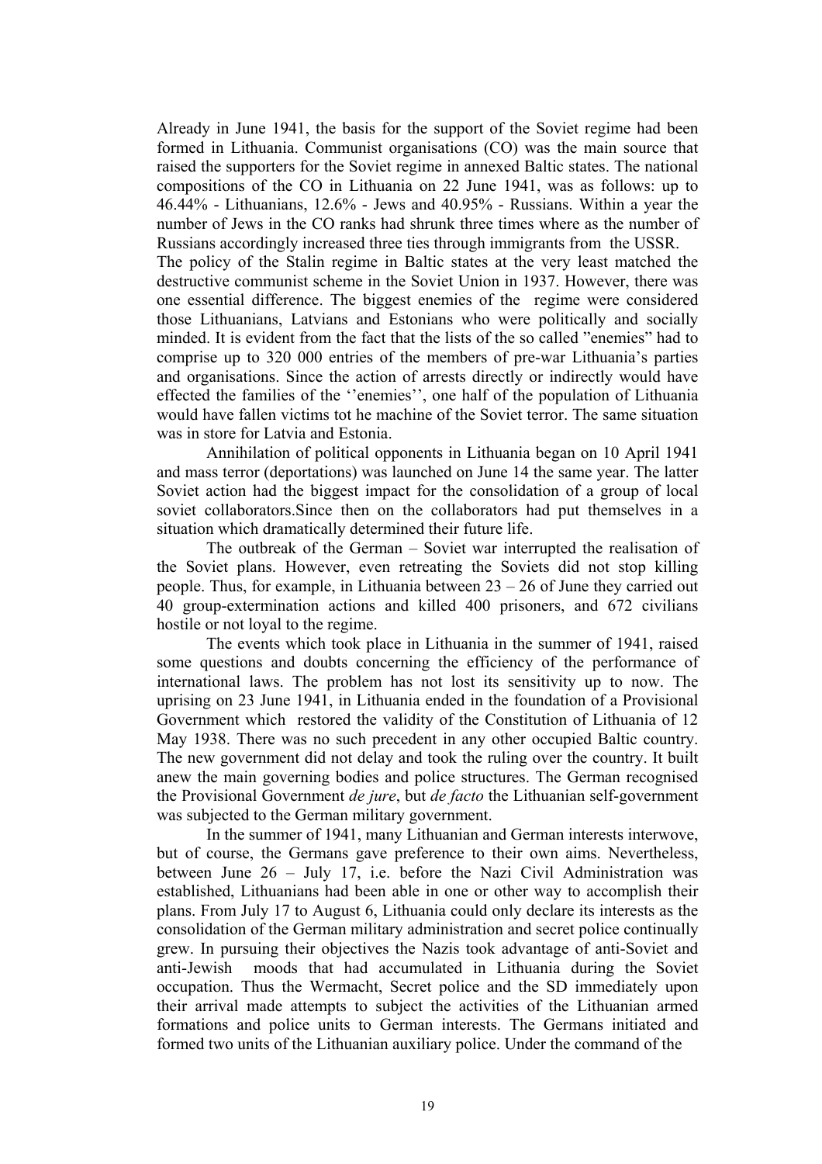Already in June 1941, the basis for the support of the Soviet regime had been formed in Lithuania. Communist organisations (CO) was the main source that raised the supporters for the Soviet regime in annexed Baltic states. The national compositions of the CO in Lithuania on 22 June 1941, was as follows: up to 46.44% - Lithuanians, 12.6% - Jews and 40.95% - Russians. Within a year the number of Jews in the CO ranks had shrunk three times where as the number of Russians accordingly increased three ties through immigrants from the USSR.

The policy of the Stalin regime in Baltic states at the very least matched the destructive communist scheme in the Soviet Union in 1937. However, there was one essential difference. The biggest enemies of the regime were considered those Lithuanians, Latvians and Estonians who were politically and socially minded. It is evident from the fact that the lists of the so called "enemies" had to comprise up to 320 000 entries of the members of pre-war Lithuania's parties and organisations. Since the action of arrests directly or indirectly would have effected the families of the ''enemies'', one half of the population of Lithuania would have fallen victims tot he machine of the Soviet terror. The same situation was in store for Latvia and Estonia.

Annihilation of political opponents in Lithuania began on 10 April 1941 and mass terror (deportations) was launched on June 14 the same year. The latter Soviet action had the biggest impact for the consolidation of a group of local soviet collaborators.Since then on the collaborators had put themselves in a situation which dramatically determined their future life.

The outbreak of the German – Soviet war interrupted the realisation of the Soviet plans. However, even retreating the Soviets did not stop killing people. Thus, for example, in Lithuania between 23 – 26 of June they carried out 40 group-extermination actions and killed 400 prisoners, and 672 civilians hostile or not loyal to the regime.

The events which took place in Lithuania in the summer of 1941, raised some questions and doubts concerning the efficiency of the performance of international laws. The problem has not lost its sensitivity up to now. The uprising on 23 June 1941, in Lithuania ended in the foundation of a Provisional Government which restored the validity of the Constitution of Lithuania of 12 May 1938. There was no such precedent in any other occupied Baltic country. The new government did not delay and took the ruling over the country. It built anew the main governing bodies and police structures. The German recognised the Provisional Government *de jure*, but *de facto* the Lithuanian self-government was subjected to the German military government.

In the summer of 1941, many Lithuanian and German interests interwove, but of course, the Germans gave preference to their own aims. Nevertheless, between June 26 – July 17, i.e. before the Nazi Civil Administration was established, Lithuanians had been able in one or other way to accomplish their plans. From July 17 to August 6, Lithuania could only declare its interests as the consolidation of the German military administration and secret police continually grew. In pursuing their objectives the Nazis took advantage of anti-Soviet and anti-Jewish moods that had accumulated in Lithuania during the Soviet occupation. Thus the Wermacht, Secret police and the SD immediately upon their arrival made attempts to subject the activities of the Lithuanian armed formations and police units to German interests. The Germans initiated and formed two units of the Lithuanian auxiliary police. Under the command of the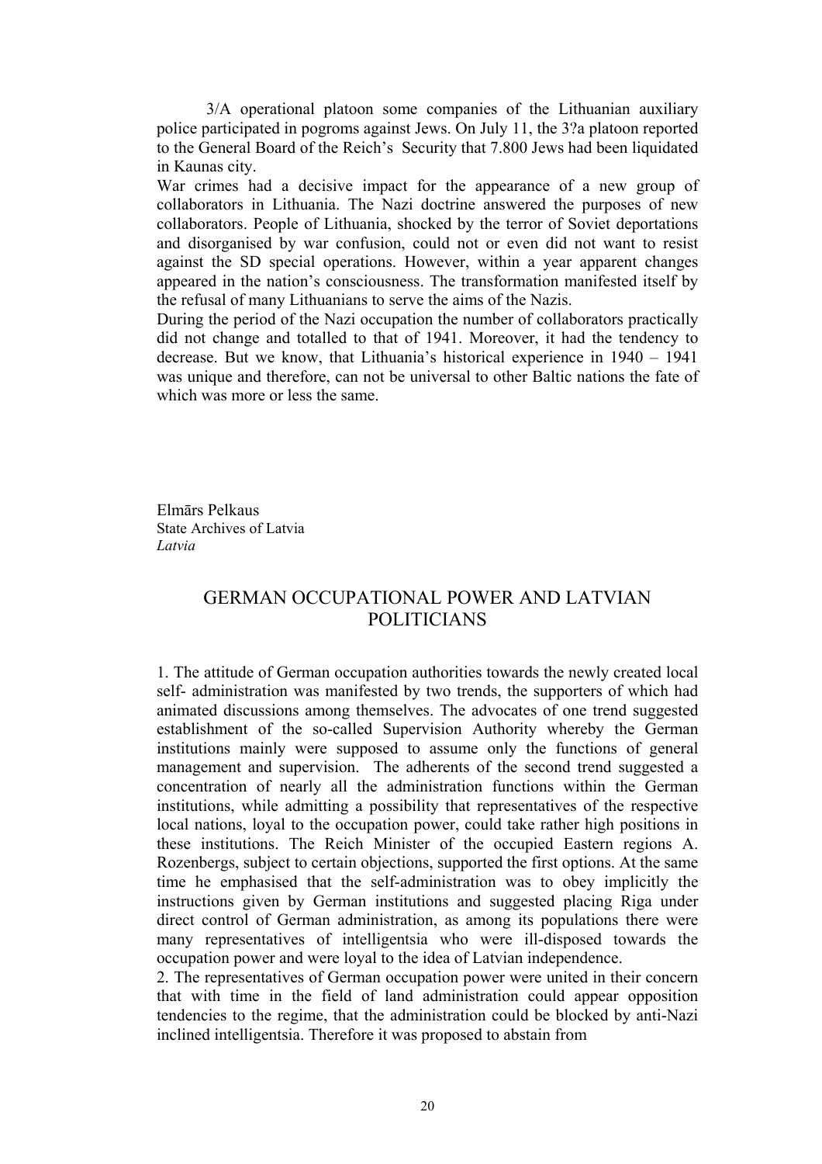3/A operational platoon some companies of the Lithuanian auxiliary police participated in pogroms against Jews. On July 11, the 3?a platoon reported to the General Board of the Reich's Security that 7.800 Jews had been liquidated in Kaunas city.

War crimes had a decisive impact for the appearance of a new group of collaborators in Lithuania. The Nazi doctrine answered the purposes of new collaborators. People of Lithuania, shocked by the terror of Soviet deportations and disorganised by war confusion, could not or even did not want to resist against the SD special operations. However, within a year apparent changes appeared in the nation's consciousness. The transformation manifested itself by the refusal of many Lithuanians to serve the aims of the Nazis.

During the period of the Nazi occupation the number of collaborators practically did not change and totalled to that of 1941. Moreover, it had the tendency to decrease. But we know, that Lithuania's historical experience in 1940 – 1941 was unique and therefore, can not be universal to other Baltic nations the fate of which was more or less the same.

Elmārs Pelkaus State Archives of Latvia *Latvia* 

## GERMAN OCCUPATIONAL POWER AND LATVIAN POLITICIANS

1. The attitude of German occupation authorities towards the newly created local self- administration was manifested by two trends, the supporters of which had animated discussions among themselves. The advocates of one trend suggested establishment of the so-called Supervision Authority whereby the German institutions mainly were supposed to assume only the functions of general management and supervision. The adherents of the second trend suggested a concentration of nearly all the administration functions within the German institutions, while admitting a possibility that representatives of the respective local nations, loyal to the occupation power, could take rather high positions in these institutions. The Reich Minister of the occupied Eastern regions A. Rozenbergs, subject to certain objections, supported the first options. At the same time he emphasised that the self-administration was to obey implicitly the instructions given by German institutions and suggested placing Riga under direct control of German administration, as among its populations there were many representatives of intelligentsia who were ill-disposed towards the occupation power and were loyal to the idea of Latvian independence.

2. The representatives of German occupation power were united in their concern that with time in the field of land administration could appear opposition tendencies to the regime, that the administration could be blocked by anti-Nazi inclined intelligentsia. Therefore it was proposed to abstain from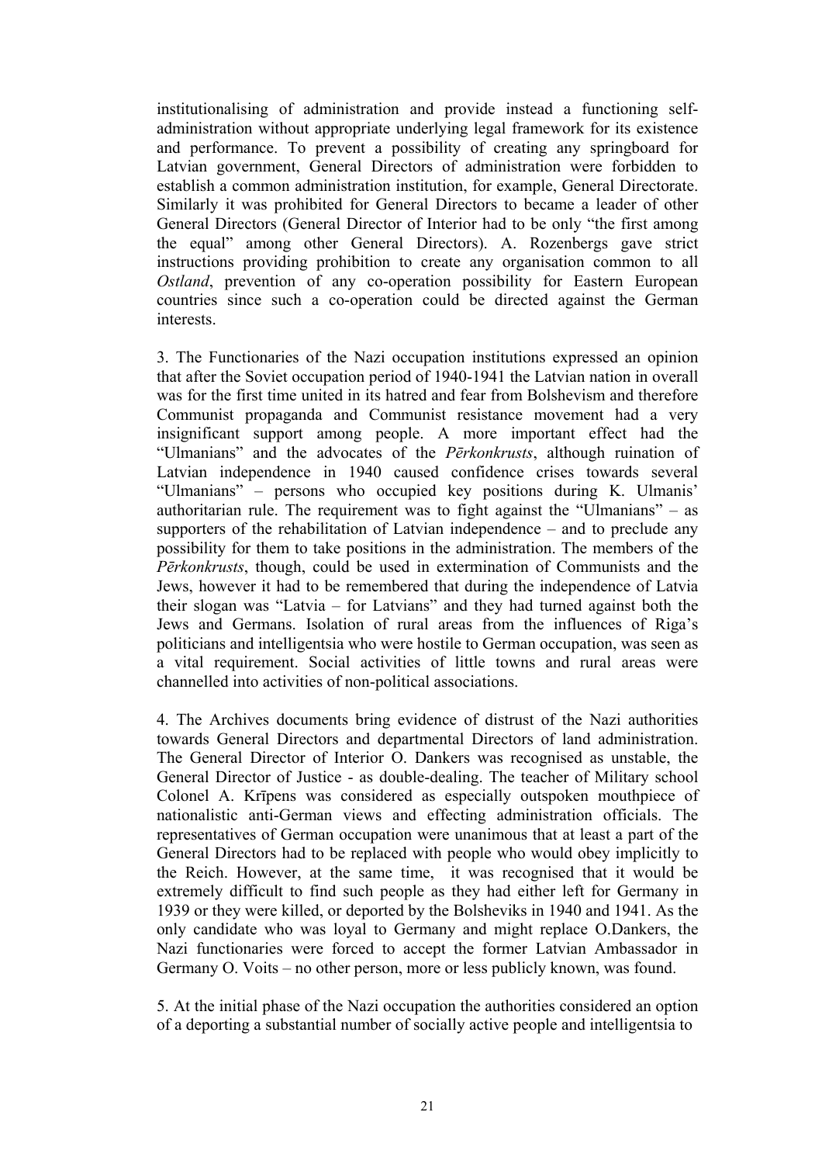institutionalising of administration and provide instead a functioning selfadministration without appropriate underlying legal framework for its existence and performance. To prevent a possibility of creating any springboard for Latvian government, General Directors of administration were forbidden to establish a common administration institution, for example, General Directorate. Similarly it was prohibited for General Directors to became a leader of other General Directors (General Director of Interior had to be only "the first among the equal" among other General Directors). A. Rozenbergs gave strict instructions providing prohibition to create any organisation common to all *Ostland*, prevention of any co-operation possibility for Eastern European countries since such a co-operation could be directed against the German interests.

3. The Functionaries of the Nazi occupation institutions expressed an opinion that after the Soviet occupation period of 1940-1941 the Latvian nation in overall was for the first time united in its hatred and fear from Bolshevism and therefore Communist propaganda and Communist resistance movement had a very insignificant support among people. A more important effect had the "Ulmanians" and the advocates of the *Pērkonkrusts*, although ruination of Latvian independence in 1940 caused confidence crises towards several "Ulmanians" – persons who occupied key positions during K. Ulmanis' authoritarian rule. The requirement was to fight against the "Ulmanians" – as supporters of the rehabilitation of Latvian independence – and to preclude any possibility for them to take positions in the administration. The members of the *Pērkonkrusts*, though, could be used in extermination of Communists and the Jews, however it had to be remembered that during the independence of Latvia their slogan was "Latvia – for Latvians" and they had turned against both the Jews and Germans. Isolation of rural areas from the influences of Riga's politicians and intelligentsia who were hostile to German occupation, was seen as a vital requirement. Social activities of little towns and rural areas were channelled into activities of non-political associations.

4. The Archives documents bring evidence of distrust of the Nazi authorities towards General Directors and departmental Directors of land administration. The General Director of Interior O. Dankers was recognised as unstable, the General Director of Justice - as double-dealing. The teacher of Military school Colonel A. Krīpens was considered as especially outspoken mouthpiece of nationalistic anti-German views and effecting administration officials. The representatives of German occupation were unanimous that at least a part of the General Directors had to be replaced with people who would obey implicitly to the Reich. However, at the same time, it was recognised that it would be extremely difficult to find such people as they had either left for Germany in 1939 or they were killed, or deported by the Bolsheviks in 1940 and 1941. As the only candidate who was loyal to Germany and might replace O.Dankers, the Nazi functionaries were forced to accept the former Latvian Ambassador in Germany O. Voits – no other person, more or less publicly known, was found.

5. At the initial phase of the Nazi occupation the authorities considered an option of a deporting a substantial number of socially active people and intelligentsia to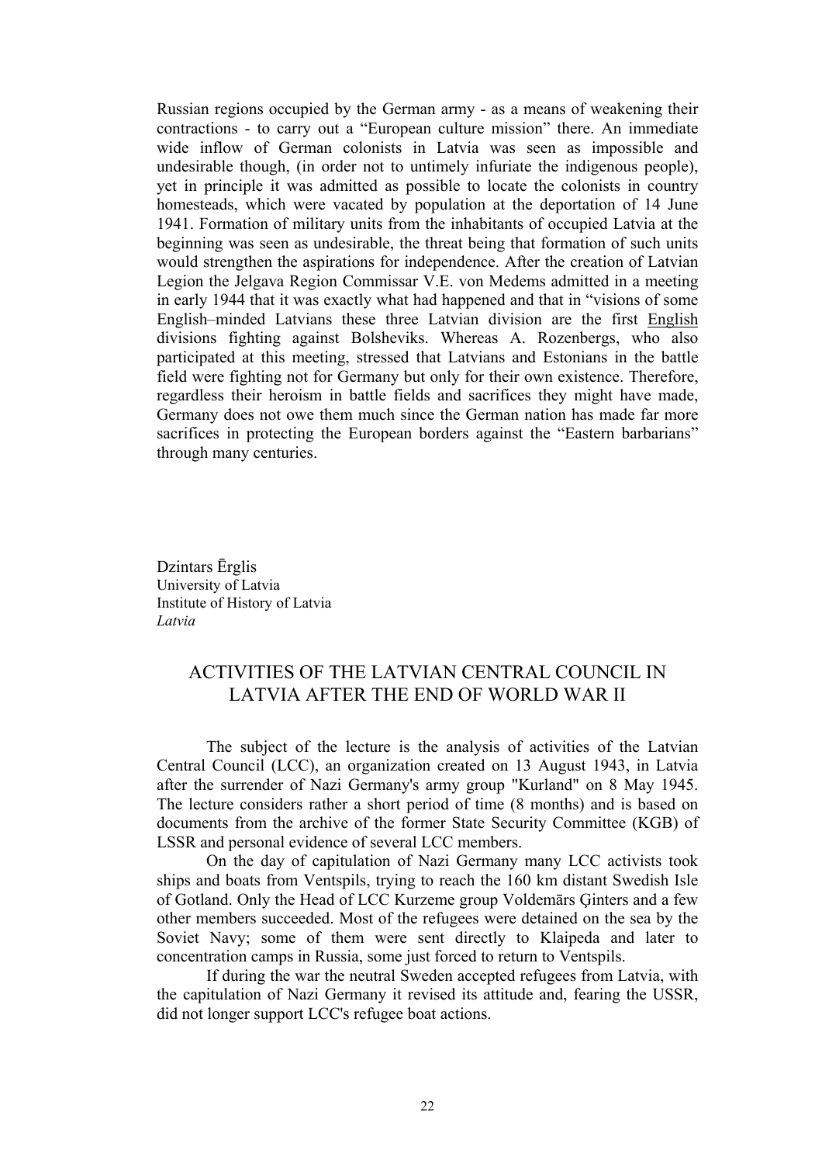Russian regions occupied by the German army - as a means of weakening their contractions - to carry out a "European culture mission" there. An immediate wide inflow of German colonists in Latvia was seen as impossible and undesirable though, (in order not to untimely infuriate the indigenous people), yet in principle it was admitted as possible to locate the colonists in country homesteads, which were vacated by population at the deportation of 14 June 1941. Formation of military units from the inhabitants of occupied Latvia at the beginning was seen as undesirable, the threat being that formation of such units would strengthen the aspirations for independence. After the creation of Latvian Legion the Jelgava Region Commissar V.E. von Medems admitted in a meeting in early 1944 that it was exactly what had happened and that in "visions of some English–minded Latvians these three Latvian division are the first English divisions fighting against Bolsheviks. Whereas A. Rozenbergs, who also participated at this meeting, stressed that Latvians and Estonians in the battle field were fighting not for Germany but only for their own existence. Therefore, regardless their heroism in battle fields and sacrifices they might have made, Germany does not owe them much since the German nation has made far more sacrifices in protecting the European borders against the "Eastern barbarians" through many centuries.

Dzintars Ērglis University of Latvia Institute of History of Latvia *Latvia* 

### ACTIVITIES OF THE LATVIAN CENTRAL COUNCIL IN LATVIA AFTER THE END OF WORLD WAR II

 The subject of the lecture is the analysis of activities of the Latvian Central Council (LCC), an organization created on 13 August 1943, in Latvia after the surrender of Nazi Germany's army group "Kurland" on 8 May 1945. The lecture considers rather a short period of time (8 months) and is based on documents from the archive of the former State Security Committee (KGB) of LSSR and personal evidence of several LCC members.

 On the day of capitulation of Nazi Germany many LCC activists took ships and boats from Ventspils, trying to reach the 160 km distant Swedish Isle of Gotland. Only the Head of LCC Kurzeme group Voldemārs Ģinters and a few other members succeeded. Most of the refugees were detained on the sea by the Soviet Navy; some of them were sent directly to Klaipeda and later to concentration camps in Russia, some just forced to return to Ventspils.

 If during the war the neutral Sweden accepted refugees from Latvia, with the capitulation of Nazi Germany it revised its attitude and, fearing the USSR, did not longer support LCC's refugee boat actions.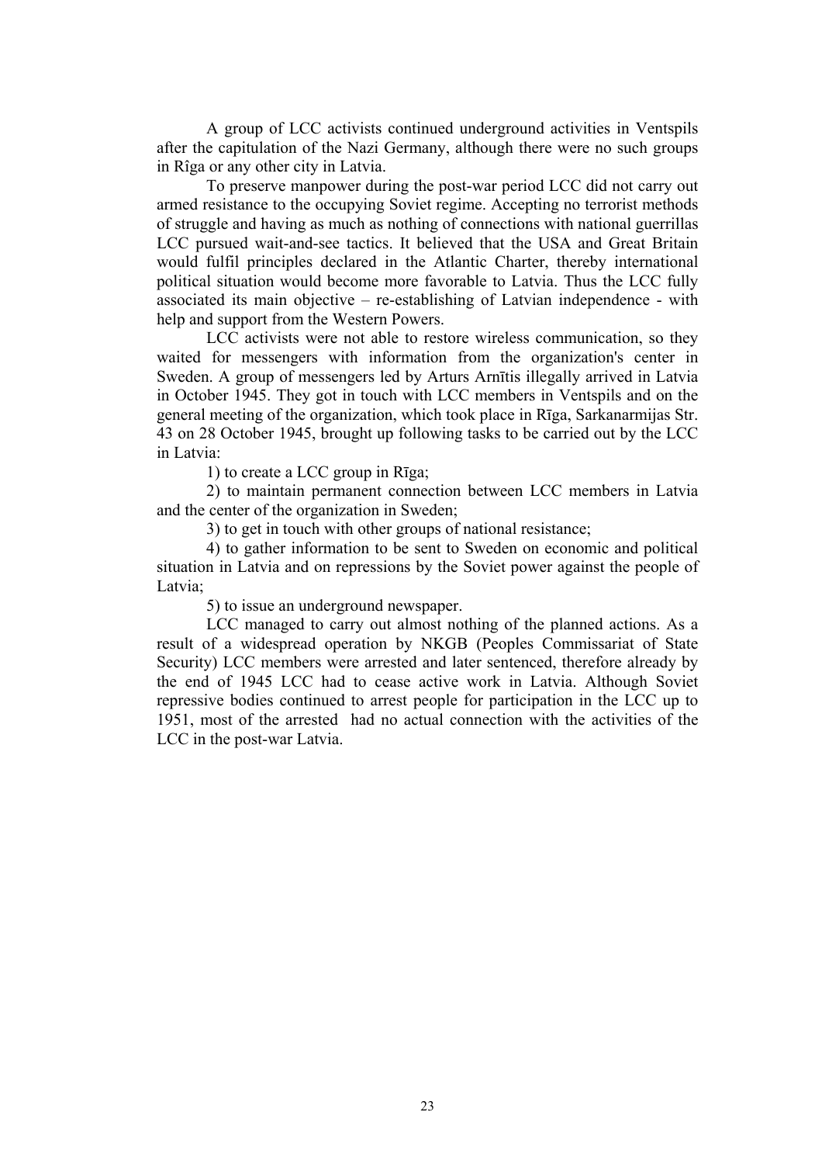A group of LCC activists continued underground activities in Ventspils after the capitulation of the Nazi Germany, although there were no such groups in Rîga or any other city in Latvia.

 To preserve manpower during the post-war period LCC did not carry out armed resistance to the occupying Soviet regime. Accepting no terrorist methods of struggle and having as much as nothing of connections with national guerrillas LCC pursued wait-and-see tactics. It believed that the USA and Great Britain would fulfil principles declared in the Atlantic Charter, thereby international political situation would become more favorable to Latvia. Thus the LCC fully associated its main objective – re-establishing of Latvian independence - with help and support from the Western Powers.

 LCC activists were not able to restore wireless communication, so they waited for messengers with information from the organization's center in Sweden. A group of messengers led by Arturs Arnītis illegally arrived in Latvia in October 1945. They got in touch with LCC members in Ventspils and on the general meeting of the organization, which took place in Rīga, Sarkanarmijas Str. 43 on 28 October 1945, brought up following tasks to be carried out by the LCC in Latvia:

1) to create a LCC group in Rīga;

 2) to maintain permanent connection between LCC members in Latvia and the center of the organization in Sweden;

3) to get in touch with other groups of national resistance;

 4) to gather information to be sent to Sweden on economic and political situation in Latvia and on repressions by the Soviet power against the people of Latvia<sup>:</sup>

5) to issue an underground newspaper.

 LCC managed to carry out almost nothing of the planned actions. As a result of a widespread operation by NKGB (Peoples Commissariat of State Security) LCC members were arrested and later sentenced, therefore already by the end of 1945 LCC had to cease active work in Latvia. Although Soviet repressive bodies continued to arrest people for participation in the LCC up to 1951, most of the arrested had no actual connection with the activities of the LCC in the post-war Latvia.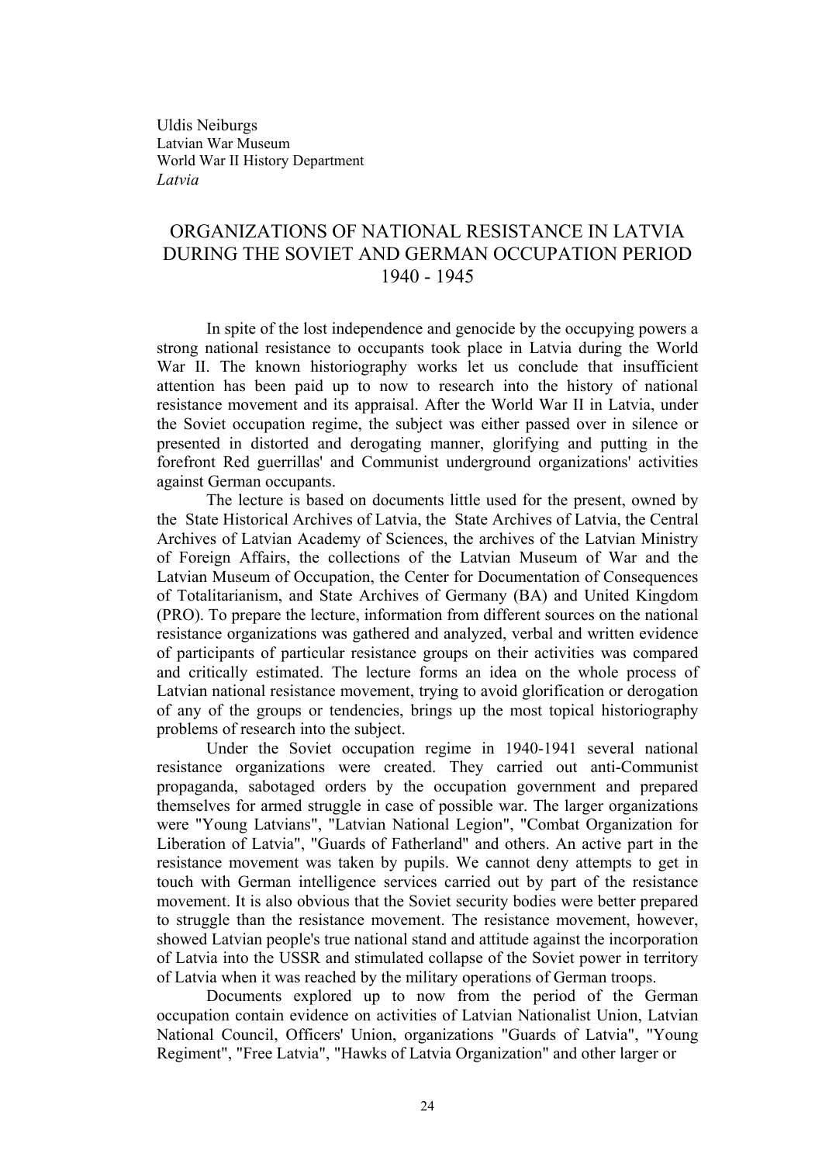Uldis Neiburgs Latvian War Museum World War II History Department *Latvia* 

## ORGANIZATIONS OF NATIONAL RESISTANCE IN LATVIA DURING THE SOVIET AND GERMAN OCCUPATION PERIOD 1940 - 1945

 In spite of the lost independence and genocide by the occupying powers a strong national resistance to occupants took place in Latvia during the World War II. The known historiography works let us conclude that insufficient attention has been paid up to now to research into the history of national resistance movement and its appraisal. After the World War II in Latvia, under the Soviet occupation regime, the subject was either passed over in silence or presented in distorted and derogating manner, glorifying and putting in the forefront Red guerrillas' and Communist underground organizations' activities against German occupants.

 The lecture is based on documents little used for the present, owned by the State Historical Archives of Latvia, the State Archives of Latvia, the Central Archives of Latvian Academy of Sciences, the archives of the Latvian Ministry of Foreign Affairs, the collections of the Latvian Museum of War and the Latvian Museum of Occupation, the Center for Documentation of Consequences of Totalitarianism, and State Archives of Germany (BA) and United Kingdom (PRO). To prepare the lecture, information from different sources on the national resistance organizations was gathered and analyzed, verbal and written evidence of participants of particular resistance groups on their activities was compared and critically estimated. The lecture forms an idea on the whole process of Latvian national resistance movement, trying to avoid glorification or derogation of any of the groups or tendencies, brings up the most topical historiography problems of research into the subject.

 Under the Soviet occupation regime in 1940-1941 several national resistance organizations were created. They carried out anti-Communist propaganda, sabotaged orders by the occupation government and prepared themselves for armed struggle in case of possible war. The larger organizations were "Young Latvians", "Latvian National Legion", "Combat Organization for Liberation of Latvia", "Guards of Fatherland" and others. An active part in the resistance movement was taken by pupils. We cannot deny attempts to get in touch with German intelligence services carried out by part of the resistance movement. It is also obvious that the Soviet security bodies were better prepared to struggle than the resistance movement. The resistance movement, however, showed Latvian people's true national stand and attitude against the incorporation of Latvia into the USSR and stimulated collapse of the Soviet power in territory of Latvia when it was reached by the military operations of German troops.

 Documents explored up to now from the period of the German occupation contain evidence on activities of Latvian Nationalist Union, Latvian National Council, Officers' Union, organizations "Guards of Latvia", "Young Regiment", "Free Latvia", "Hawks of Latvia Organization" and other larger or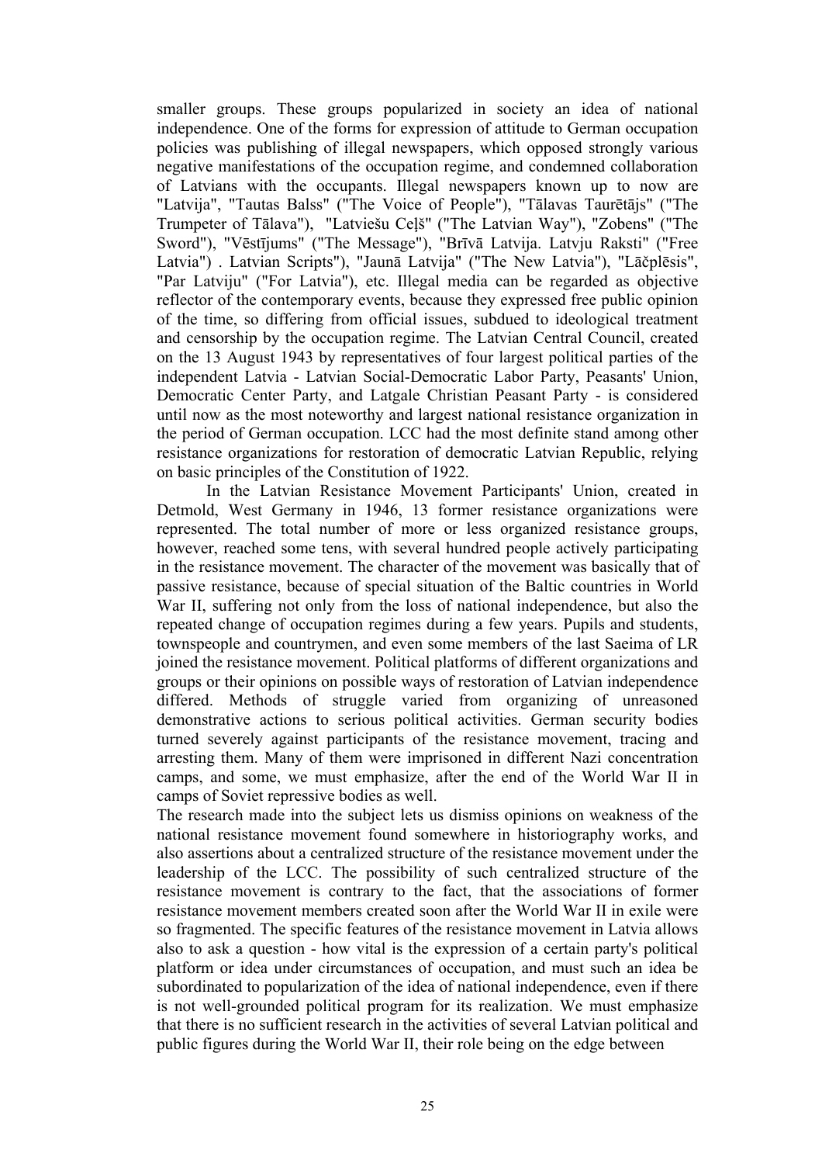smaller groups. These groups popularized in society an idea of national independence. One of the forms for expression of attitude to German occupation policies was publishing of illegal newspapers, which opposed strongly various negative manifestations of the occupation regime, and condemned collaboration of Latvians with the occupants. Illegal newspapers known up to now are "Latvija", "Tautas Balss" ("The Voice of People"), "Tālavas Taurētājs" ("The Trumpeter of Tālava"), "Latviešu Ceļš" ("The Latvian Way"), "Zobens" ("The Sword"), "Vēstījums" ("The Message"), "Brīvā Latvija. Latvju Raksti" ("Free Latvia") . Latvian Scripts"), "Jaunā Latvija" ("The New Latvia"), "Lāčplēsis", "Par Latviju" ("For Latvia"), etc. Illegal media can be regarded as objective reflector of the contemporary events, because they expressed free public opinion of the time, so differing from official issues, subdued to ideological treatment and censorship by the occupation regime. The Latvian Central Council, created on the 13 August 1943 by representatives of four largest political parties of the independent Latvia - Latvian Social-Democratic Labor Party, Peasants' Union, Democratic Center Party, and Latgale Christian Peasant Party - is considered until now as the most noteworthy and largest national resistance organization in the period of German occupation. LCC had the most definite stand among other resistance organizations for restoration of democratic Latvian Republic, relying on basic principles of the Constitution of 1922.

 In the Latvian Resistance Movement Participants' Union, created in Detmold, West Germany in 1946, 13 former resistance organizations were represented. The total number of more or less organized resistance groups, however, reached some tens, with several hundred people actively participating in the resistance movement. The character of the movement was basically that of passive resistance, because of special situation of the Baltic countries in World War II, suffering not only from the loss of national independence, but also the repeated change of occupation regimes during a few years. Pupils and students, townspeople and countrymen, and even some members of the last Saeima of LR joined the resistance movement. Political platforms of different organizations and groups or their opinions on possible ways of restoration of Latvian independence differed. Methods of struggle varied from organizing of unreasoned demonstrative actions to serious political activities. German security bodies turned severely against participants of the resistance movement, tracing and arresting them. Many of them were imprisoned in different Nazi concentration camps, and some, we must emphasize, after the end of the World War II in camps of Soviet repressive bodies as well.

The research made into the subject lets us dismiss opinions on weakness of the national resistance movement found somewhere in historiography works, and also assertions about a centralized structure of the resistance movement under the leadership of the LCC. The possibility of such centralized structure of the resistance movement is contrary to the fact, that the associations of former resistance movement members created soon after the World War II in exile were so fragmented. The specific features of the resistance movement in Latvia allows also to ask a question - how vital is the expression of a certain party's political platform or idea under circumstances of occupation, and must such an idea be subordinated to popularization of the idea of national independence, even if there is not well-grounded political program for its realization. We must emphasize that there is no sufficient research in the activities of several Latvian political and public figures during the World War II, their role being on the edge between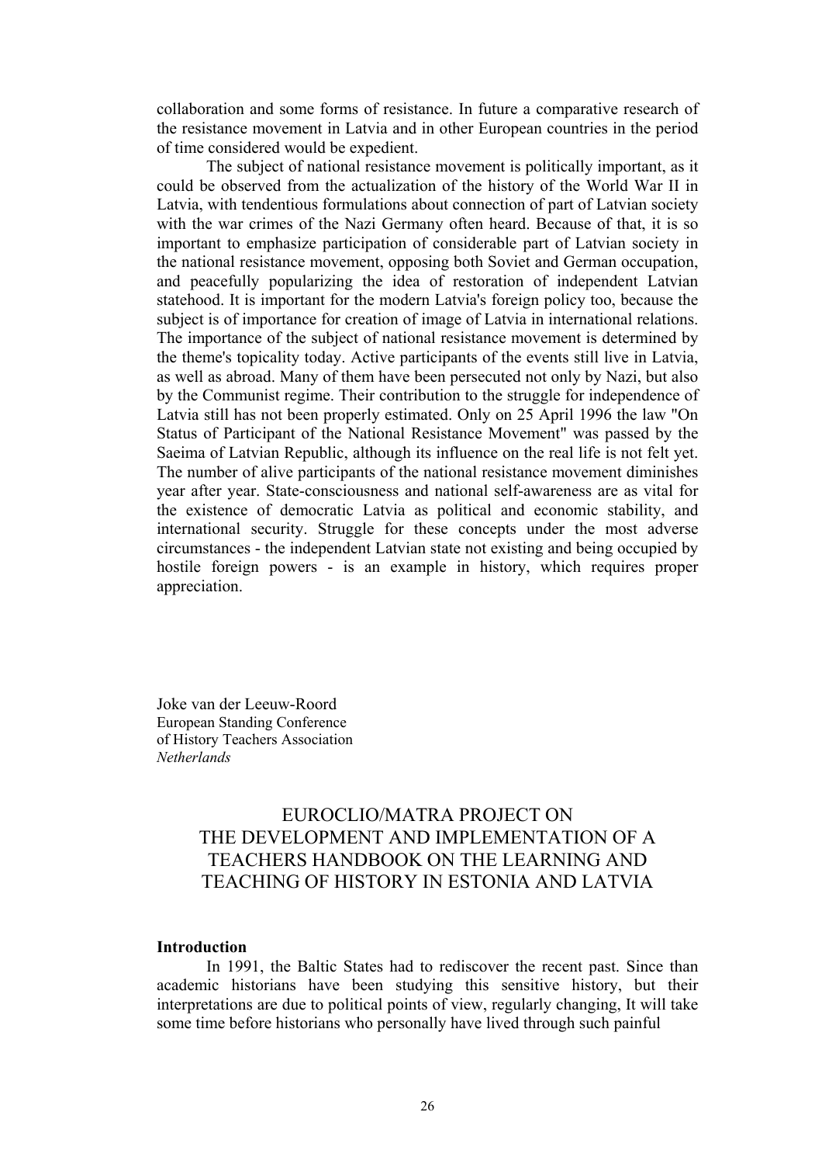collaboration and some forms of resistance. In future a comparative research of the resistance movement in Latvia and in other European countries in the period of time considered would be expedient.

 The subject of national resistance movement is politically important, as it could be observed from the actualization of the history of the World War II in Latvia, with tendentious formulations about connection of part of Latvian society with the war crimes of the Nazi Germany often heard. Because of that, it is so important to emphasize participation of considerable part of Latvian society in the national resistance movement, opposing both Soviet and German occupation, and peacefully popularizing the idea of restoration of independent Latvian statehood. It is important for the modern Latvia's foreign policy too, because the subject is of importance for creation of image of Latvia in international relations. The importance of the subject of national resistance movement is determined by the theme's topicality today. Active participants of the events still live in Latvia, as well as abroad. Many of them have been persecuted not only by Nazi, but also by the Communist regime. Their contribution to the struggle for independence of Latvia still has not been properly estimated. Only on 25 April 1996 the law "On Status of Participant of the National Resistance Movement" was passed by the Saeima of Latvian Republic, although its influence on the real life is not felt yet. The number of alive participants of the national resistance movement diminishes year after year. State-consciousness and national self-awareness are as vital for the existence of democratic Latvia as political and economic stability, and international security. Struggle for these concepts under the most adverse circumstances - the independent Latvian state not existing and being occupied by hostile foreign powers - is an example in history, which requires proper appreciation.

Joke van der Leeuw-Roord European Standing Conference of History Teachers Association *Netherlands* 

# EUROCLIO/MATRA PROJECT ON THE DEVELOPMENT AND IMPLEMENTATION OF A TEACHERS HANDBOOK ON THE LEARNING AND TEACHING OF HISTORY IN ESTONIA AND LATVIA

#### **Introduction**

In 1991, the Baltic States had to rediscover the recent past. Since than academic historians have been studying this sensitive history, but their interpretations are due to political points of view, regularly changing, It will take some time before historians who personally have lived through such painful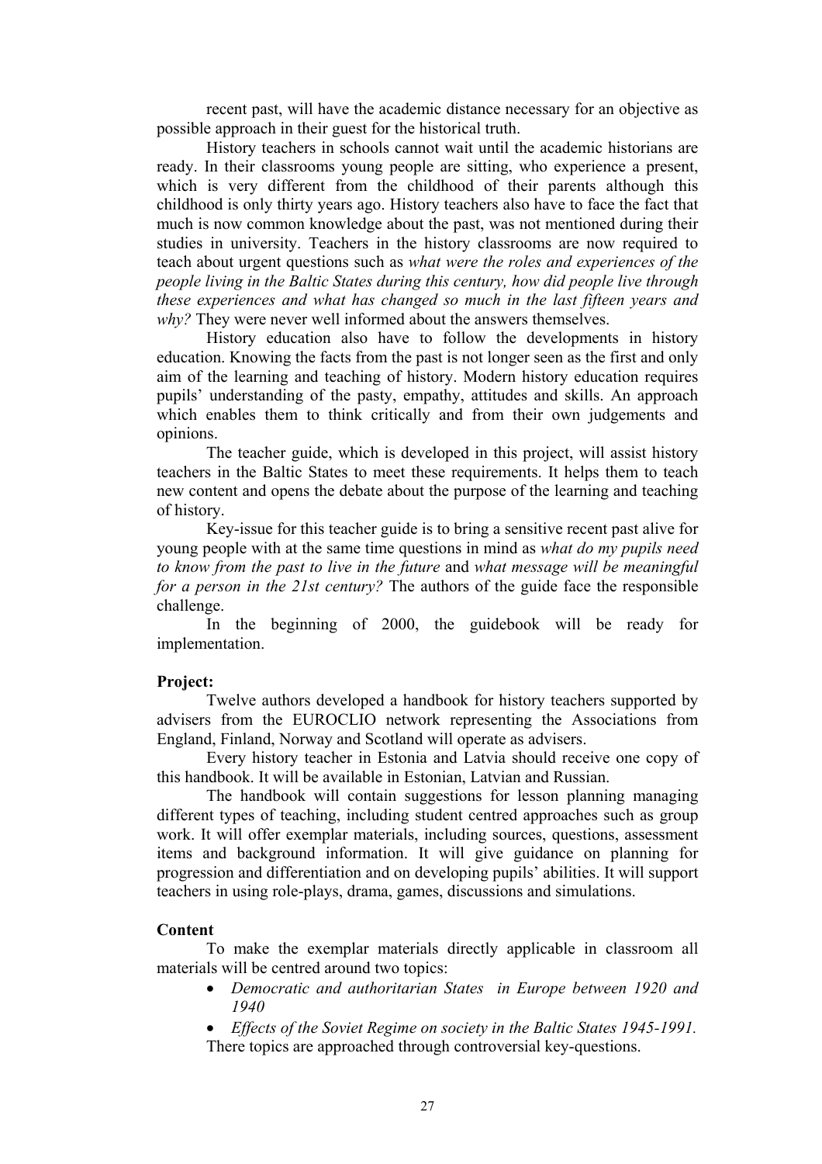recent past, will have the academic distance necessary for an objective as possible approach in their guest for the historical truth.

History teachers in schools cannot wait until the academic historians are ready. In their classrooms young people are sitting, who experience a present, which is very different from the childhood of their parents although this childhood is only thirty years ago. History teachers also have to face the fact that much is now common knowledge about the past, was not mentioned during their studies in university. Teachers in the history classrooms are now required to teach about urgent questions such as *what were the roles and experiences of the people living in the Baltic States during this century, how did people live through these experiences and what has changed so much in the last fifteen years and why?* They were never well informed about the answers themselves.

History education also have to follow the developments in history education. Knowing the facts from the past is not longer seen as the first and only aim of the learning and teaching of history. Modern history education requires pupils' understanding of the pasty, empathy, attitudes and skills. An approach which enables them to think critically and from their own judgements and opinions.

The teacher guide, which is developed in this project, will assist history teachers in the Baltic States to meet these requirements. It helps them to teach new content and opens the debate about the purpose of the learning and teaching of history.

Key-issue for this teacher guide is to bring a sensitive recent past alive for young people with at the same time questions in mind as *what do my pupils need to know from the past to live in the future* and *what message will be meaningful for a person in the 21st century?* The authors of the guide face the responsible challenge.

In the beginning of 2000, the guidebook will be ready for implementation.

#### **Project:**

Twelve authors developed a handbook for history teachers supported by advisers from the EUROCLIO network representing the Associations from England, Finland, Norway and Scotland will operate as advisers.

Every history teacher in Estonia and Latvia should receive one copy of this handbook. It will be available in Estonian, Latvian and Russian.

The handbook will contain suggestions for lesson planning managing different types of teaching, including student centred approaches such as group work. It will offer exemplar materials, including sources, questions, assessment items and background information. It will give guidance on planning for progression and differentiation and on developing pupils' abilities. It will support teachers in using role-plays, drama, games, discussions and simulations.

#### **Content**

To make the exemplar materials directly applicable in classroom all materials will be centred around two topics:

- *Democratic and authoritarian States in Europe between 1920 and 1940*
- *Effects of the Soviet Regime on society in the Baltic States 1945-1991.*  There topics are approached through controversial key-questions.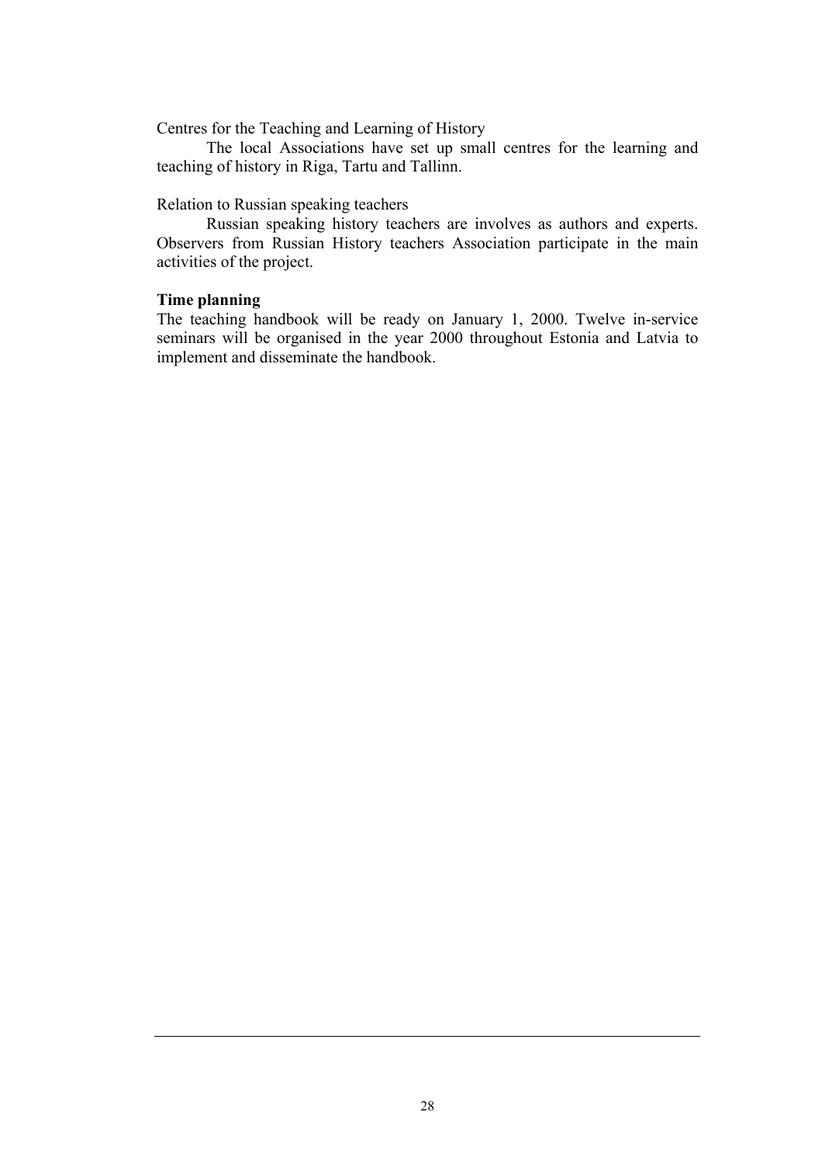Centres for the Teaching and Learning of History

The local Associations have set up small centres for the learning and teaching of history in Riga, Tartu and Tallinn.

#### Relation to Russian speaking teachers

Russian speaking history teachers are involves as authors and experts. Observers from Russian History teachers Association participate in the main activities of the project.

#### **Time planning**

The teaching handbook will be ready on January 1, 2000. Twelve in-service seminars will be organised in the year 2000 throughout Estonia and Latvia to implement and disseminate the handbook.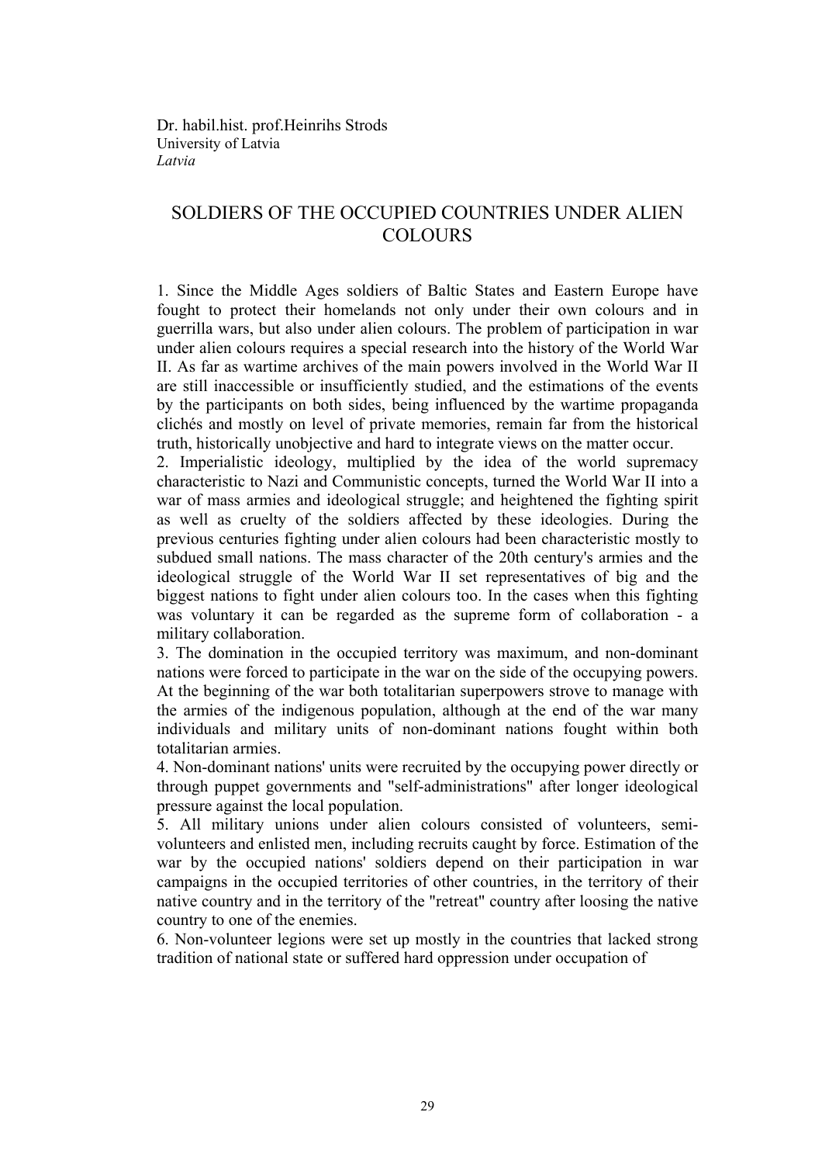Dr. habil.hist. prof.Heinrihs Strods University of Latvia *Latvia* 

# SOLDIERS OF THE OCCUPIED COUNTRIES UNDER ALIEN **COLOURS**

1. Since the Middle Ages soldiers of Baltic States and Eastern Europe have fought to protect their homelands not only under their own colours and in guerrilla wars, but also under alien colours. The problem of participation in war under alien colours requires a special research into the history of the World War II. As far as wartime archives of the main powers involved in the World War II are still inaccessible or insufficiently studied, and the estimations of the events by the participants on both sides, being influenced by the wartime propaganda clichés and mostly on level of private memories, remain far from the historical truth, historically unobjective and hard to integrate views on the matter occur.

2. Imperialistic ideology, multiplied by the idea of the world supremacy characteristic to Nazi and Communistic concepts, turned the World War II into a war of mass armies and ideological struggle; and heightened the fighting spirit as well as cruelty of the soldiers affected by these ideologies. During the previous centuries fighting under alien colours had been characteristic mostly to subdued small nations. The mass character of the 20th century's armies and the ideological struggle of the World War II set representatives of big and the biggest nations to fight under alien colours too. In the cases when this fighting was voluntary it can be regarded as the supreme form of collaboration - a military collaboration.

3. The domination in the occupied territory was maximum, and non-dominant nations were forced to participate in the war on the side of the occupying powers. At the beginning of the war both totalitarian superpowers strove to manage with the armies of the indigenous population, although at the end of the war many individuals and military units of non-dominant nations fought within both totalitarian armies.

4. Non-dominant nations' units were recruited by the occupying power directly or through puppet governments and "self-administrations" after longer ideological pressure against the local population.

5. All military unions under alien colours consisted of volunteers, semivolunteers and enlisted men, including recruits caught by force. Estimation of the war by the occupied nations' soldiers depend on their participation in war campaigns in the occupied territories of other countries, in the territory of their native country and in the territory of the "retreat" country after loosing the native country to one of the enemies.

6. Non-volunteer legions were set up mostly in the countries that lacked strong tradition of national state or suffered hard oppression under occupation of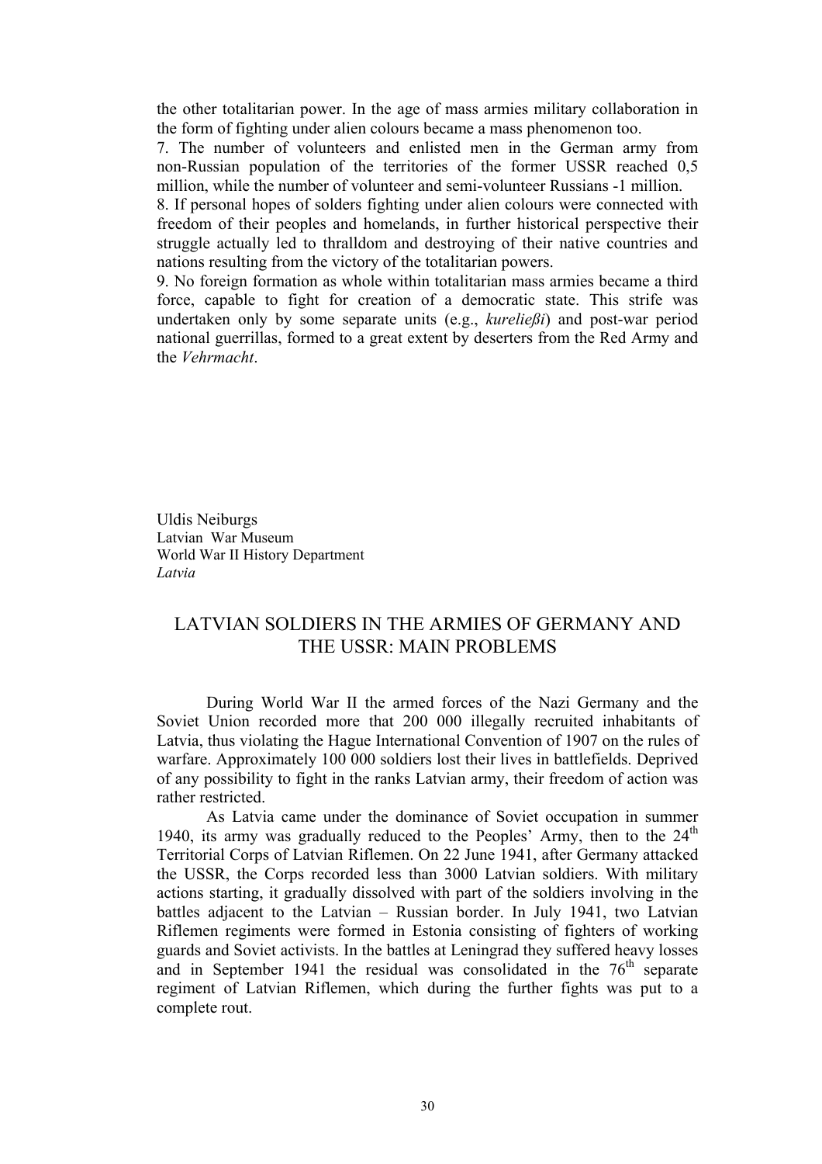the other totalitarian power. In the age of mass armies military collaboration in the form of fighting under alien colours became a mass phenomenon too.

7. The number of volunteers and enlisted men in the German army from non-Russian population of the territories of the former USSR reached 0,5 million, while the number of volunteer and semi-volunteer Russians -1 million.

8. If personal hopes of solders fighting under alien colours were connected with freedom of their peoples and homelands, in further historical perspective their struggle actually led to thralldom and destroying of their native countries and nations resulting from the victory of the totalitarian powers.

9. No foreign formation as whole within totalitarian mass armies became a third force, capable to fight for creation of a democratic state. This strife was undertaken only by some separate units (e.g., *kureließi*) and post-war period national guerrillas, formed to a great extent by deserters from the Red Army and the *Vehrmacht*.

Uldis Neiburgs Latvian War Museum World War II History Department *Latvia* 

### LATVIAN SOLDIERS IN THE ARMIES OF GERMANY AND THE USSR: MAIN PROBLEMS

During World War II the armed forces of the Nazi Germany and the Soviet Union recorded more that 200 000 illegally recruited inhabitants of Latvia, thus violating the Hague International Convention of 1907 on the rules of warfare. Approximately 100 000 soldiers lost their lives in battlefields. Deprived of any possibility to fight in the ranks Latvian army, their freedom of action was rather restricted.

As Latvia came under the dominance of Soviet occupation in summer 1940, its army was gradually reduced to the Peoples' Army, then to the  $24<sup>th</sup>$ Territorial Corps of Latvian Riflemen. On 22 June 1941, after Germany attacked the USSR, the Corps recorded less than 3000 Latvian soldiers. With military actions starting, it gradually dissolved with part of the soldiers involving in the battles adjacent to the Latvian – Russian border. In July 1941, two Latvian Riflemen regiments were formed in Estonia consisting of fighters of working guards and Soviet activists. In the battles at Leningrad they suffered heavy losses and in September 1941 the residual was consolidated in the  $76<sup>th</sup>$  separate regiment of Latvian Riflemen, which during the further fights was put to a complete rout.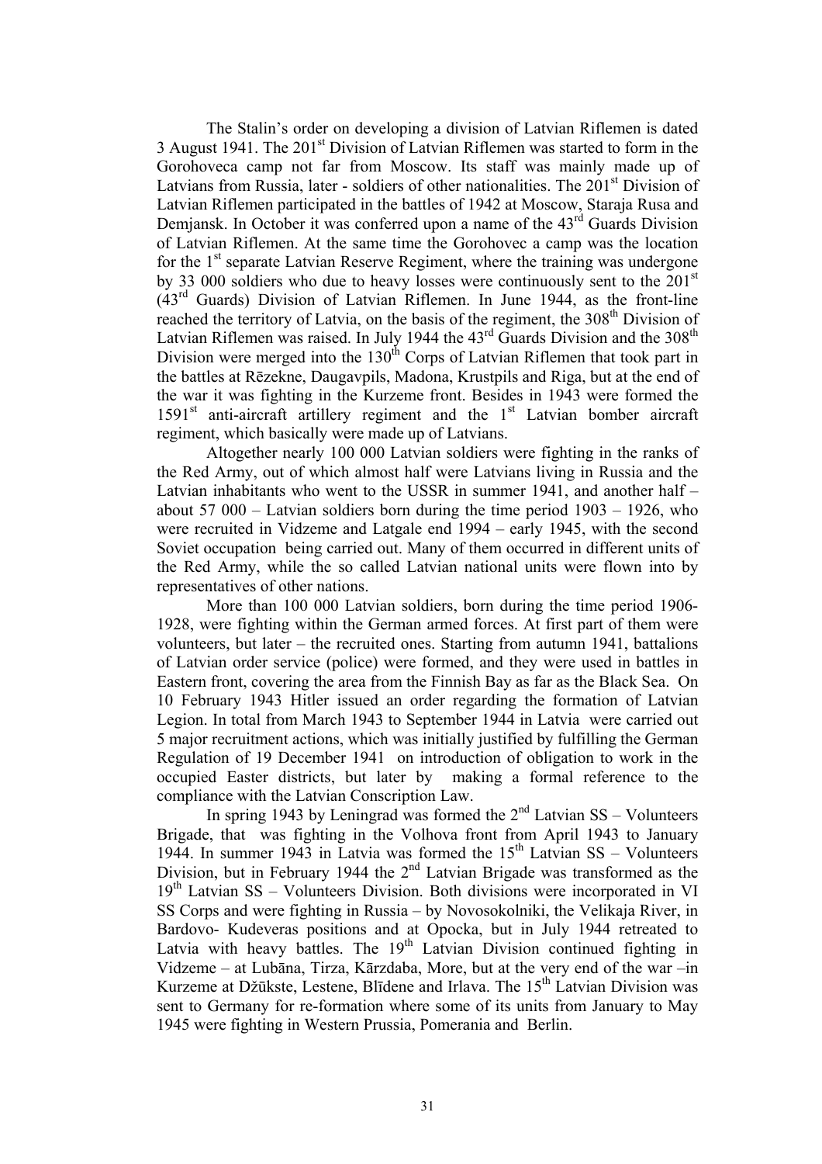The Stalin's order on developing a division of Latvian Riflemen is dated 3 August 1941. The 201<sup>st</sup> Division of Latvian Riflemen was started to form in the Gorohoveca camp not far from Moscow. Its staff was mainly made up of Latvians from Russia, later - soldiers of other nationalities. The  $201<sup>st</sup>$  Division of Latvian Riflemen participated in the battles of 1942 at Moscow, Staraja Rusa and Demjansk. In October it was conferred upon a name of the 43<sup>rd</sup> Guards Division of Latvian Riflemen. At the same time the Gorohovec a camp was the location for the  $1<sup>st</sup>$  separate Latvian Reserve Regiment, where the training was undergone by 33 000 soldiers who due to heavy losses were continuously sent to the 201st  $(43<sup>rd</sup>$  Guards) Division of Latvian Riflemen. In June 1944, as the front-line reached the territory of Latvia, on the basis of the regiment, the 308<sup>th</sup> Division of Latvian Riflemen was raised. In July 1944 the 43<sup>rd</sup> Guards Division and the 308<sup>th</sup> Division were merged into the  $130<sup>th</sup>$  Corps of Latvian Riflemen that took part in the battles at Rēzekne, Daugavpils, Madona, Krustpils and Riga, but at the end of the war it was fighting in the Kurzeme front. Besides in 1943 were formed the  $1591<sup>st</sup>$  anti-aircraft artillery regiment and the  $1<sup>st</sup>$  Latvian bomber aircraft regiment, which basically were made up of Latvians.

Altogether nearly 100 000 Latvian soldiers were fighting in the ranks of the Red Army, out of which almost half were Latvians living in Russia and the Latvian inhabitants who went to the USSR in summer 1941, and another half – about 57 000 – Latvian soldiers born during the time period  $1903 - 1926$ , who were recruited in Vidzeme and Latgale end 1994 – early 1945, with the second Soviet occupation being carried out. Many of them occurred in different units of the Red Army, while the so called Latvian national units were flown into by representatives of other nations.

More than 100 000 Latvian soldiers, born during the time period 1906- 1928, were fighting within the German armed forces. At first part of them were volunteers, but later – the recruited ones. Starting from autumn 1941, battalions of Latvian order service (police) were formed, and they were used in battles in Eastern front, covering the area from the Finnish Bay as far as the Black Sea. On 10 February 1943 Hitler issued an order regarding the formation of Latvian Legion. In total from March 1943 to September 1944 in Latvia were carried out 5 major recruitment actions, which was initially justified by fulfilling the German Regulation of 19 December 1941 on introduction of obligation to work in the occupied Easter districts, but later by making a formal reference to the compliance with the Latvian Conscription Law.

In spring 1943 by Leningrad was formed the  $2<sup>nd</sup>$  Latvian SS – Volunteers Brigade, that was fighting in the Volhova front from April 1943 to January 1944. In summer 1943 in Latvia was formed the  $15<sup>th</sup>$  Latvian SS – Volunteers Division, but in February 1944 the  $2<sup>nd</sup>$  Latvian Brigade was transformed as the  $19<sup>th</sup>$  Latvian SS – Volunteers Division. Both divisions were incorporated in VI SS Corps and were fighting in Russia – by Novosokolniki, the Velikaja River, in Bardovo- Kudeveras positions and at Opocka, but in July 1944 retreated to Latvia with heavy battles. The  $19<sup>th</sup>$  Latvian Division continued fighting in Vidzeme – at Lubāna, Tirza, Kārzdaba, More, but at the very end of the war –in Kurzeme at Džūkste, Lestene, Blīdene and Irlava. The 15<sup>th</sup> Latvian Division was sent to Germany for re-formation where some of its units from January to May 1945 were fighting in Western Prussia, Pomerania and Berlin.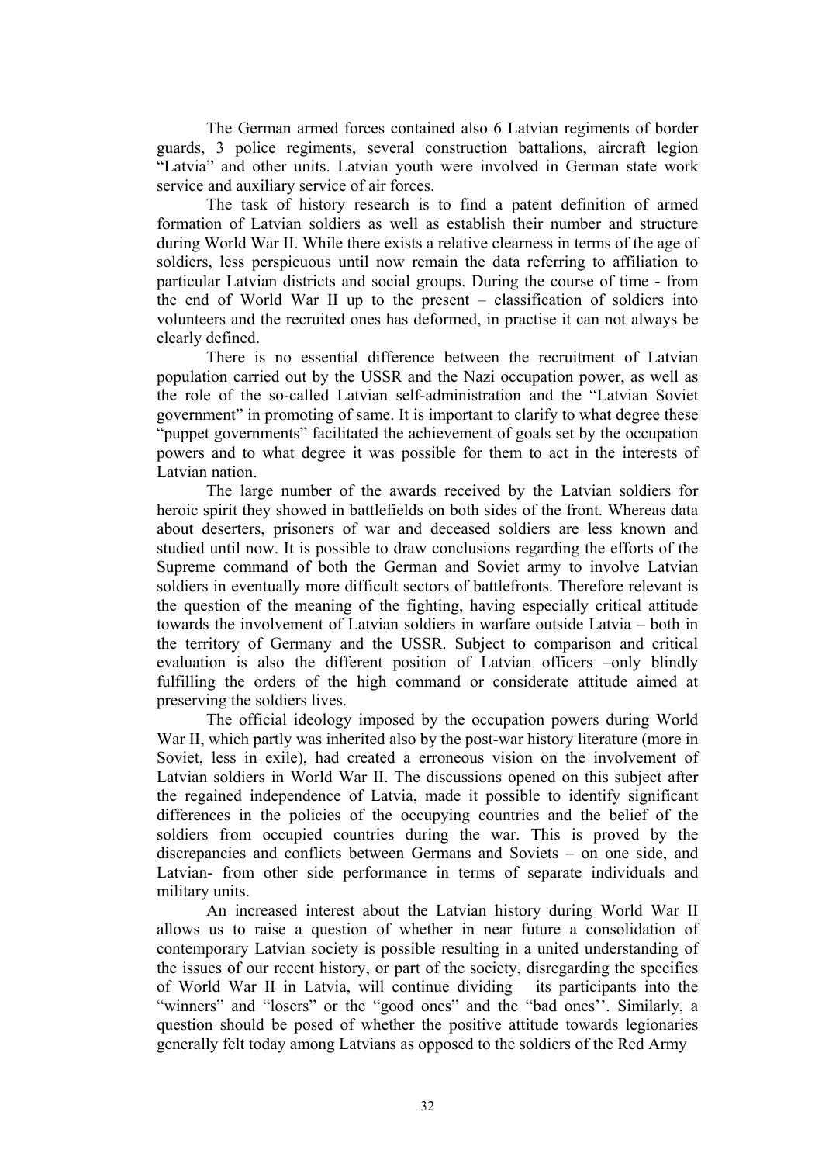The German armed forces contained also 6 Latvian regiments of border guards, 3 police regiments, several construction battalions, aircraft legion "Latvia" and other units. Latvian youth were involved in German state work service and auxiliary service of air forces.

The task of history research is to find a patent definition of armed formation of Latvian soldiers as well as establish their number and structure during World War II. While there exists a relative clearness in terms of the age of soldiers, less perspicuous until now remain the data referring to affiliation to particular Latvian districts and social groups. During the course of time - from the end of World War II up to the present – classification of soldiers into volunteers and the recruited ones has deformed, in practise it can not always be clearly defined.

There is no essential difference between the recruitment of Latvian population carried out by the USSR and the Nazi occupation power, as well as the role of the so-called Latvian self-administration and the "Latvian Soviet government" in promoting of same. It is important to clarify to what degree these "puppet governments" facilitated the achievement of goals set by the occupation powers and to what degree it was possible for them to act in the interests of Latvian nation.

The large number of the awards received by the Latvian soldiers for heroic spirit they showed in battlefields on both sides of the front. Whereas data about deserters, prisoners of war and deceased soldiers are less known and studied until now. It is possible to draw conclusions regarding the efforts of the Supreme command of both the German and Soviet army to involve Latvian soldiers in eventually more difficult sectors of battlefronts. Therefore relevant is the question of the meaning of the fighting, having especially critical attitude towards the involvement of Latvian soldiers in warfare outside Latvia – both in the territory of Germany and the USSR. Subject to comparison and critical evaluation is also the different position of Latvian officers –only blindly fulfilling the orders of the high command or considerate attitude aimed at preserving the soldiers lives.

The official ideology imposed by the occupation powers during World War II, which partly was inherited also by the post-war history literature (more in Soviet, less in exile), had created a erroneous vision on the involvement of Latvian soldiers in World War II. The discussions opened on this subject after the regained independence of Latvia, made it possible to identify significant differences in the policies of the occupying countries and the belief of the soldiers from occupied countries during the war. This is proved by the discrepancies and conflicts between Germans and Soviets – on one side, and Latvian- from other side performance in terms of separate individuals and military units.

An increased interest about the Latvian history during World War II allows us to raise a question of whether in near future a consolidation of contemporary Latvian society is possible resulting in a united understanding of the issues of our recent history, or part of the society, disregarding the specifics of World War II in Latvia, will continue dividing its participants into the "winners" and "losers" or the "good ones" and the "bad ones''. Similarly, a question should be posed of whether the positive attitude towards legionaries generally felt today among Latvians as opposed to the soldiers of the Red Army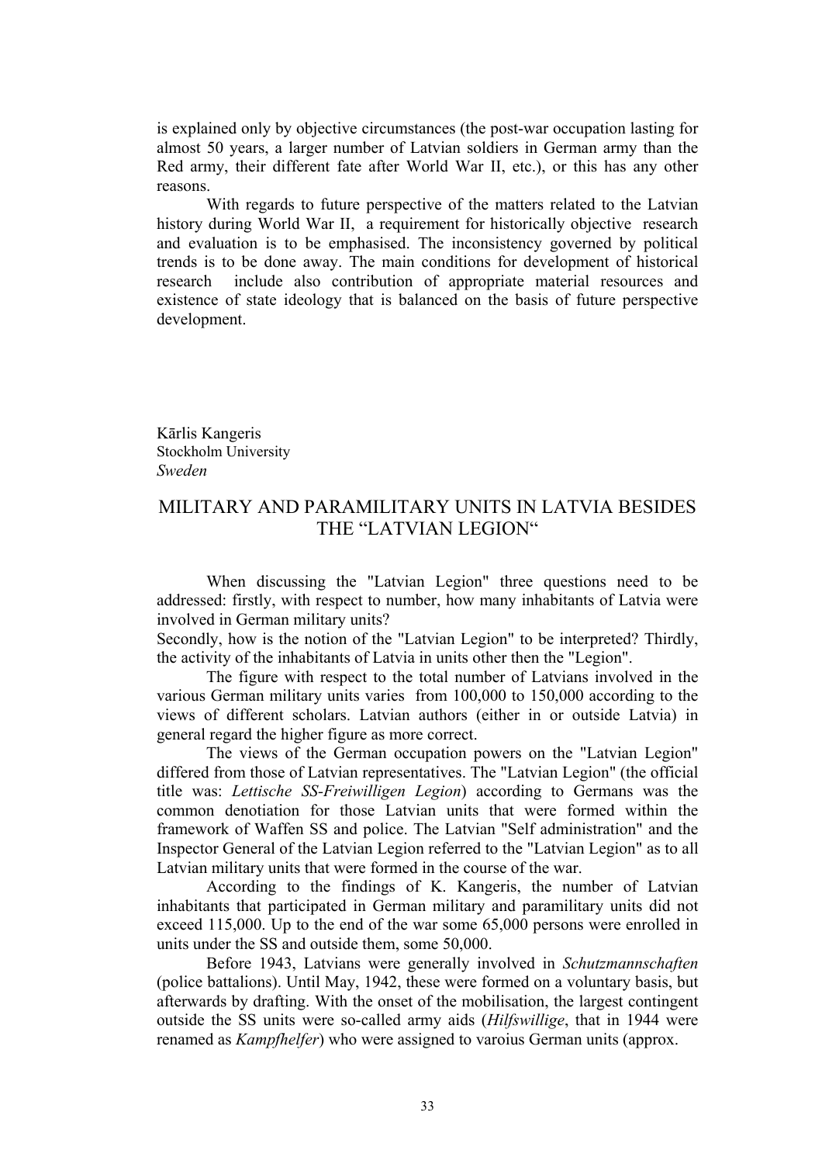is explained only by objective circumstances (the post-war occupation lasting for almost 50 years, a larger number of Latvian soldiers in German army than the Red army, their different fate after World War II, etc.), or this has any other reasons.

With regards to future perspective of the matters related to the Latvian history during World War II, a requirement for historically objective research and evaluation is to be emphasised. The inconsistency governed by political trends is to be done away. The main conditions for development of historical research include also contribution of appropriate material resources and existence of state ideology that is balanced on the basis of future perspective development.

Kārlis Kangeris Stockholm University *Sweden* 

## MILITARY AND PARAMILITARY UNITS IN LATVIA BESIDES THE "LATVIAN LEGION"

When discussing the "Latvian Legion" three questions need to be addressed: firstly, with respect to number, how many inhabitants of Latvia were involved in German military units?

Secondly, how is the notion of the "Latvian Legion" to be interpreted? Thirdly, the activity of the inhabitants of Latvia in units other then the "Legion".

 The figure with respect to the total number of Latvians involved in the various German military units varies from 100,000 to 150,000 according to the views of different scholars. Latvian authors (either in or outside Latvia) in general regard the higher figure as more correct.

 The views of the German occupation powers on the "Latvian Legion" differed from those of Latvian representatives. The "Latvian Legion" (the official title was: *Lettische SS-Freiwilligen Legion*) according to Germans was the common denotiation for those Latvian units that were formed within the framework of Waffen SS and police. The Latvian "Self administration" and the Inspector General of the Latvian Legion referred to the "Latvian Legion" as to all Latvian military units that were formed in the course of the war.

 According to the findings of K. Kangeris, the number of Latvian inhabitants that participated in German military and paramilitary units did not exceed 115,000. Up to the end of the war some 65,000 persons were enrolled in units under the SS and outside them, some 50,000.

 Before 1943, Latvians were generally involved in *Schutzmannschaften* (police battalions). Until May, 1942, these were formed on a voluntary basis, but afterwards by drafting. With the onset of the mobilisation, the largest contingent outside the SS units were so-called army aids (*Hilfswillige*, that in 1944 were renamed as *Kampfhelfer*) who were assigned to varoius German units (approx.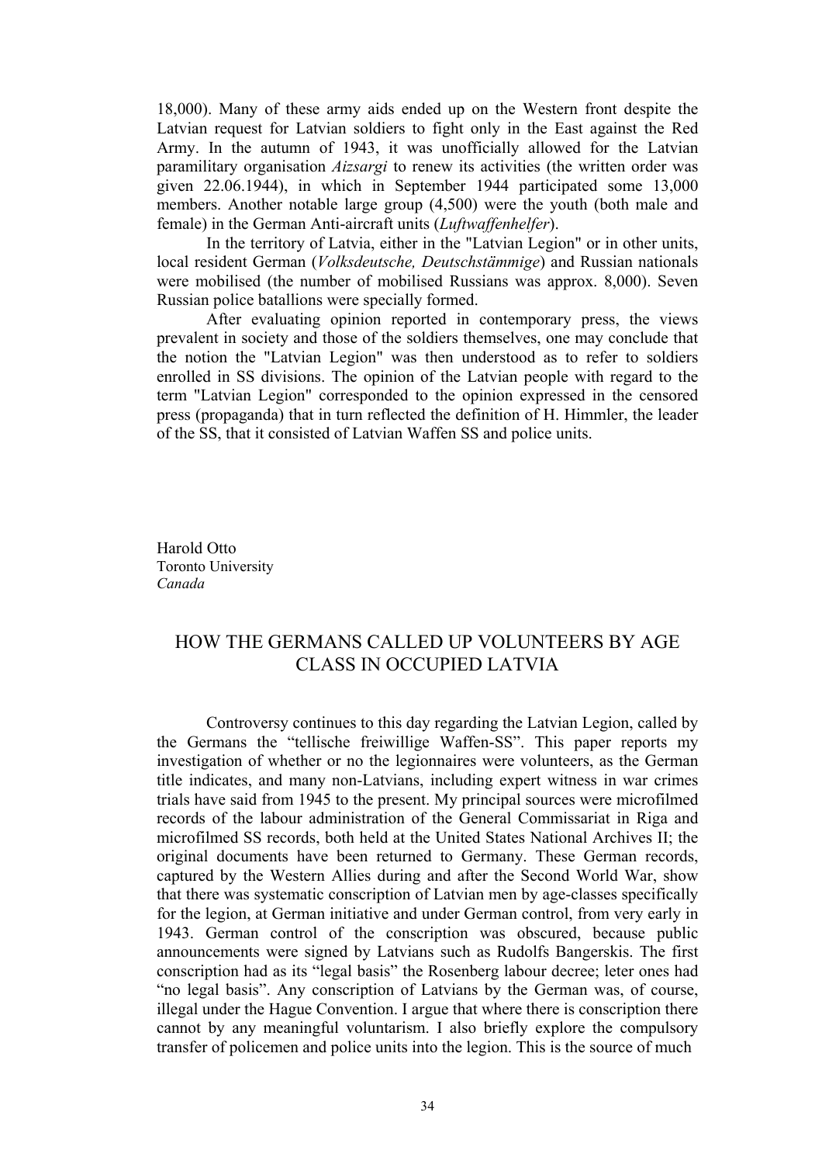18,000). Many of these army aids ended up on the Western front despite the Latvian request for Latvian soldiers to fight only in the East against the Red Army. In the autumn of 1943, it was unofficially allowed for the Latvian paramilitary organisation *Aizsargi* to renew its activities (the written order was given 22.06.1944), in which in September 1944 participated some 13,000 members. Another notable large group (4,500) were the youth (both male and female) in the German Anti-aircraft units (*Luftwaffenhelfer*).

 In the territory of Latvia, either in the "Latvian Legion" or in other units, local resident German (*Volksdeutsche, Deutschstämmige*) and Russian nationals were mobilised (the number of mobilised Russians was approx. 8,000). Seven Russian police batallions were specially formed.

 After evaluating opinion reported in contemporary press, the views prevalent in society and those of the soldiers themselves, one may conclude that the notion the "Latvian Legion" was then understood as to refer to soldiers enrolled in SS divisions. The opinion of the Latvian people with regard to the term "Latvian Legion" corresponded to the opinion expressed in the censored press (propaganda) that in turn reflected the definition of H. Himmler, the leader of the SS, that it consisted of Latvian Waffen SS and police units.

Harold Otto Toronto University *Canada* 

### HOW THE GERMANS CALLED UP VOLUNTEERS BY AGE CLASS IN OCCUPIED LATVIA

Controversy continues to this day regarding the Latvian Legion, called by the Germans the "tellische freiwillige Waffen-SS". This paper reports my investigation of whether or no the legionnaires were volunteers, as the German title indicates, and many non-Latvians, including expert witness in war crimes trials have said from 1945 to the present. My principal sources were microfilmed records of the labour administration of the General Commissariat in Riga and microfilmed SS records, both held at the United States National Archives II; the original documents have been returned to Germany. These German records, captured by the Western Allies during and after the Second World War, show that there was systematic conscription of Latvian men by age-classes specifically for the legion, at German initiative and under German control, from very early in 1943. German control of the conscription was obscured, because public announcements were signed by Latvians such as Rudolfs Bangerskis. The first conscription had as its "legal basis" the Rosenberg labour decree; leter ones had "no legal basis". Any conscription of Latvians by the German was, of course, illegal under the Hague Convention. I argue that where there is conscription there cannot by any meaningful voluntarism. I also briefly explore the compulsory transfer of policemen and police units into the legion. This is the source of much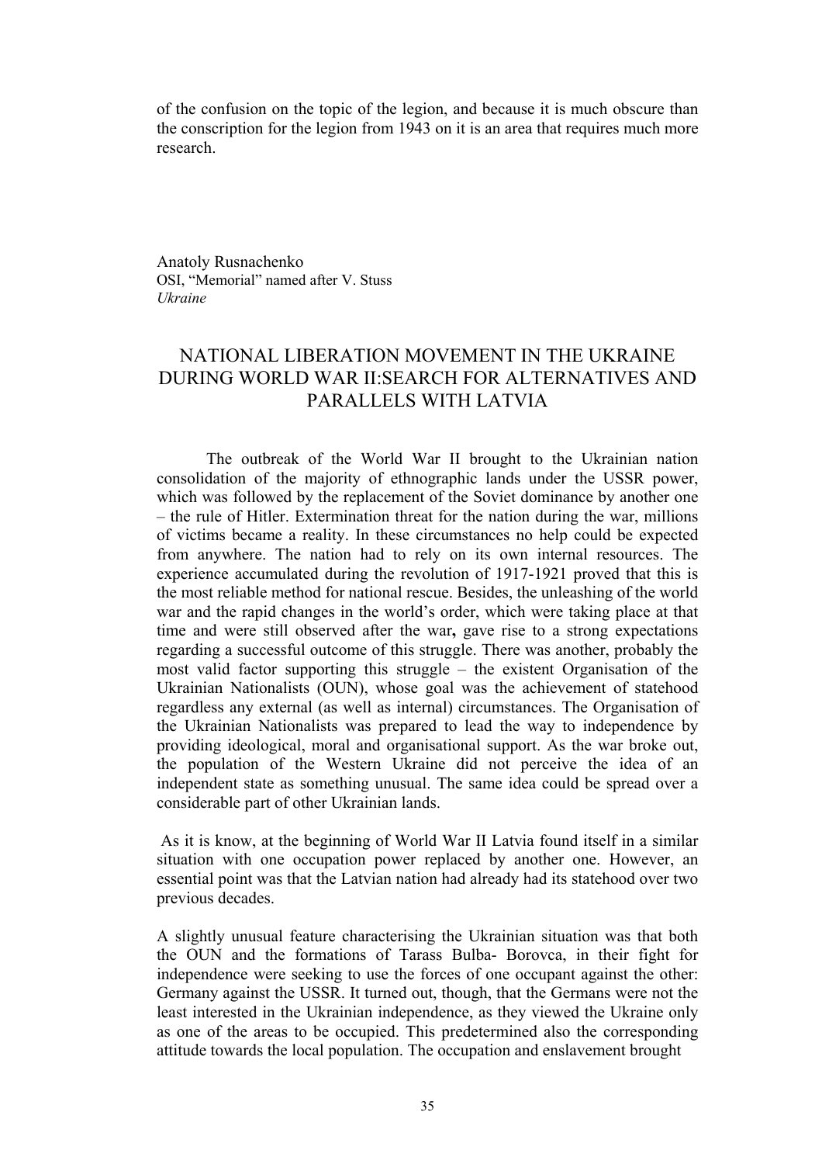of the confusion on the topic of the legion, and because it is much obscure than the conscription for the legion from 1943 on it is an area that requires much more research.

Anatoly Rusnachenko OSI, "Memorial" named after V. Stuss *Ukraine* 

# NATIONAL LIBERATION MOVEMENT IN THE UKRAINE DURING WORLD WAR II:SEARCH FOR ALTERNATIVES AND PARALLELS WITH LATVIA

The outbreak of the World War II brought to the Ukrainian nation consolidation of the majority of ethnographic lands under the USSR power, which was followed by the replacement of the Soviet dominance by another one – the rule of Hitler. Extermination threat for the nation during the war, millions of victims became a reality. In these circumstances no help could be expected from anywhere. The nation had to rely on its own internal resources. The experience accumulated during the revolution of 1917-1921 proved that this is the most reliable method for national rescue. Besides, the unleashing of the world war and the rapid changes in the world's order, which were taking place at that time and were still observed after the war**,** gave rise to a strong expectations regarding a successful outcome of this struggle. There was another, probably the most valid factor supporting this struggle – the existent Organisation of the Ukrainian Nationalists (OUN), whose goal was the achievement of statehood regardless any external (as well as internal) circumstances. The Organisation of the Ukrainian Nationalists was prepared to lead the way to independence by providing ideological, moral and organisational support. As the war broke out, the population of the Western Ukraine did not perceive the idea of an independent state as something unusual. The same idea could be spread over a considerable part of other Ukrainian lands.

 As it is know, at the beginning of World War II Latvia found itself in a similar situation with one occupation power replaced by another one. However, an essential point was that the Latvian nation had already had its statehood over two previous decades.

A slightly unusual feature characterising the Ukrainian situation was that both the OUN and the formations of Tarass Bulba- Borovca, in their fight for independence were seeking to use the forces of one occupant against the other: Germany against the USSR. It turned out, though, that the Germans were not the least interested in the Ukrainian independence, as they viewed the Ukraine only as one of the areas to be occupied. This predetermined also the corresponding attitude towards the local population. The occupation and enslavement brought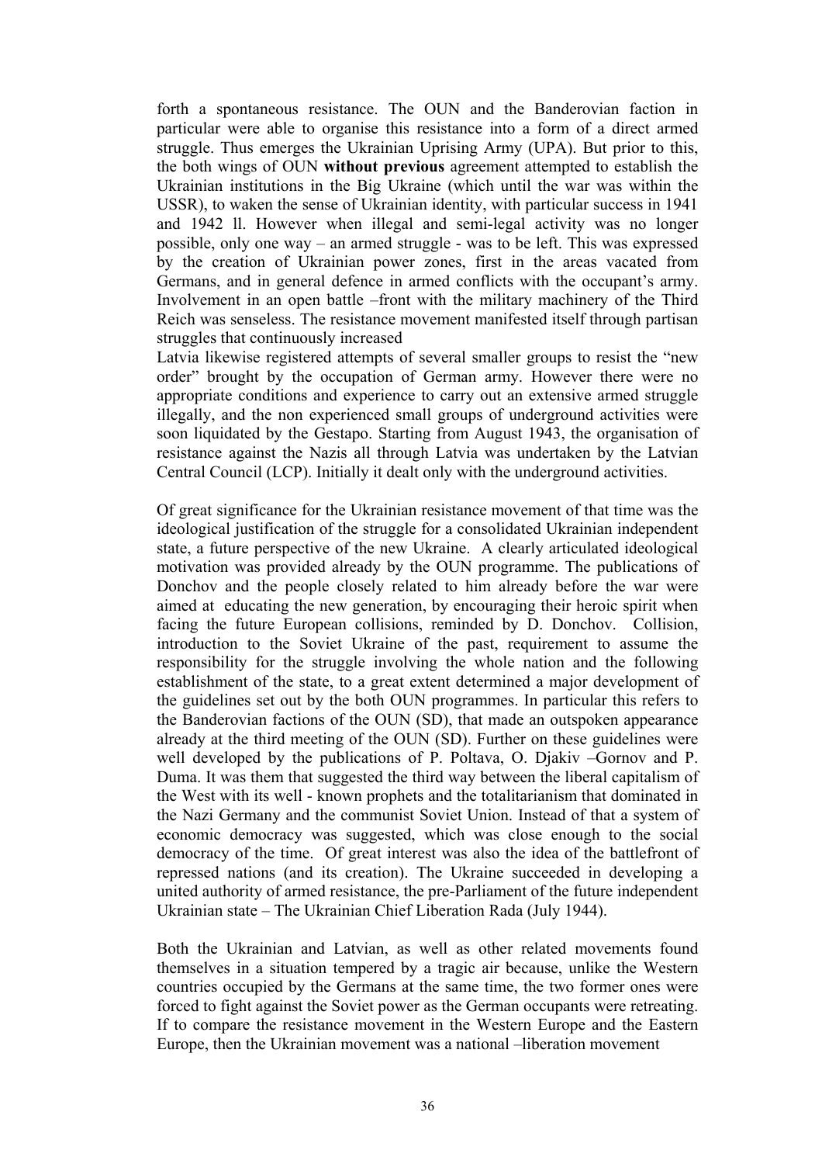forth a spontaneous resistance. The OUN and the Banderovian faction in particular were able to organise this resistance into a form of a direct armed struggle. Thus emerges the Ukrainian Uprising Army (UPA). But prior to this, the both wings of OUN **without previous** agreement attempted to establish the Ukrainian institutions in the Big Ukraine (which until the war was within the USSR), to waken the sense of Ukrainian identity, with particular success in 1941 and 1942 ll. However when illegal and semi-legal activity was no longer possible, only one way – an armed struggle - was to be left. This was expressed by the creation of Ukrainian power zones, first in the areas vacated from Germans, and in general defence in armed conflicts with the occupant's army. Involvement in an open battle –front with the military machinery of the Third Reich was senseless. The resistance movement manifested itself through partisan struggles that continuously increased

Latvia likewise registered attempts of several smaller groups to resist the "new order" brought by the occupation of German army. However there were no appropriate conditions and experience to carry out an extensive armed struggle illegally, and the non experienced small groups of underground activities were soon liquidated by the Gestapo. Starting from August 1943, the organisation of resistance against the Nazis all through Latvia was undertaken by the Latvian Central Council (LCP). Initially it dealt only with the underground activities.

Of great significance for the Ukrainian resistance movement of that time was the ideological justification of the struggle for a consolidated Ukrainian independent state, a future perspective of the new Ukraine. A clearly articulated ideological motivation was provided already by the OUN programme. The publications of Donchov and the people closely related to him already before the war were aimed at educating the new generation, by encouraging their heroic spirit when facing the future European collisions, reminded by D. Donchov. Collision, introduction to the Soviet Ukraine of the past, requirement to assume the responsibility for the struggle involving the whole nation and the following establishment of the state, to a great extent determined a major development of the guidelines set out by the both OUN programmes. In particular this refers to the Banderovian factions of the OUN (SD), that made an outspoken appearance already at the third meeting of the OUN (SD). Further on these guidelines were well developed by the publications of P. Poltava, O. Djakiv –Gornov and P. Duma. It was them that suggested the third way between the liberal capitalism of the West with its well - known prophets and the totalitarianism that dominated in the Nazi Germany and the communist Soviet Union. Instead of that a system of economic democracy was suggested, which was close enough to the social democracy of the time. Of great interest was also the idea of the battlefront of repressed nations (and its creation). The Ukraine succeeded in developing a united authority of armed resistance, the pre-Parliament of the future independent Ukrainian state – The Ukrainian Chief Liberation Rada (July 1944).

Both the Ukrainian and Latvian, as well as other related movements found themselves in a situation tempered by a tragic air because, unlike the Western countries occupied by the Germans at the same time, the two former ones were forced to fight against the Soviet power as the German occupants were retreating. If to compare the resistance movement in the Western Europe and the Eastern Europe, then the Ukrainian movement was a national –liberation movement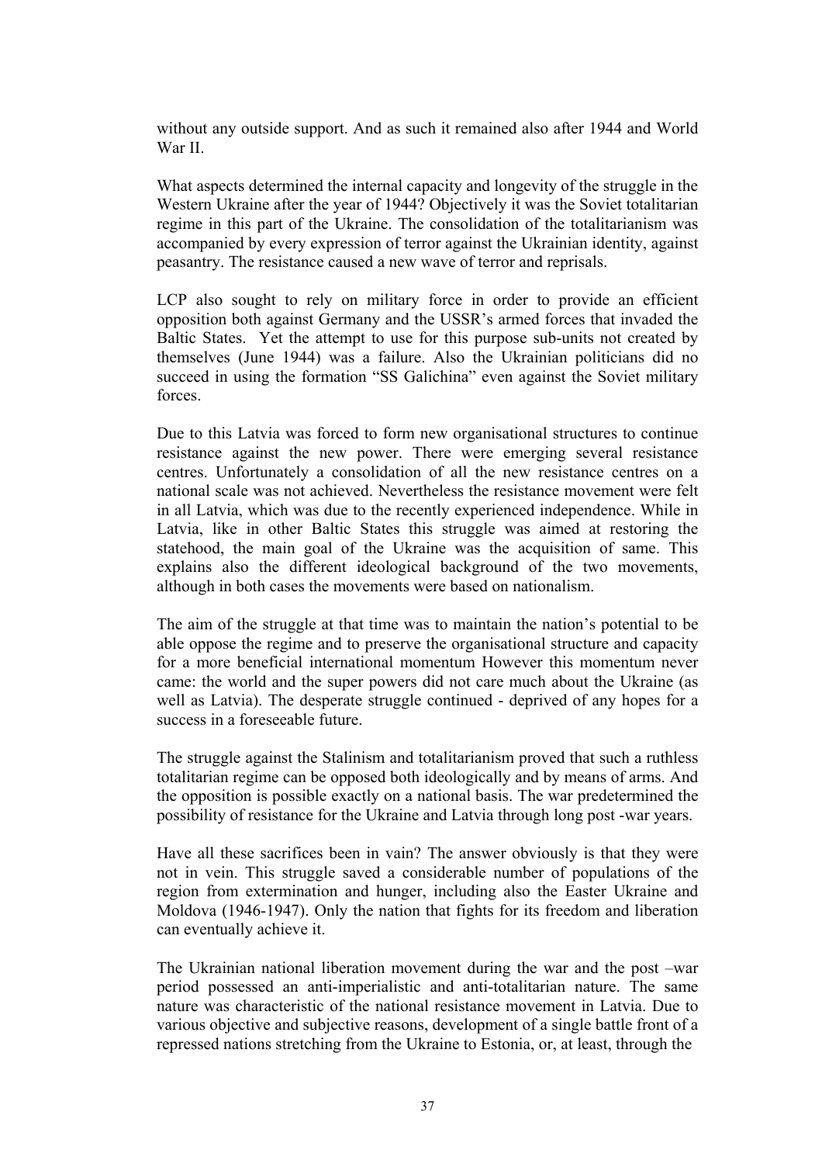without any outside support. And as such it remained also after 1944 and World War II

What aspects determined the internal capacity and longevity of the struggle in the Western Ukraine after the year of 1944? Objectively it was the Soviet totalitarian regime in this part of the Ukraine. The consolidation of the totalitarianism was accompanied by every expression of terror against the Ukrainian identity, against peasantry. The resistance caused a new wave of terror and reprisals.

LCP also sought to rely on military force in order to provide an efficient opposition both against Germany and the USSR's armed forces that invaded the Baltic States. Yet the attempt to use for this purpose sub-units not created by themselves (June 1944) was a failure. Also the Ukrainian politicians did no succeed in using the formation "SS Galichina" even against the Soviet military forces.

Due to this Latvia was forced to form new organisational structures to continue resistance against the new power. There were emerging several resistance centres. Unfortunately a consolidation of all the new resistance centres on a national scale was not achieved. Nevertheless the resistance movement were felt in all Latvia, which was due to the recently experienced independence. While in Latvia, like in other Baltic States this struggle was aimed at restoring the statehood, the main goal of the Ukraine was the acquisition of same. This explains also the different ideological background of the two movements, although in both cases the movements were based on nationalism.

The aim of the struggle at that time was to maintain the nation's potential to be able oppose the regime and to preserve the organisational structure and capacity for a more beneficial international momentum However this momentum never came: the world and the super powers did not care much about the Ukraine (as well as Latvia). The desperate struggle continued - deprived of any hopes for a success in a foreseeable future.

The struggle against the Stalinism and totalitarianism proved that such a ruthless totalitarian regime can be opposed both ideologically and by means of arms. And the opposition is possible exactly on a national basis. The war predetermined the possibility of resistance for the Ukraine and Latvia through long post -war years.

Have all these sacrifices been in vain? The answer obviously is that they were not in vein. This struggle saved a considerable number of populations of the region from extermination and hunger, including also the Easter Ukraine and Moldova (1946-1947). Only the nation that fights for its freedom and liberation can eventually achieve it.

The Ukrainian national liberation movement during the war and the post –war period possessed an anti-imperialistic and anti-totalitarian nature. The same nature was characteristic of the national resistance movement in Latvia. Due to various objective and subjective reasons, development of a single battle front of a repressed nations stretching from the Ukraine to Estonia, or, at least, through the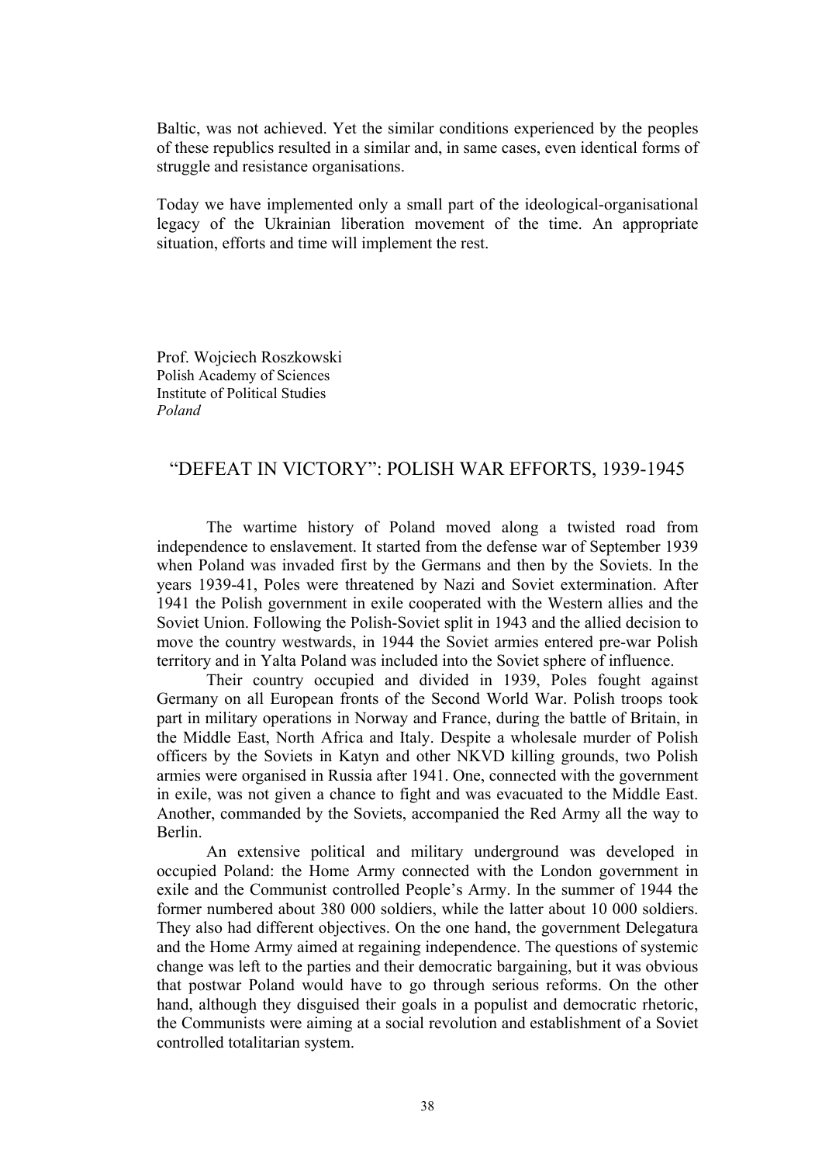Baltic, was not achieved. Yet the similar conditions experienced by the peoples of these republics resulted in a similar and, in same cases, even identical forms of struggle and resistance organisations.

Today we have implemented only a small part of the ideological-organisational legacy of the Ukrainian liberation movement of the time. An appropriate situation, efforts and time will implement the rest.

Prof. Wojciech Roszkowski Polish Academy of Sciences Institute of Political Studies *Poland* 

# "DEFEAT IN VICTORY": POLISH WAR EFFORTS, 1939-1945

The wartime history of Poland moved along a twisted road from independence to enslavement. It started from the defense war of September 1939 when Poland was invaded first by the Germans and then by the Soviets. In the years 1939-41, Poles were threatened by Nazi and Soviet extermination. After 1941 the Polish government in exile cooperated with the Western allies and the Soviet Union. Following the Polish-Soviet split in 1943 and the allied decision to move the country westwards, in 1944 the Soviet armies entered pre-war Polish territory and in Yalta Poland was included into the Soviet sphere of influence.

Their country occupied and divided in 1939, Poles fought against Germany on all European fronts of the Second World War. Polish troops took part in military operations in Norway and France, during the battle of Britain, in the Middle East, North Africa and Italy. Despite a wholesale murder of Polish officers by the Soviets in Katyn and other NKVD killing grounds, two Polish armies were organised in Russia after 1941. One, connected with the government in exile, was not given a chance to fight and was evacuated to the Middle East. Another, commanded by the Soviets, accompanied the Red Army all the way to Berlin.

An extensive political and military underground was developed in occupied Poland: the Home Army connected with the London government in exile and the Communist controlled People's Army. In the summer of 1944 the former numbered about 380 000 soldiers, while the latter about 10 000 soldiers. They also had different objectives. On the one hand, the government Delegatura and the Home Army aimed at regaining independence. The questions of systemic change was left to the parties and their democratic bargaining, but it was obvious that postwar Poland would have to go through serious reforms. On the other hand, although they disguised their goals in a populist and democratic rhetoric, the Communists were aiming at a social revolution and establishment of a Soviet controlled totalitarian system.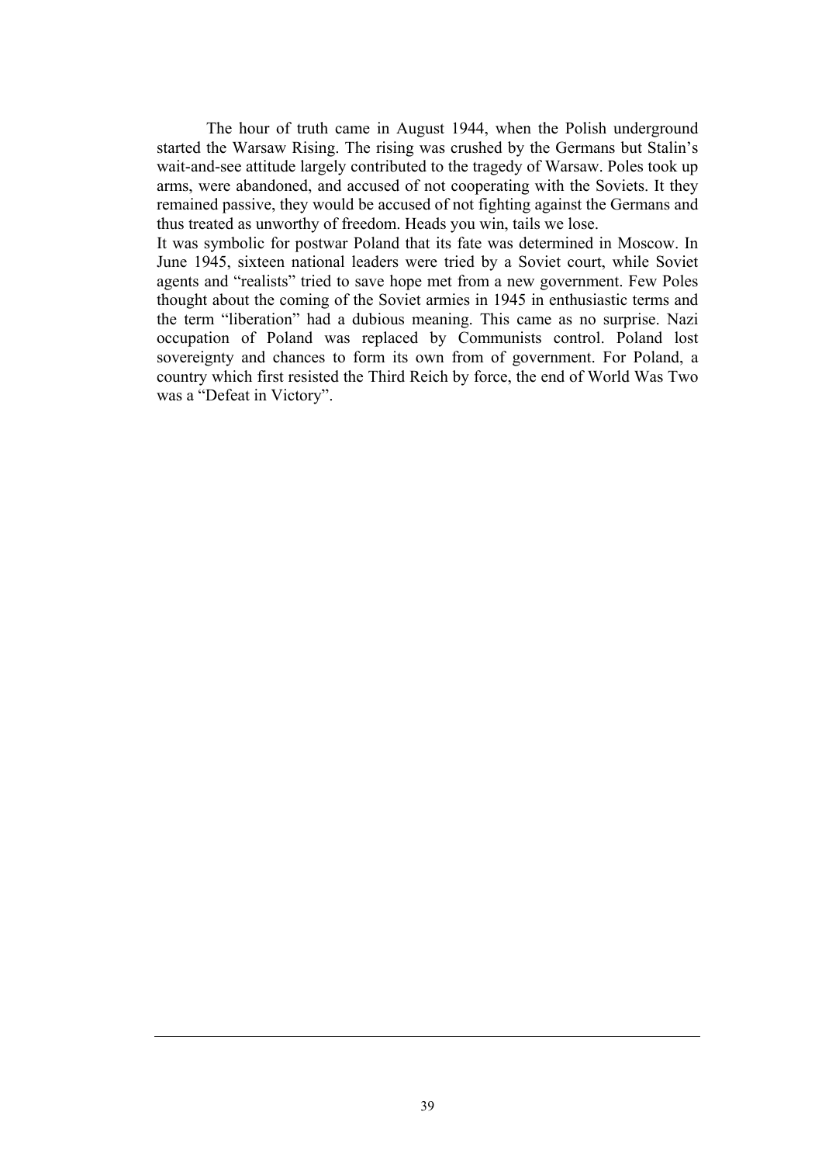The hour of truth came in August 1944, when the Polish underground started the Warsaw Rising. The rising was crushed by the Germans but Stalin's wait-and-see attitude largely contributed to the tragedy of Warsaw. Poles took up arms, were abandoned, and accused of not cooperating with the Soviets. It they remained passive, they would be accused of not fighting against the Germans and thus treated as unworthy of freedom. Heads you win, tails we lose.

It was symbolic for postwar Poland that its fate was determined in Moscow. In June 1945, sixteen national leaders were tried by a Soviet court, while Soviet agents and "realists" tried to save hope met from a new government. Few Poles thought about the coming of the Soviet armies in 1945 in enthusiastic terms and the term "liberation" had a dubious meaning. This came as no surprise. Nazi occupation of Poland was replaced by Communists control. Poland lost sovereignty and chances to form its own from of government. For Poland, a country which first resisted the Third Reich by force, the end of World Was Two was a "Defeat in Victory".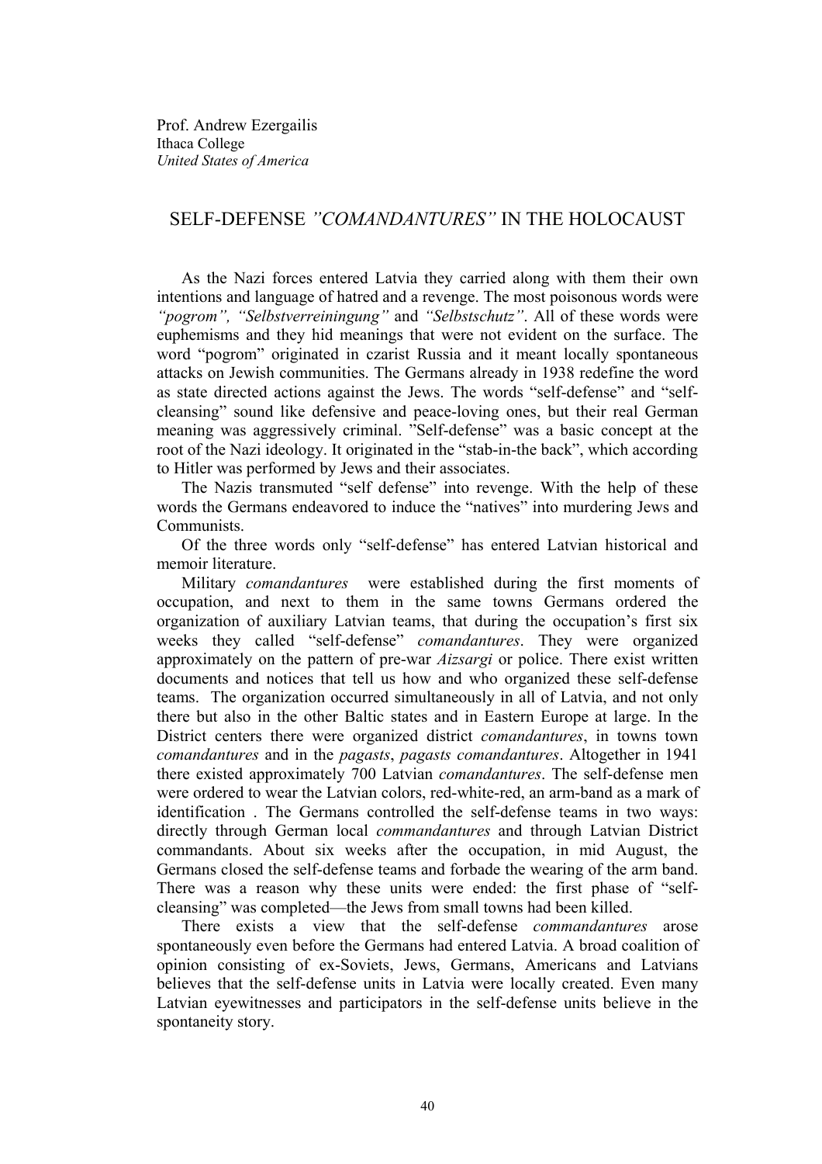### SELF-DEFENSE *"COMANDANTURES"* IN THE HOLOCAUST

As the Nazi forces entered Latvia they carried along with them their own intentions and language of hatred and a revenge. The most poisonous words were *"pogrom", "Selbstverreiningung"* and *"Selbstschutz"*. All of these words were euphemisms and they hid meanings that were not evident on the surface. The word "pogrom" originated in czarist Russia and it meant locally spontaneous attacks on Jewish communities. The Germans already in 1938 redefine the word as state directed actions against the Jews. The words "self-defense" and "selfcleansing" sound like defensive and peace-loving ones, but their real German meaning was aggressively criminal. "Self-defense" was a basic concept at the root of the Nazi ideology. It originated in the "stab-in-the back", which according to Hitler was performed by Jews and their associates.

The Nazis transmuted "self defense" into revenge. With the help of these words the Germans endeavored to induce the "natives" into murdering Jews and Communists.

Of the three words only "self-defense" has entered Latvian historical and memoir literature.

Military *comandantures* were established during the first moments of occupation, and next to them in the same towns Germans ordered the organization of auxiliary Latvian teams, that during the occupation's first six weeks they called "self-defense" *comandantures*. They were organized approximately on the pattern of pre-war *Aizsargi* or police. There exist written documents and notices that tell us how and who organized these self-defense teams. The organization occurred simultaneously in all of Latvia, and not only there but also in the other Baltic states and in Eastern Europe at large. In the District centers there were organized district *comandantures*, in towns town *comandantures* and in the *pagasts*, *pagasts comandantures*. Altogether in 1941 there existed approximately 700 Latvian *comandantures*. The self-defense men were ordered to wear the Latvian colors, red-white-red, an arm-band as a mark of identification . The Germans controlled the self-defense teams in two ways: directly through German local *commandantures* and through Latvian District commandants. About six weeks after the occupation, in mid August, the Germans closed the self-defense teams and forbade the wearing of the arm band. There was a reason why these units were ended: the first phase of "selfcleansing" was completed—the Jews from small towns had been killed.

There exists a view that the self-defense *commandantures* arose spontaneously even before the Germans had entered Latvia. A broad coalition of opinion consisting of ex-Soviets, Jews, Germans, Americans and Latvians believes that the self-defense units in Latvia were locally created. Even many Latvian eyewitnesses and participators in the self-defense units believe in the spontaneity story.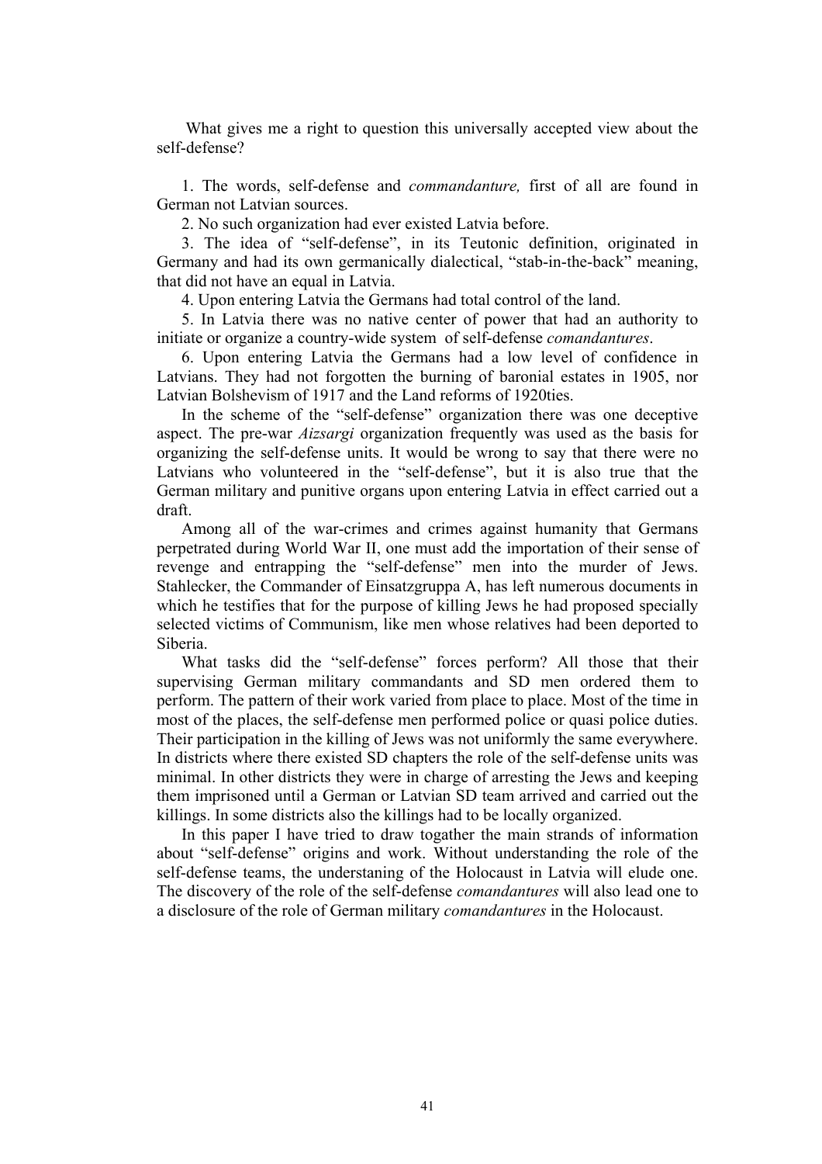What gives me a right to question this universally accepted view about the self-defense?

1. The words, self-defense and *commandanture,* first of all are found in German not Latvian sources.

2. No such organization had ever existed Latvia before.

3. The idea of "self-defense", in its Teutonic definition, originated in Germany and had its own germanically dialectical, "stab-in-the-back" meaning, that did not have an equal in Latvia.

4. Upon entering Latvia the Germans had total control of the land.

5. In Latvia there was no native center of power that had an authority to initiate or organize a country-wide system of self-defense *comandantures*.

6. Upon entering Latvia the Germans had a low level of confidence in Latvians. They had not forgotten the burning of baronial estates in 1905, nor Latvian Bolshevism of 1917 and the Land reforms of 1920ties.

In the scheme of the "self-defense" organization there was one deceptive aspect. The pre-war *Aizsargi* organization frequently was used as the basis for organizing the self-defense units. It would be wrong to say that there were no Latvians who volunteered in the "self-defense", but it is also true that the German military and punitive organs upon entering Latvia in effect carried out a draft.

Among all of the war-crimes and crimes against humanity that Germans perpetrated during World War II, one must add the importation of their sense of revenge and entrapping the "self-defense" men into the murder of Jews. Stahlecker, the Commander of Einsatzgruppa A, has left numerous documents in which he testifies that for the purpose of killing Jews he had proposed specially selected victims of Communism, like men whose relatives had been deported to Siberia.

What tasks did the "self-defense" forces perform? All those that their supervising German military commandants and SD men ordered them to perform. The pattern of their work varied from place to place. Most of the time in most of the places, the self-defense men performed police or quasi police duties. Their participation in the killing of Jews was not uniformly the same everywhere. In districts where there existed SD chapters the role of the self-defense units was minimal. In other districts they were in charge of arresting the Jews and keeping them imprisoned until a German or Latvian SD team arrived and carried out the killings. In some districts also the killings had to be locally organized.

In this paper I have tried to draw togather the main strands of information about "self-defense" origins and work. Without understanding the role of the self-defense teams, the understaning of the Holocaust in Latvia will elude one. The discovery of the role of the self-defense *comandantures* will also lead one to a disclosure of the role of German military *comandantures* in the Holocaust.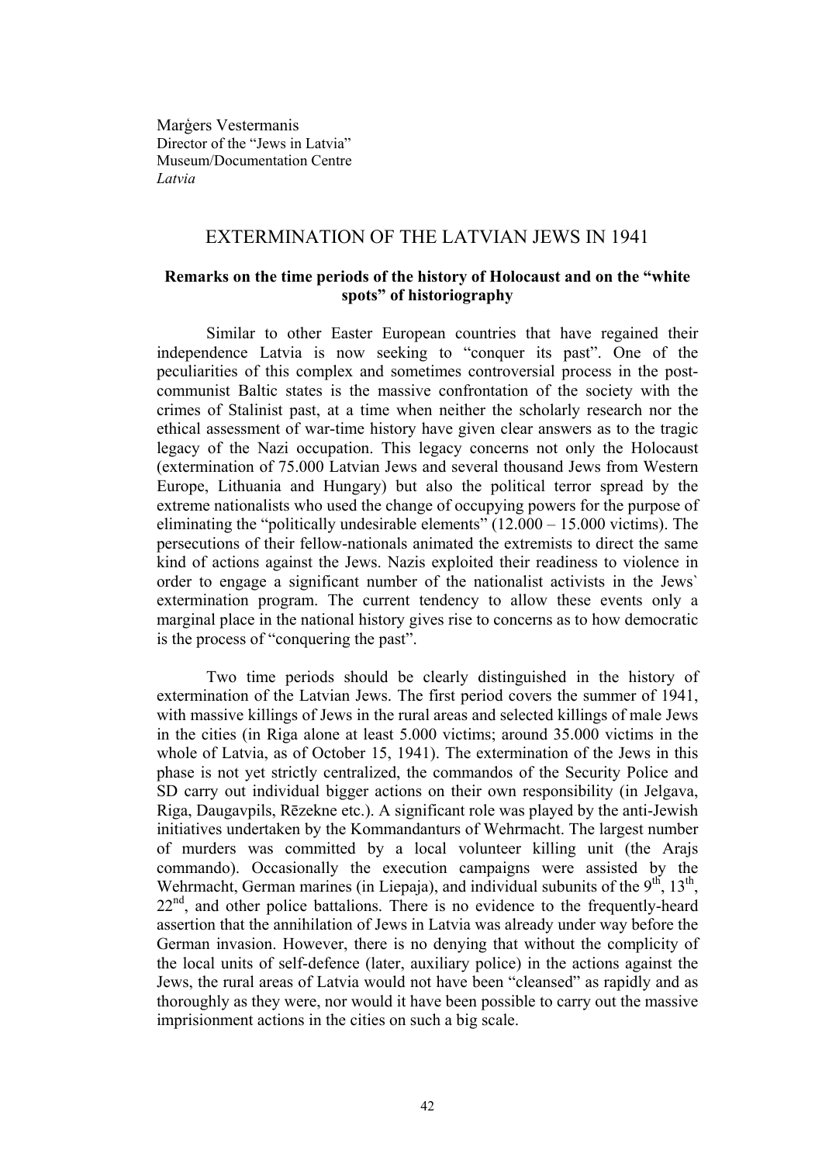Marģers Vestermanis Director of the "Jews in Latvia" Museum/Documentation Centre *Latvia* 

#### EXTERMINATION OF THE LATVIAN JEWS IN 1941

#### **Remarks on the time periods of the history of Holocaust and on the "white spots" of historiography**

 Similar to other Easter European countries that have regained their independence Latvia is now seeking to "conquer its past". One of the peculiarities of this complex and sometimes controversial process in the postcommunist Baltic states is the massive confrontation of the society with the crimes of Stalinist past, at a time when neither the scholarly research nor the ethical assessment of war-time history have given clear answers as to the tragic legacy of the Nazi occupation. This legacy concerns not only the Holocaust (extermination of 75.000 Latvian Jews and several thousand Jews from Western Europe, Lithuania and Hungary) but also the political terror spread by the extreme nationalists who used the change of occupying powers for the purpose of eliminating the "politically undesirable elements" (12.000 – 15.000 victims). The persecutions of their fellow-nationals animated the extremists to direct the same kind of actions against the Jews. Nazis exploited their readiness to violence in order to engage a significant number of the nationalist activists in the Jews` extermination program. The current tendency to allow these events only a marginal place in the national history gives rise to concerns as to how democratic is the process of "conquering the past".

 Two time periods should be clearly distinguished in the history of extermination of the Latvian Jews. The first period covers the summer of 1941, with massive killings of Jews in the rural areas and selected killings of male Jews in the cities (in Riga alone at least 5.000 victims; around 35.000 victims in the whole of Latvia, as of October 15, 1941). The extermination of the Jews in this phase is not yet strictly centralized, the commandos of the Security Police and SD carry out individual bigger actions on their own responsibility (in Jelgava, Riga, Daugavpils, Rēzekne etc.). A significant role was played by the anti-Jewish initiatives undertaken by the Kommandanturs of Wehrmacht. The largest number of murders was committed by a local volunteer killing unit (the Arajs commando). Occasionally the execution campaigns were assisted by the Wehrmacht, German marines (in Liepaja), and individual subunits of the  $9<sup>th</sup>$ ,  $13<sup>th</sup>$ ,  $22<sup>nd</sup>$ , and other police battalions. There is no evidence to the frequently-heard assertion that the annihilation of Jews in Latvia was already under way before the German invasion. However, there is no denying that without the complicity of the local units of self-defence (later, auxiliary police) in the actions against the Jews, the rural areas of Latvia would not have been "cleansed" as rapidly and as thoroughly as they were, nor would it have been possible to carry out the massive imprisionment actions in the cities on such a big scale.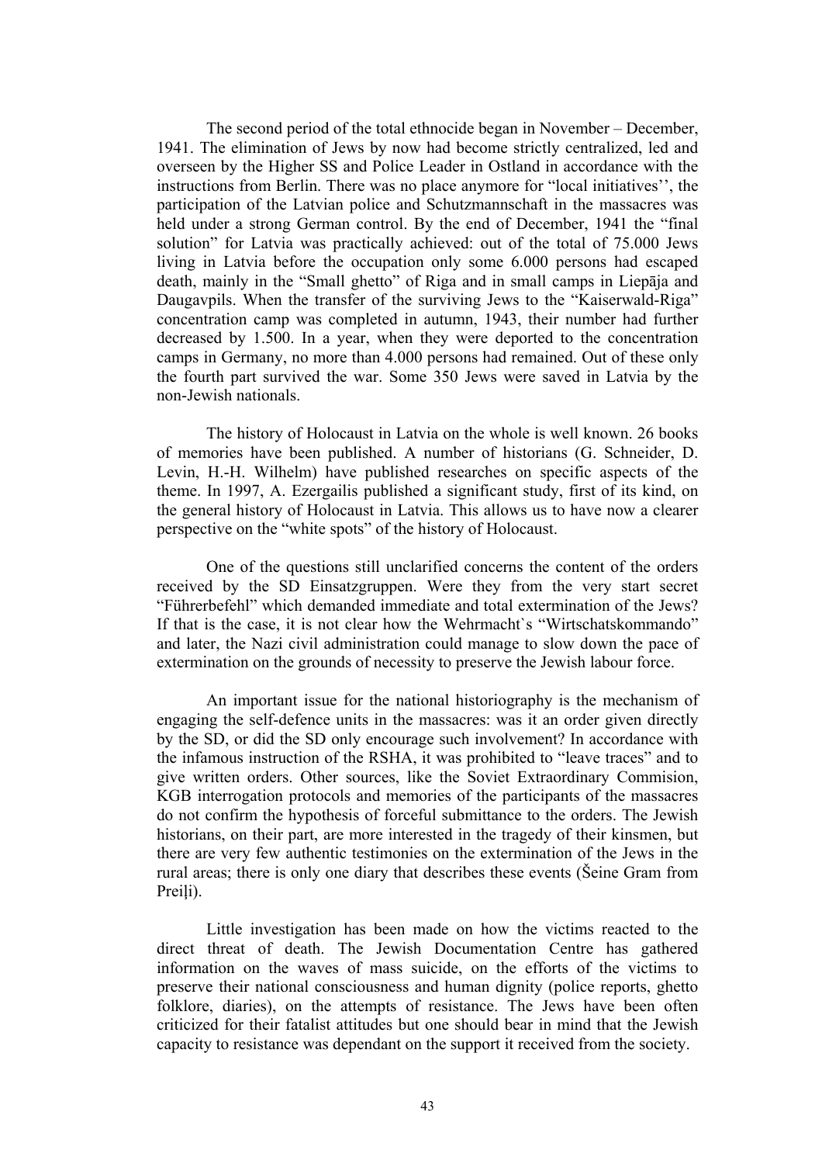The second period of the total ethnocide began in November – December, 1941. The elimination of Jews by now had become strictly centralized, led and overseen by the Higher SS and Police Leader in Ostland in accordance with the instructions from Berlin. There was no place anymore for "local initiatives'', the participation of the Latvian police and Schutzmannschaft in the massacres was held under a strong German control. By the end of December, 1941 the "final solution" for Latvia was practically achieved: out of the total of 75.000 Jews living in Latvia before the occupation only some 6.000 persons had escaped death, mainly in the "Small ghetto" of Riga and in small camps in Liepāja and Daugavpils. When the transfer of the surviving Jews to the "Kaiserwald-Riga" concentration camp was completed in autumn, 1943, their number had further decreased by 1.500. In a year, when they were deported to the concentration camps in Germany, no more than 4.000 persons had remained. Out of these only the fourth part survived the war. Some 350 Jews were saved in Latvia by the non-Jewish nationals.

 The history of Holocaust in Latvia on the whole is well known. 26 books of memories have been published. A number of historians (G. Schneider, D. Levin, H.-H. Wilhelm) have published researches on specific aspects of the theme. In 1997, A. Ezergailis published a significant study, first of its kind, on the general history of Holocaust in Latvia. This allows us to have now a clearer perspective on the "white spots" of the history of Holocaust.

 One of the questions still unclarified concerns the content of the orders received by the SD Einsatzgruppen. Were they from the very start secret "Führerbefehl" which demanded immediate and total extermination of the Jews? If that is the case, it is not clear how the Wehrmacht`s "Wirtschatskommando" and later, the Nazi civil administration could manage to slow down the pace of extermination on the grounds of necessity to preserve the Jewish labour force.

 An important issue for the national historiography is the mechanism of engaging the self-defence units in the massacres: was it an order given directly by the SD, or did the SD only encourage such involvement? In accordance with the infamous instruction of the RSHA, it was prohibited to "leave traces" and to give written orders. Other sources, like the Soviet Extraordinary Commision, KGB interrogation protocols and memories of the participants of the massacres do not confirm the hypothesis of forceful submittance to the orders. The Jewish historians, on their part, are more interested in the tragedy of their kinsmen, but there are very few authentic testimonies on the extermination of the Jews in the rural areas; there is only one diary that describes these events (Šeine Gram from Preili).

 Little investigation has been made on how the victims reacted to the direct threat of death. The Jewish Documentation Centre has gathered information on the waves of mass suicide, on the efforts of the victims to preserve their national consciousness and human dignity (police reports, ghetto folklore, diaries), on the attempts of resistance. The Jews have been often criticized for their fatalist attitudes but one should bear in mind that the Jewish capacity to resistance was dependant on the support it received from the society.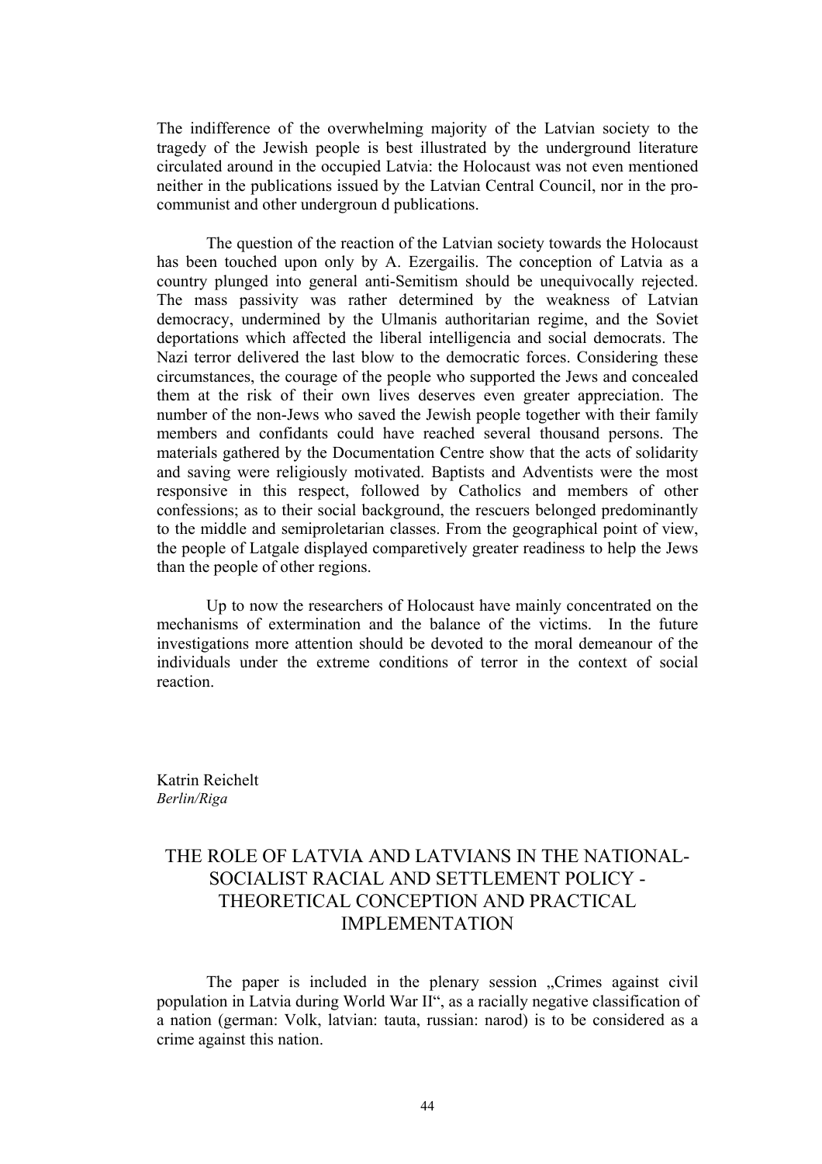The indifference of the overwhelming majority of the Latvian society to the tragedy of the Jewish people is best illustrated by the underground literature circulated around in the occupied Latvia: the Holocaust was not even mentioned neither in the publications issued by the Latvian Central Council, nor in the procommunist and other undergroun d publications.

 The question of the reaction of the Latvian society towards the Holocaust has been touched upon only by A. Ezergailis. The conception of Latvia as a country plunged into general anti-Semitism should be unequivocally rejected. The mass passivity was rather determined by the weakness of Latvian democracy, undermined by the Ulmanis authoritarian regime, and the Soviet deportations which affected the liberal intelligencia and social democrats. The Nazi terror delivered the last blow to the democratic forces. Considering these circumstances, the courage of the people who supported the Jews and concealed them at the risk of their own lives deserves even greater appreciation. The number of the non-Jews who saved the Jewish people together with their family members and confidants could have reached several thousand persons. The materials gathered by the Documentation Centre show that the acts of solidarity and saving were religiously motivated. Baptists and Adventists were the most responsive in this respect, followed by Catholics and members of other confessions; as to their social background, the rescuers belonged predominantly to the middle and semiproletarian classes. From the geographical point of view, the people of Latgale displayed comparetively greater readiness to help the Jews than the people of other regions.

 Up to now the researchers of Holocaust have mainly concentrated on the mechanisms of extermination and the balance of the victims. In the future investigations more attention should be devoted to the moral demeanour of the individuals under the extreme conditions of terror in the context of social reaction.

Katrin Reichelt *Berlin/Riga* 

# THE ROLE OF LATVIA AND LATVIANS IN THE NATIONAL-SOCIALIST RACIAL AND SETTLEMENT POLICY - THEORETICAL CONCEPTION AND PRACTICAL IMPLEMENTATION

The paper is included in the plenary session "Crimes against civil" population in Latvia during World War II", as a racially negative classification of a nation (german: Volk, latvian: tauta, russian: narod) is to be considered as a crime against this nation.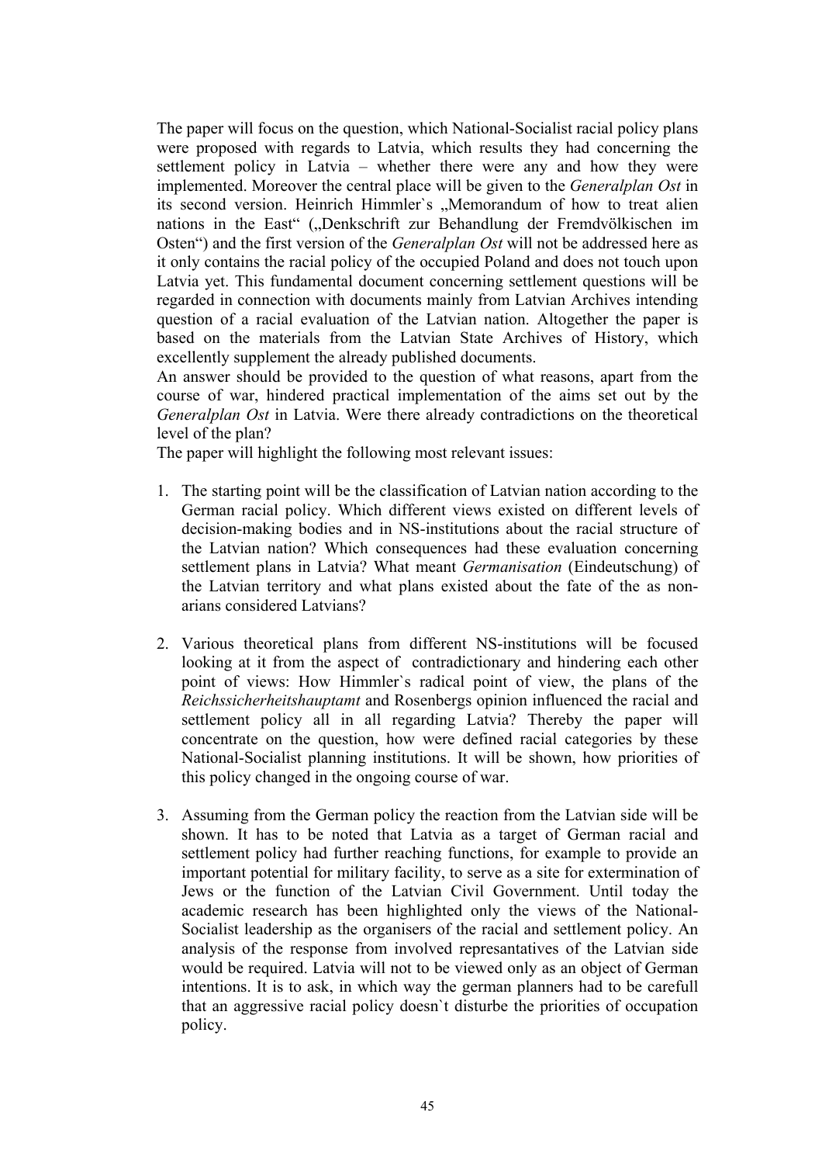The paper will focus on the question, which National-Socialist racial policy plans were proposed with regards to Latvia, which results they had concerning the settlement policy in Latvia – whether there were any and how they were implemented. Moreover the central place will be given to the *Generalplan Ost* in its second version. Heinrich Himmler's "Memorandum of how to treat alien nations in the East" ("Denkschrift zur Behandlung der Fremdvölkischen im Osten") and the first version of the *Generalplan Ost* will not be addressed here as it only contains the racial policy of the occupied Poland and does not touch upon Latvia yet. This fundamental document concerning settlement questions will be regarded in connection with documents mainly from Latvian Archives intending question of a racial evaluation of the Latvian nation. Altogether the paper is based on the materials from the Latvian State Archives of History, which excellently supplement the already published documents.

An answer should be provided to the question of what reasons, apart from the course of war, hindered practical implementation of the aims set out by the *Generalplan Ost* in Latvia. Were there already contradictions on the theoretical level of the plan?

The paper will highlight the following most relevant issues:

- 1. The starting point will be the classification of Latvian nation according to the German racial policy. Which different views existed on different levels of decision-making bodies and in NS-institutions about the racial structure of the Latvian nation? Which consequences had these evaluation concerning settlement plans in Latvia? What meant *Germanisation* (Eindeutschung) of the Latvian territory and what plans existed about the fate of the as nonarians considered Latvians?
- 2. Various theoretical plans from different NS-institutions will be focused looking at it from the aspect of contradictionary and hindering each other point of views: How Himmler`s radical point of view, the plans of the *Reichssicherheitshauptamt* and Rosenbergs opinion influenced the racial and settlement policy all in all regarding Latvia? Thereby the paper will concentrate on the question, how were defined racial categories by these National-Socialist planning institutions. It will be shown, how priorities of this policy changed in the ongoing course of war.
- 3. Assuming from the German policy the reaction from the Latvian side will be shown. It has to be noted that Latvia as a target of German racial and settlement policy had further reaching functions, for example to provide an important potential for military facility, to serve as a site for extermination of Jews or the function of the Latvian Civil Government. Until today the academic research has been highlighted only the views of the National-Socialist leadership as the organisers of the racial and settlement policy. An analysis of the response from involved represantatives of the Latvian side would be required. Latvia will not to be viewed only as an object of German intentions. It is to ask, in which way the german planners had to be carefull that an aggressive racial policy doesn`t disturbe the priorities of occupation policy.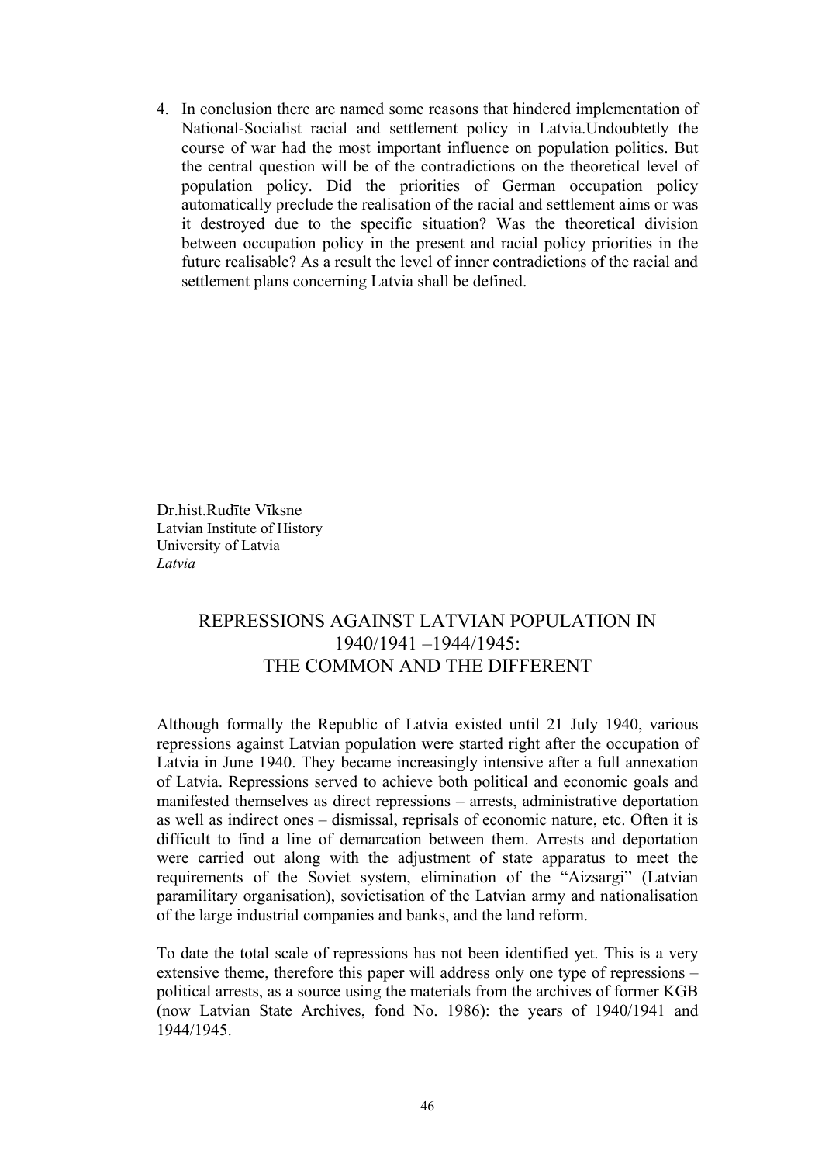4. In conclusion there are named some reasons that hindered implementation of National-Socialist racial and settlement policy in Latvia.Undoubtetly the course of war had the most important influence on population politics. But the central question will be of the contradictions on the theoretical level of population policy. Did the priorities of German occupation policy automatically preclude the realisation of the racial and settlement aims or was it destroyed due to the specific situation? Was the theoretical division between occupation policy in the present and racial policy priorities in the future realisable? As a result the level of inner contradictions of the racial and settlement plans concerning Latvia shall be defined.

Dr.hist.Rudīte Vīksne Latvian Institute of History University of Latvia *Latvia* 

### REPRESSIONS AGAINST LATVIAN POPULATION IN 1940/1941 –1944/1945: THE COMMON AND THE DIFFERENT

Although formally the Republic of Latvia existed until 21 July 1940, various repressions against Latvian population were started right after the occupation of Latvia in June 1940. They became increasingly intensive after a full annexation of Latvia. Repressions served to achieve both political and economic goals and manifested themselves as direct repressions – arrests, administrative deportation as well as indirect ones – dismissal, reprisals of economic nature, etc. Often it is difficult to find a line of demarcation between them. Arrests and deportation were carried out along with the adjustment of state apparatus to meet the requirements of the Soviet system, elimination of the "Aizsargi" (Latvian paramilitary organisation), sovietisation of the Latvian army and nationalisation of the large industrial companies and banks, and the land reform.

To date the total scale of repressions has not been identified yet. This is a very extensive theme, therefore this paper will address only one type of repressions – political arrests, as a source using the materials from the archives of former KGB (now Latvian State Archives, fond No. 1986): the years of 1940/1941 and 1944/1945.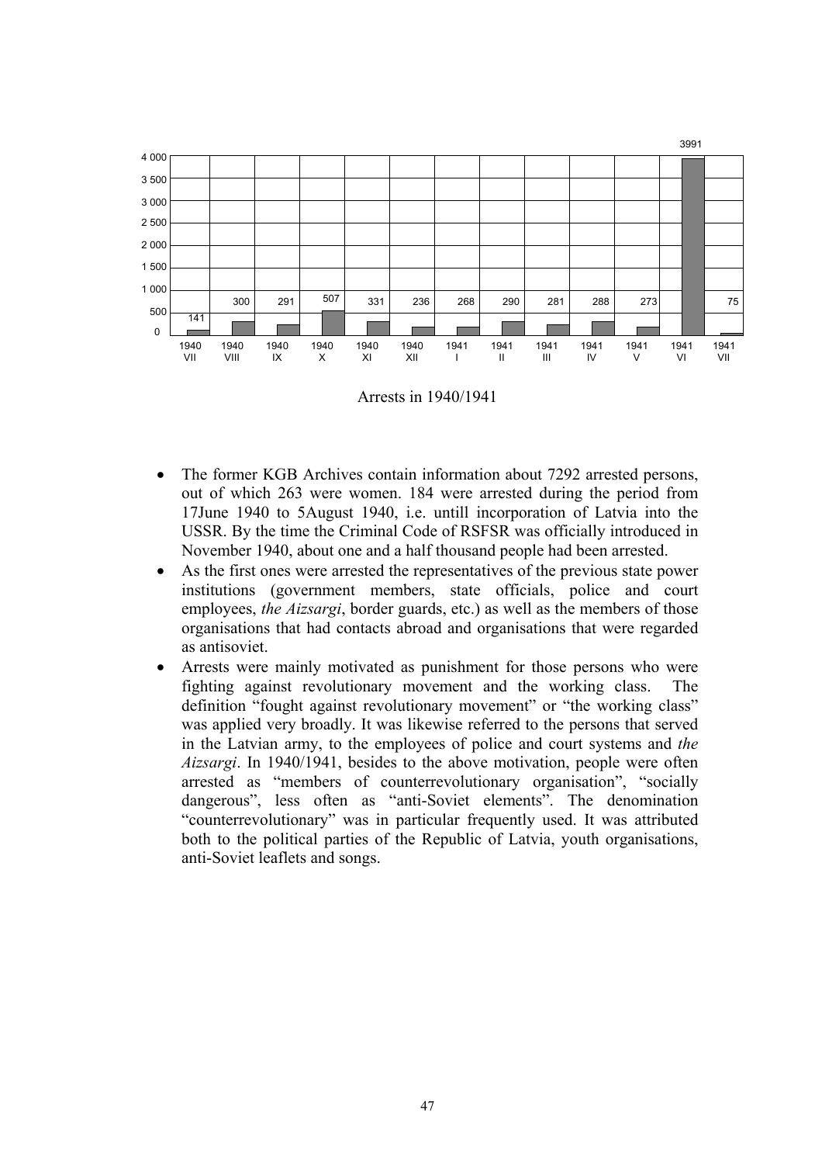

Arrests in 1940/1941

- The former KGB Archives contain information about 7292 arrested persons, out of which 263 were women. 184 were arrested during the period from 17June 1940 to 5August 1940, i.e. untill incorporation of Latvia into the USSR. By the time the Criminal Code of RSFSR was officially introduced in November 1940, about one and a half thousand people had been arrested.
- As the first ones were arrested the representatives of the previous state power institutions (government members, state officials, police and court employees, *the Aizsargi*, border guards, etc.) as well as the members of those organisations that had contacts abroad and organisations that were regarded as antisoviet.
- Arrests were mainly motivated as punishment for those persons who were fighting against revolutionary movement and the working class. The definition "fought against revolutionary movement" or "the working class" was applied very broadly. It was likewise referred to the persons that served in the Latvian army, to the employees of police and court systems and *the Aizsargi*. In 1940/1941, besides to the above motivation, people were often arrested as "members of counterrevolutionary organisation", "socially dangerous", less often as "anti-Soviet elements". The denomination "counterrevolutionary" was in particular frequently used. It was attributed both to the political parties of the Republic of Latvia, youth organisations, anti-Soviet leaflets and songs.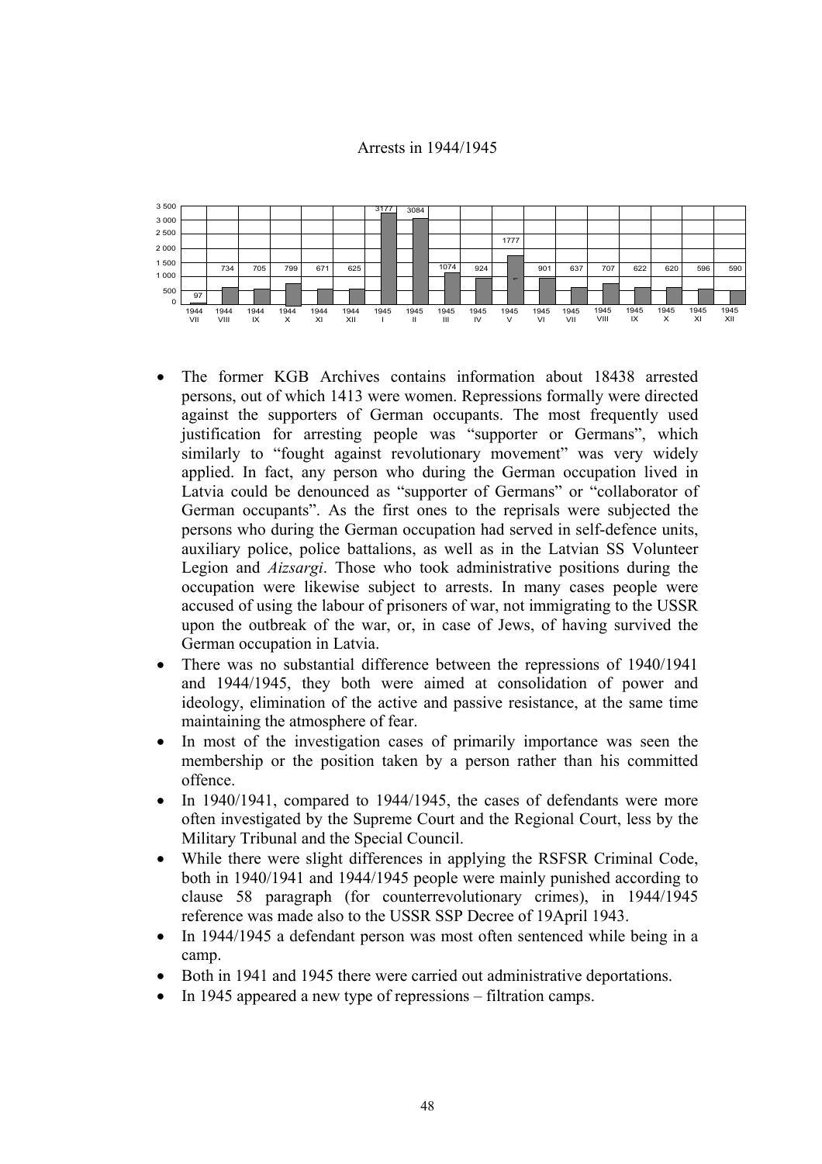#### Arrests in 1944/1945



- The former KGB Archives contains information about 18438 arrested persons, out of which 1413 were women. Repressions formally were directed against the supporters of German occupants. The most frequently used justification for arresting people was "supporter or Germans", which similarly to "fought against revolutionary movement" was very widely applied. In fact, any person who during the German occupation lived in Latvia could be denounced as "supporter of Germans" or "collaborator of German occupants". As the first ones to the reprisals were subjected the persons who during the German occupation had served in self-defence units, auxiliary police, police battalions, as well as in the Latvian SS Volunteer Legion and *Aizsargi*. Those who took administrative positions during the occupation were likewise subject to arrests. In many cases people were accused of using the labour of prisoners of war, not immigrating to the USSR upon the outbreak of the war, or, in case of Jews, of having survived the German occupation in Latvia.
- There was no substantial difference between the repressions of 1940/1941 and 1944/1945, they both were aimed at consolidation of power and ideology, elimination of the active and passive resistance, at the same time maintaining the atmosphere of fear.
- In most of the investigation cases of primarily importance was seen the membership or the position taken by a person rather than his committed offence.
- In 1940/1941, compared to 1944/1945, the cases of defendants were more often investigated by the Supreme Court and the Regional Court, less by the Military Tribunal and the Special Council.
- While there were slight differences in applying the RSFSR Criminal Code, both in 1940/1941 and 1944/1945 people were mainly punished according to clause 58 paragraph (for counterrevolutionary crimes), in 1944/1945 reference was made also to the USSR SSP Decree of 19April 1943.
- In 1944/1945 a defendant person was most often sentenced while being in a camp.
- Both in 1941 and 1945 there were carried out administrative deportations.
- In 1945 appeared a new type of repressions filtration camps.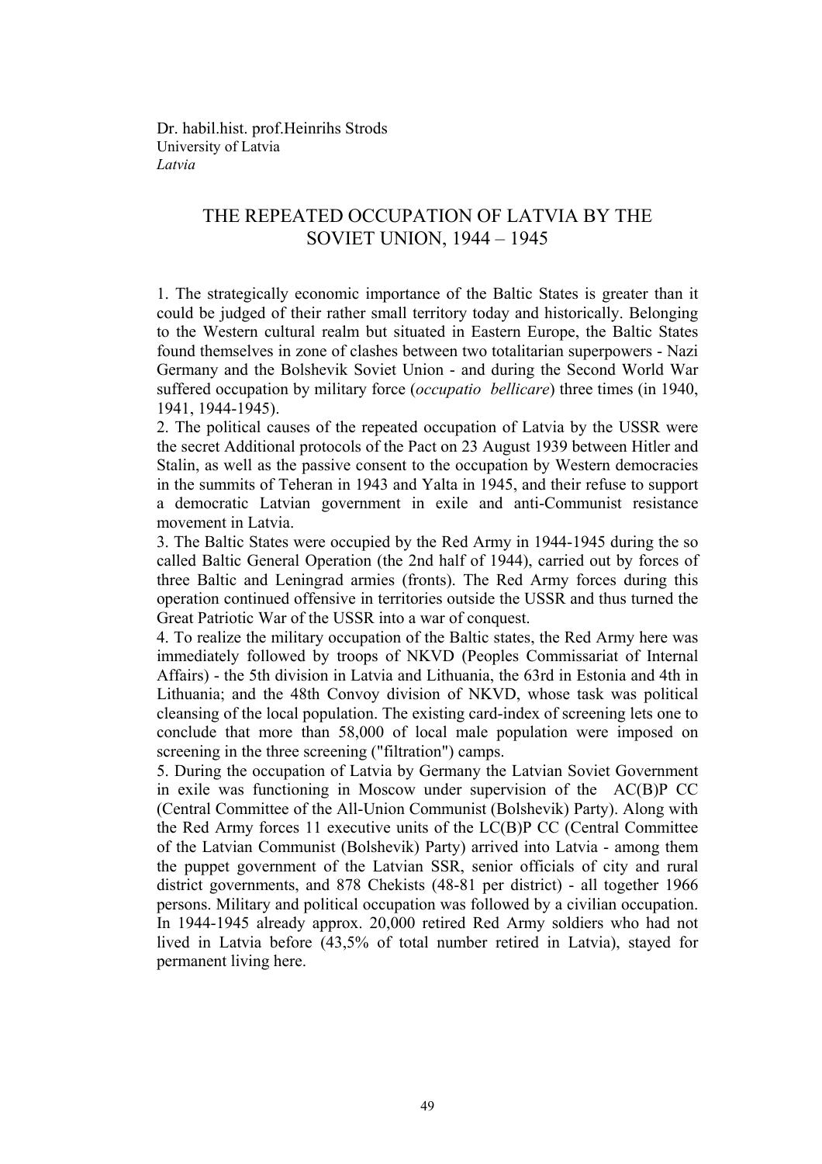Dr. habil.hist. prof.Heinrihs Strods University of Latvia *Latvia* 

#### THE REPEATED OCCUPATION OF LATVIA BY THE SOVIET UNION, 1944 – 1945

1. The strategically economic importance of the Baltic States is greater than it could be judged of their rather small territory today and historically. Belonging to the Western cultural realm but situated in Eastern Europe, the Baltic States found themselves in zone of clashes between two totalitarian superpowers - Nazi Germany and the Bolshevik Soviet Union - and during the Second World War suffered occupation by military force (*occupatio bellicare*) three times (in 1940, 1941, 1944-1945).

2. The political causes of the repeated occupation of Latvia by the USSR were the secret Additional protocols of the Pact on 23 August 1939 between Hitler and Stalin, as well as the passive consent to the occupation by Western democracies in the summits of Teheran in 1943 and Yalta in 1945, and their refuse to support a democratic Latvian government in exile and anti-Communist resistance movement in Latvia.

3. The Baltic States were occupied by the Red Army in 1944-1945 during the so called Baltic General Operation (the 2nd half of 1944), carried out by forces of three Baltic and Leningrad armies (fronts). The Red Army forces during this operation continued offensive in territories outside the USSR and thus turned the Great Patriotic War of the USSR into a war of conquest.

4. To realize the military occupation of the Baltic states, the Red Army here was immediately followed by troops of NKVD (Peoples Commissariat of Internal Affairs) - the 5th division in Latvia and Lithuania, the 63rd in Estonia and 4th in Lithuania; and the 48th Convoy division of NKVD, whose task was political cleansing of the local population. The existing card-index of screening lets one to conclude that more than 58,000 of local male population were imposed on screening in the three screening ("filtration") camps.

5. During the occupation of Latvia by Germany the Latvian Soviet Government in exile was functioning in Moscow under supervision of the AC(B)P CC (Central Committee of the All-Union Communist (Bolshevik) Party). Along with the Red Army forces 11 executive units of the LC(B)P CC (Central Committee of the Latvian Communist (Bolshevik) Party) arrived into Latvia - among them the puppet government of the Latvian SSR, senior officials of city and rural district governments, and 878 Chekists (48-81 per district) - all together 1966 persons. Military and political occupation was followed by a civilian occupation. In 1944-1945 already approx. 20,000 retired Red Army soldiers who had not lived in Latvia before (43,5% of total number retired in Latvia), stayed for permanent living here.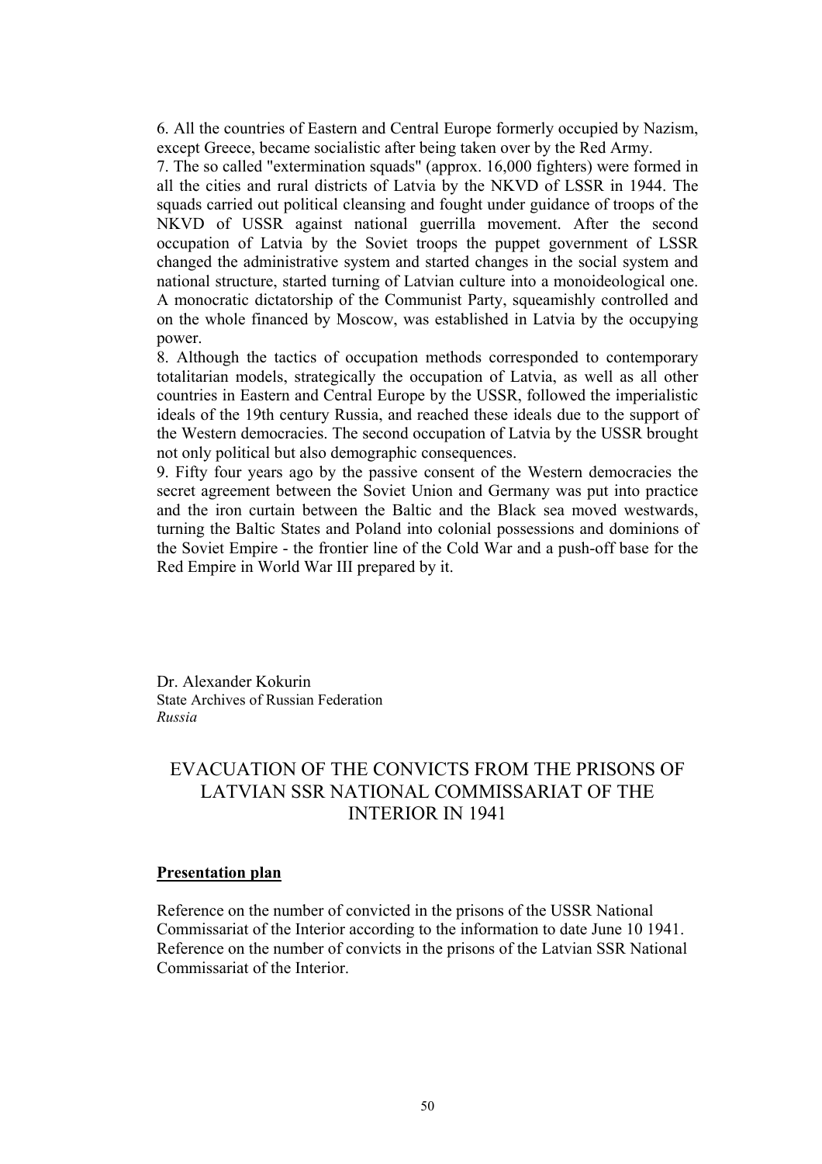6. All the countries of Eastern and Central Europe formerly occupied by Nazism, except Greece, became socialistic after being taken over by the Red Army.

7. The so called "extermination squads" (approx. 16,000 fighters) were formed in all the cities and rural districts of Latvia by the NKVD of LSSR in 1944. The squads carried out political cleansing and fought under guidance of troops of the NKVD of USSR against national guerrilla movement. After the second occupation of Latvia by the Soviet troops the puppet government of LSSR changed the administrative system and started changes in the social system and national structure, started turning of Latvian culture into a monoideological one. A monocratic dictatorship of the Communist Party, squeamishly controlled and on the whole financed by Moscow, was established in Latvia by the occupying power.

8. Although the tactics of occupation methods corresponded to contemporary totalitarian models, strategically the occupation of Latvia, as well as all other countries in Eastern and Central Europe by the USSR, followed the imperialistic ideals of the 19th century Russia, and reached these ideals due to the support of the Western democracies. The second occupation of Latvia by the USSR brought not only political but also demographic consequences.

9. Fifty four years ago by the passive consent of the Western democracies the secret agreement between the Soviet Union and Germany was put into practice and the iron curtain between the Baltic and the Black sea moved westwards, turning the Baltic States and Poland into colonial possessions and dominions of the Soviet Empire - the frontier line of the Cold War and a push-off base for the Red Empire in World War III prepared by it.

Dr. Alexander Kokurin State Archives of Russian Federation *Russia* 

## EVACUATION OF THE CONVICTS FROM THE PRISONS OF LATVIAN SSR NATIONAL COMMISSARIAT OF THE INTERIOR IN 1941

#### **Presentation plan**

Reference on the number of convicted in the prisons of the USSR National Commissariat of the Interior according to the information to date June 10 1941. Reference on the number of convicts in the prisons of the Latvian SSR National Commissariat of the Interior.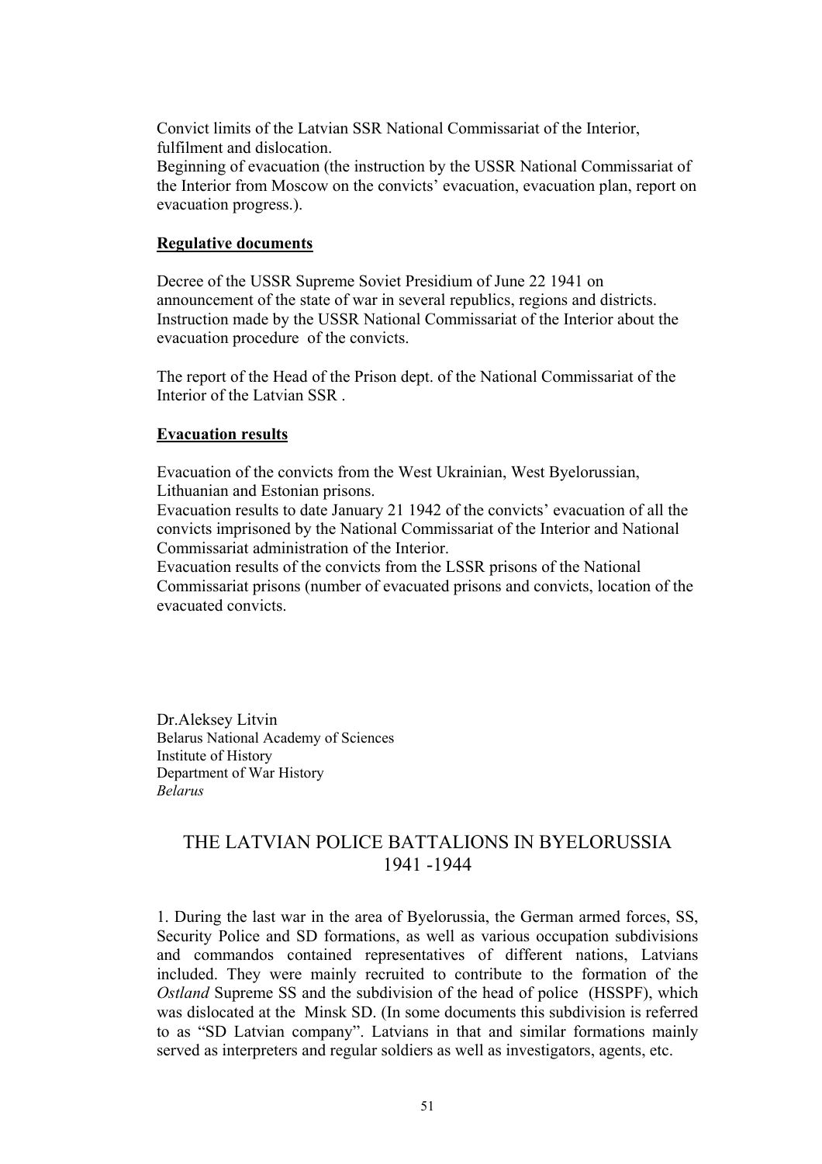Convict limits of the Latvian SSR National Commissariat of the Interior, fulfilment and dislocation.

Beginning of evacuation (the instruction by the USSR National Commissariat of the Interior from Moscow on the convicts' evacuation, evacuation plan, report on evacuation progress.).

#### **Regulative documents**

Decree of the USSR Supreme Soviet Presidium of June 22 1941 on announcement of the state of war in several republics, regions and districts. Instruction made by the USSR National Commissariat of the Interior about the evacuation procedure of the convicts.

The report of the Head of the Prison dept. of the National Commissariat of the Interior of the Latvian SSR .

#### **Evacuation results**

Evacuation of the convicts from the West Ukrainian, West Byelorussian, Lithuanian and Estonian prisons.

Evacuation results to date January 21 1942 of the convicts' evacuation of all the convicts imprisoned by the National Commissariat of the Interior and National Commissariat administration of the Interior.

Evacuation results of the convicts from the LSSR prisons of the National Commissariat prisons (number of evacuated prisons and convicts, location of the evacuated convicts.

Dr.Aleksey Litvin Belarus National Academy of Sciences Institute of History Department of War History *Belarus* 

#### THE LATVIAN POLICE BATTALIONS IN BYELORUSSIA 1941 -1944

1. During the last war in the area of Byelorussia, the German armed forces, SS, Security Police and SD formations, as well as various occupation subdivisions and commandos contained representatives of different nations, Latvians included. They were mainly recruited to contribute to the formation of the *Ostland* Supreme SS and the subdivision of the head of police (HSSPF), which was dislocated at the Minsk SD. (In some documents this subdivision is referred to as "SD Latvian company". Latvians in that and similar formations mainly served as interpreters and regular soldiers as well as investigators, agents, etc.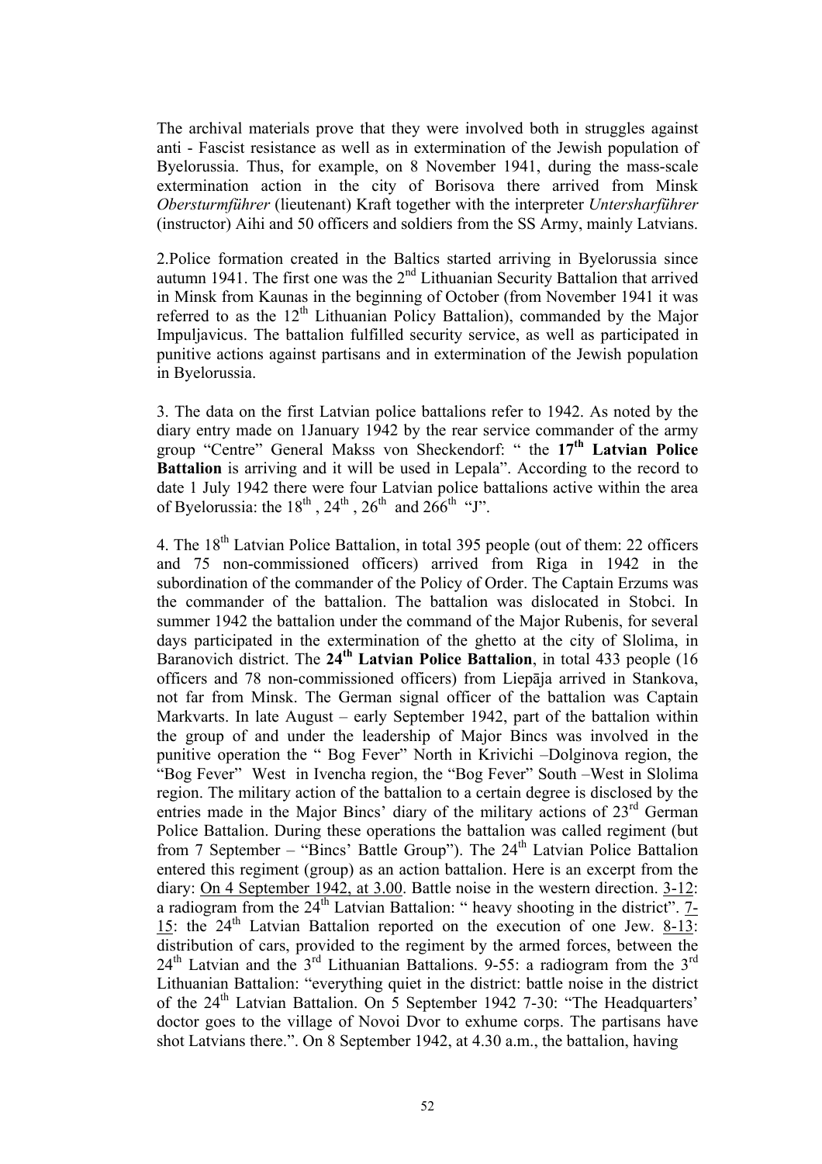The archival materials prove that they were involved both in struggles against anti - Fascist resistance as well as in extermination of the Jewish population of Byelorussia. Thus, for example, on 8 November 1941, during the mass-scale extermination action in the city of Borisova there arrived from Minsk *Obersturmführer* (lieutenant) Kraft together with the interpreter *Untersharführer* (instructor) Aihi and 50 officers and soldiers from the SS Army, mainly Latvians.

2.Police formation created in the Baltics started arriving in Byelorussia since autumn 1941. The first one was the  $2<sup>nd</sup>$  Lithuanian Security Battalion that arrived in Minsk from Kaunas in the beginning of October (from November 1941 it was referred to as the  $12<sup>th</sup>$  Lithuanian Policy Battalion), commanded by the Major Impuljavicus. The battalion fulfilled security service, as well as participated in punitive actions against partisans and in extermination of the Jewish population in Byelorussia.

3. The data on the first Latvian police battalions refer to 1942. As noted by the diary entry made on 1January 1942 by the rear service commander of the army group "Centre" General Makss von Sheckendorf: " the **17th Latvian Police Battalion** is arriving and it will be used in Lepala". According to the record to date 1 July 1942 there were four Latvian police battalions active within the area of Byelorussia: the  $18^{th}$ ,  $24^{th}$ ,  $26^{th}$  and  $266^{th}$  "J".

4. The 18<sup>th</sup> Latvian Police Battalion, in total 395 people (out of them: 22 officers and 75 non-commissioned officers) arrived from Riga in 1942 in the subordination of the commander of the Policy of Order. The Captain Erzums was the commander of the battalion. The battalion was dislocated in Stobci. In summer 1942 the battalion under the command of the Major Rubenis, for several days participated in the extermination of the ghetto at the city of Slolima, in Baranovich district. The **24th Latvian Police Battalion**, in total 433 people (16 officers and 78 non-commissioned officers) from Liepāja arrived in Stankova, not far from Minsk. The German signal officer of the battalion was Captain Markvarts. In late August – early September 1942, part of the battalion within the group of and under the leadership of Major Bincs was involved in the punitive operation the " Bog Fever" North in Krivichi –Dolginova region, the "Bog Fever" West in Ivencha region, the "Bog Fever" South –West in Slolima region. The military action of the battalion to a certain degree is disclosed by the entries made in the Major Bincs' diary of the military actions of 23<sup>rd</sup> German Police Battalion. During these operations the battalion was called regiment (but from 7 September – "Bincs' Battle Group"). The  $24<sup>th</sup>$  Latvian Police Battalion entered this regiment (group) as an action battalion. Here is an excerpt from the diary: On 4 September 1942, at 3.00. Battle noise in the western direction. 3-12: a radiogram from the  $24<sup>th</sup>$  Latvian Battalion: " heavy shooting in the district".  $7$ -15: the  $24<sup>th</sup>$  Latvian Battalion reported on the execution of one Jew. <u>8-13</u>: distribution of cars, provided to the regiment by the armed forces, between the  $24<sup>th</sup>$  Latvian and the  $3<sup>rd</sup>$  Lithuanian Battalions. 9-55: a radiogram from the  $3<sup>rd</sup>$ Lithuanian Battalion: "everything quiet in the district: battle noise in the district of the 24<sup>th</sup> Latvian Battalion. On 5 September 1942 7-30: "The Headquarters' doctor goes to the village of Novoi Dvor to exhume corps. The partisans have shot Latvians there.". On 8 September 1942, at 4.30 a.m., the battalion, having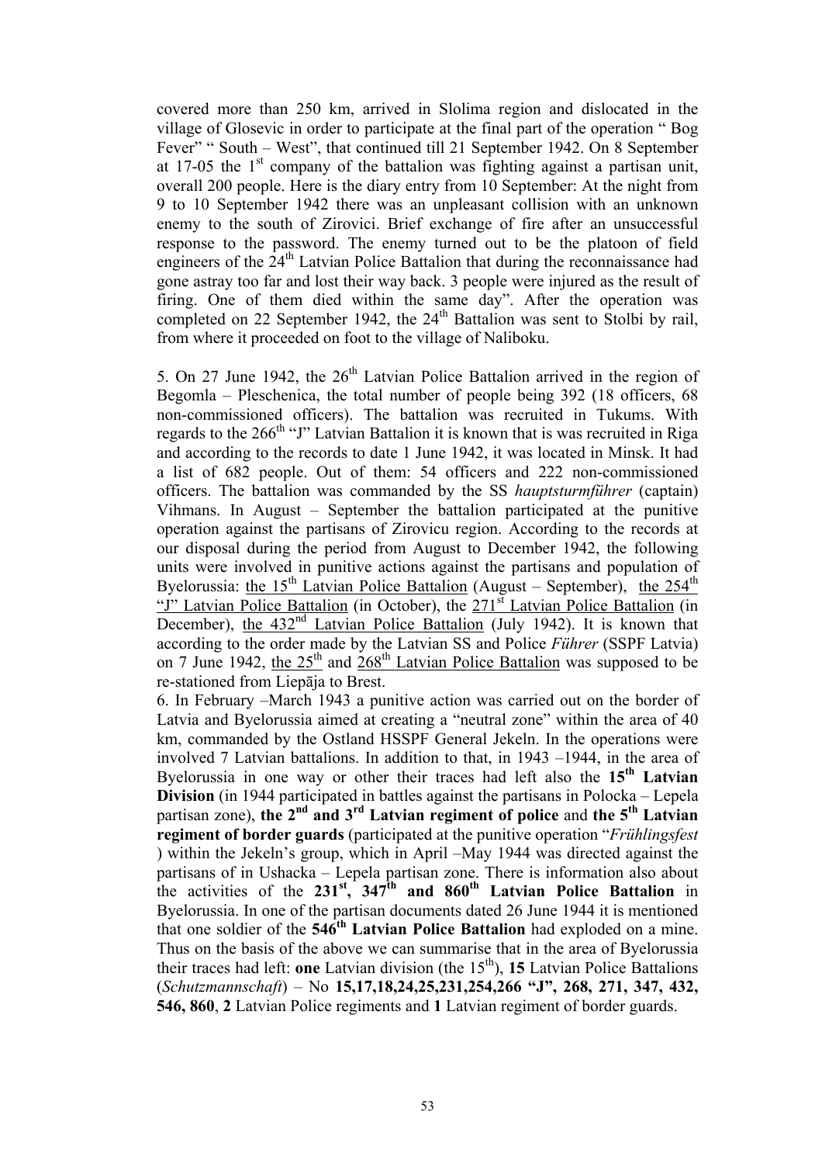covered more than 250 km, arrived in Slolima region and dislocated in the village of Glosevic in order to participate at the final part of the operation " Bog Fever" " South – West", that continued till 21 September 1942. On 8 September at 17-05 the  $1<sup>st</sup>$  company of the battalion was fighting against a partisan unit, overall 200 people. Here is the diary entry from 10 September: At the night from 9 to 10 September 1942 there was an unpleasant collision with an unknown enemy to the south of Zirovici. Brief exchange of fire after an unsuccessful response to the password. The enemy turned out to be the platoon of field engineers of the 24<sup>th</sup> Latvian Police Battalion that during the reconnaissance had gone astray too far and lost their way back. 3 people were injured as the result of firing. One of them died within the same day". After the operation was completed on 22 September 1942, the  $24<sup>th</sup>$  Battalion was sent to Stolbi by rail, from where it proceeded on foot to the village of Naliboku.

5. On 27 June 1942, the  $26<sup>th</sup>$  Latvian Police Battalion arrived in the region of Begomla – Pleschenica, the total number of people being 392 (18 officers, 68 non-commissioned officers). The battalion was recruited in Tukums. With regards to the  $266<sup>th</sup>$  "J" Latvian Battalion it is known that is was recruited in Riga and according to the records to date 1 June 1942, it was located in Minsk. It had a list of 682 people. Out of them: 54 officers and 222 non-commissioned officers. The battalion was commanded by the SS *hauptsturmführer* (captain) Vihmans. In August – September the battalion participated at the punitive operation against the partisans of Zirovicu region. According to the records at our disposal during the period from August to December 1942, the following units were involved in punitive actions against the partisans and population of Byelorussia: the  $15<sup>th</sup>$  Latvian Police Battalion (August – September), the  $254<sup>th</sup>$ "J" Latvian Police Battalion (in October), the  $271<sup>st</sup>$  Latvian Police Battalion (in December), the 432<sup>nd</sup> Latvian Police Battalion (July 1942). It is known that according to the order made by the Latvian SS and Police *Führer* (SSPF Latvia) on 7 June 1942, the  $25<sup>th</sup>$  and  $268<sup>th</sup>$  Latvian Police Battalion was supposed to be re-stationed from Liepāja to Brest.

6. In February –March 1943 a punitive action was carried out on the border of Latvia and Byelorussia aimed at creating a "neutral zone" within the area of 40 km, commanded by the Ostland HSSPF General Jekeln. In the operations were involved 7 Latvian battalions. In addition to that, in 1943 –1944, in the area of Byelorussia in one way or other their traces had left also the **15th Latvian Division** (in 1944 participated in battles against the partisans in Polocka – Lepela partisan zone), the 2<sup>nd</sup> and 3<sup>rd</sup> Latvian regiment of police and the 5<sup>th</sup> Latvian **regiment of border guards** (participated at the punitive operation "*Frühlingsfest* ) within the Jekeln's group, which in April –May 1944 was directed against the partisans of in Ushacka – Lepela partisan zone. There is information also about the activities of the 231<sup>st</sup>, 347<sup>th</sup> and 860<sup>th</sup> Latvian Police Battalion in Byelorussia. In one of the partisan documents dated 26 June 1944 it is mentioned that one soldier of the **546th Latvian Police Battalion** had exploded on a mine. Thus on the basis of the above we can summarise that in the area of Byelorussia their traces had left: **one** Latvian division (the  $15<sup>th</sup>$ ), **15** Latvian Police Battalions (*Schutzmannschaft*) – No **15,17,18,24,25,231,254,266 "J", 268, 271, 347, 432, 546, 860**, **2** Latvian Police regiments and **1** Latvian regiment of border guards.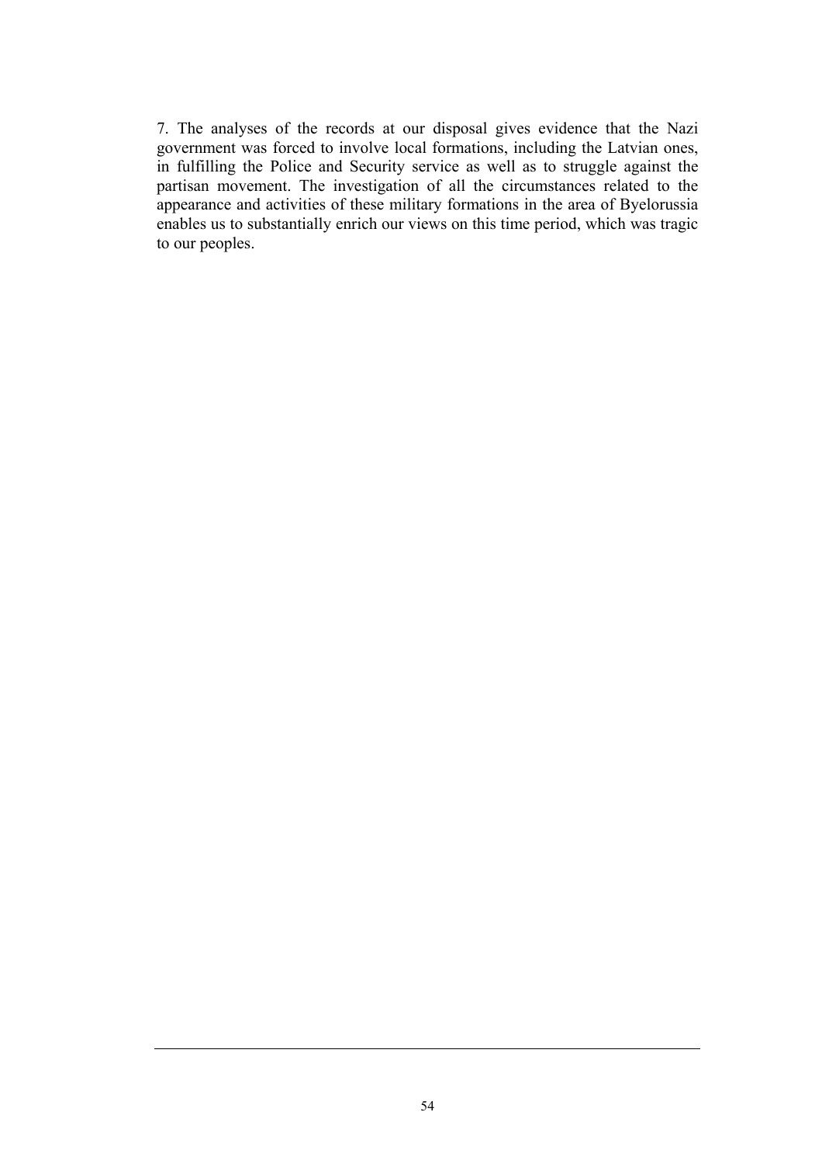7. The analyses of the records at our disposal gives evidence that the Nazi government was forced to involve local formations, including the Latvian ones, in fulfilling the Police and Security service as well as to struggle against the partisan movement. The investigation of all the circumstances related to the appearance and activities of these military formations in the area of Byelorussia enables us to substantially enrich our views on this time period, which was tragic to our peoples.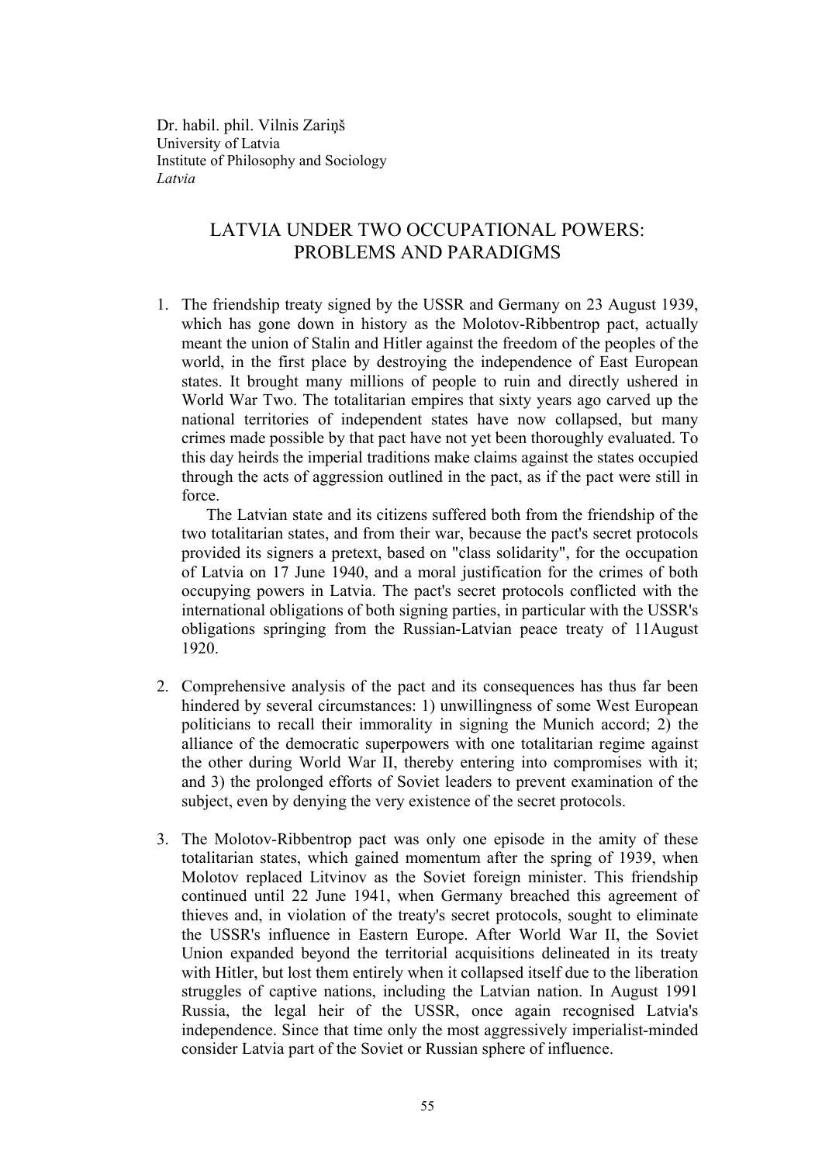Dr. habil. phil. Vilnis Zariņš University of Latvia Institute of Philosophy and Sociology *Latvia* 

## LATVIA UNDER TWO OCCUPATIONAL POWERS: PROBLEMS AND PARADIGMS

1. The friendship treaty signed by the USSR and Germany on 23 August 1939, which has gone down in history as the Molotov-Ribbentrop pact, actually meant the union of Stalin and Hitler against the freedom of the peoples of the world, in the first place by destroying the independence of East European states. It brought many millions of people to ruin and directly ushered in World War Two. The totalitarian empires that sixty years ago carved up the national territories of independent states have now collapsed, but many crimes made possible by that pact have not yet been thoroughly evaluated. To this day heirds the imperial traditions make claims against the states occupied through the acts of aggression outlined in the pact, as if the pact were still in force.

 The Latvian state and its citizens suffered both from the friendship of the two totalitarian states, and from their war, because the pact's secret protocols provided its signers a pretext, based on "class solidarity", for the occupation of Latvia on 17 June 1940, and a moral justification for the crimes of both occupying powers in Latvia. The pact's secret protocols conflicted with the international obligations of both signing parties, in particular with the USSR's obligations springing from the Russian-Latvian peace treaty of 11August 1920.

- 2. Comprehensive analysis of the pact and its consequences has thus far been hindered by several circumstances: 1) unwillingness of some West European politicians to recall their immorality in signing the Munich accord; 2) the alliance of the democratic superpowers with one totalitarian regime against the other during World War II, thereby entering into compromises with it; and 3) the prolonged efforts of Soviet leaders to prevent examination of the subject, even by denying the very existence of the secret protocols.
- 3. The Molotov-Ribbentrop pact was only one episode in the amity of these totalitarian states, which gained momentum after the spring of 1939, when Molotov replaced Litvinov as the Soviet foreign minister. This friendship continued until 22 June 1941, when Germany breached this agreement of thieves and, in violation of the treaty's secret protocols, sought to eliminate the USSR's influence in Eastern Europe. After World War II, the Soviet Union expanded beyond the territorial acquisitions delineated in its treaty with Hitler, but lost them entirely when it collapsed itself due to the liberation struggles of captive nations, including the Latvian nation. In August 1991 Russia, the legal heir of the USSR, once again recognised Latvia's independence. Since that time only the most aggressively imperialist-minded consider Latvia part of the Soviet or Russian sphere of influence.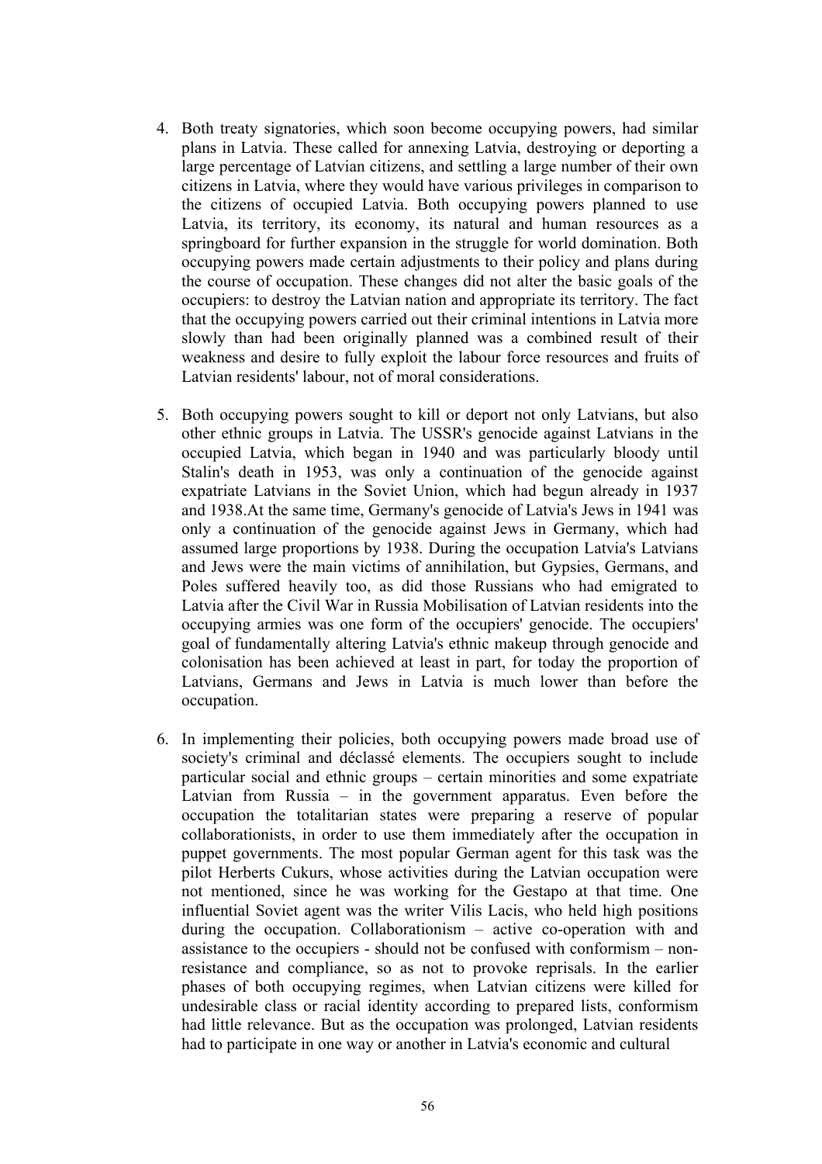- 4. Both treaty signatories, which soon become occupying powers, had similar plans in Latvia. These called for annexing Latvia, destroying or deporting a large percentage of Latvian citizens, and settling a large number of their own citizens in Latvia, where they would have various privileges in comparison to the citizens of occupied Latvia. Both occupying powers planned to use Latvia, its territory, its economy, its natural and human resources as a springboard for further expansion in the struggle for world domination. Both occupying powers made certain adjustments to their policy and plans during the course of occupation. These changes did not alter the basic goals of the occupiers: to destroy the Latvian nation and appropriate its territory. The fact that the occupying powers carried out their criminal intentions in Latvia more slowly than had been originally planned was a combined result of their weakness and desire to fully exploit the labour force resources and fruits of Latvian residents' labour, not of moral considerations.
- 5. Both occupying powers sought to kill or deport not only Latvians, but also other ethnic groups in Latvia. The USSR's genocide against Latvians in the occupied Latvia, which began in 1940 and was particularly bloody until Stalin's death in 1953, was only a continuation of the genocide against expatriate Latvians in the Soviet Union, which had begun already in 1937 and 1938.At the same time, Germany's genocide of Latvia's Jews in 1941 was only a continuation of the genocide against Jews in Germany, which had assumed large proportions by 1938. During the occupation Latvia's Latvians and Jews were the main victims of annihilation, but Gypsies, Germans, and Poles suffered heavily too, as did those Russians who had emigrated to Latvia after the Civil War in Russia Mobilisation of Latvian residents into the occupying armies was one form of the occupiers' genocide. The occupiers' goal of fundamentally altering Latvia's ethnic makeup through genocide and colonisation has been achieved at least in part, for today the proportion of Latvians, Germans and Jews in Latvia is much lower than before the occupation.
- 6. In implementing their policies, both occupying powers made broad use of society's criminal and déclassé elements. The occupiers sought to include particular social and ethnic groups – certain minorities and some expatriate Latvian from Russia – in the government apparatus. Even before the occupation the totalitarian states were preparing a reserve of popular collaborationists, in order to use them immediately after the occupation in puppet governments. The most popular German agent for this task was the pilot Herberts Cukurs, whose activities during the Latvian occupation were not mentioned, since he was working for the Gestapo at that time. One influential Soviet agent was the writer Vilis Lacis, who held high positions during the occupation. Collaborationism – active co-operation with and assistance to the occupiers - should not be confused with conformism – nonresistance and compliance, so as not to provoke reprisals. In the earlier phases of both occupying regimes, when Latvian citizens were killed for undesirable class or racial identity according to prepared lists, conformism had little relevance. But as the occupation was prolonged, Latvian residents had to participate in one way or another in Latvia's economic and cultural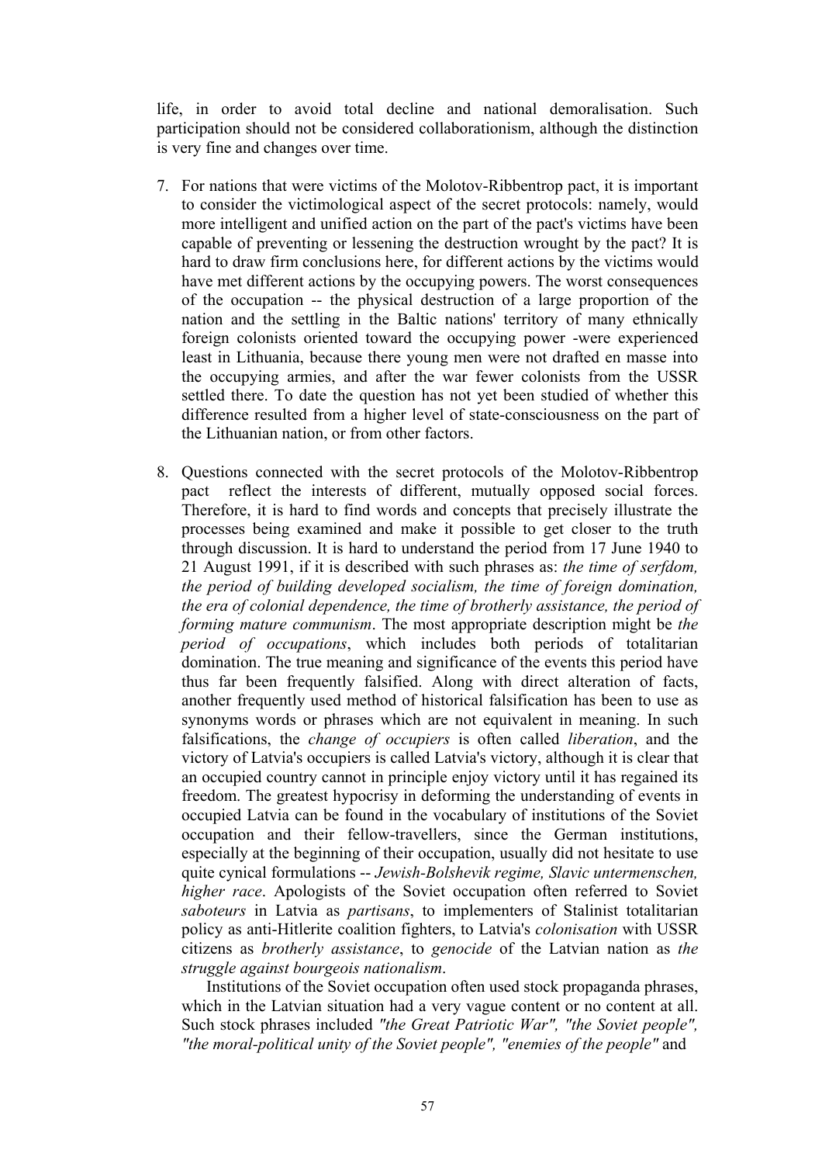life, in order to avoid total decline and national demoralisation. Such participation should not be considered collaborationism, although the distinction is very fine and changes over time.

- 7. For nations that were victims of the Molotov-Ribbentrop pact, it is important to consider the victimological aspect of the secret protocols: namely, would more intelligent and unified action on the part of the pact's victims have been capable of preventing or lessening the destruction wrought by the pact? It is hard to draw firm conclusions here, for different actions by the victims would have met different actions by the occupying powers. The worst consequences of the occupation -- the physical destruction of a large proportion of the nation and the settling in the Baltic nations' territory of many ethnically foreign colonists oriented toward the occupying power -were experienced least in Lithuania, because there young men were not drafted en masse into the occupying armies, and after the war fewer colonists from the USSR settled there. To date the question has not yet been studied of whether this difference resulted from a higher level of state-consciousness on the part of the Lithuanian nation, or from other factors.
- 8. Questions connected with the secret protocols of the Molotov-Ribbentrop pact reflect the interests of different, mutually opposed social forces. Therefore, it is hard to find words and concepts that precisely illustrate the processes being examined and make it possible to get closer to the truth through discussion. It is hard to understand the period from 17 June 1940 to 21 August 1991, if it is described with such phrases as: *the time of serfdom, the period of building developed socialism, the time of foreign domination, the era of colonial dependence, the time of brotherly assistance, the period of forming mature communism*. The most appropriate description might be *the period of occupations*, which includes both periods of totalitarian domination. The true meaning and significance of the events this period have thus far been frequently falsified. Along with direct alteration of facts, another frequently used method of historical falsification has been to use as synonyms words or phrases which are not equivalent in meaning. In such falsifications, the *change of occupiers* is often called *liberation*, and the victory of Latvia's occupiers is called Latvia's victory, although it is clear that an occupied country cannot in principle enjoy victory until it has regained its freedom. The greatest hypocrisy in deforming the understanding of events in occupied Latvia can be found in the vocabulary of institutions of the Soviet occupation and their fellow-travellers, since the German institutions, especially at the beginning of their occupation, usually did not hesitate to use quite cynical formulations -- *Jewish-Bolshevik regime, Slavic untermenschen, higher race*. Apologists of the Soviet occupation often referred to Soviet *saboteurs* in Latvia as *partisans*, to implementers of Stalinist totalitarian policy as anti-Hitlerite coalition fighters, to Latvia's *colonisation* with USSR citizens as *brotherly assistance*, to *genocide* of the Latvian nation as *the struggle against bourgeois nationalism*.

 Institutions of the Soviet occupation often used stock propaganda phrases, which in the Latvian situation had a very vague content or no content at all. Such stock phrases included *"the Great Patriotic War", "the Soviet people", "the moral-political unity of the Soviet people", "enemies of the people"* and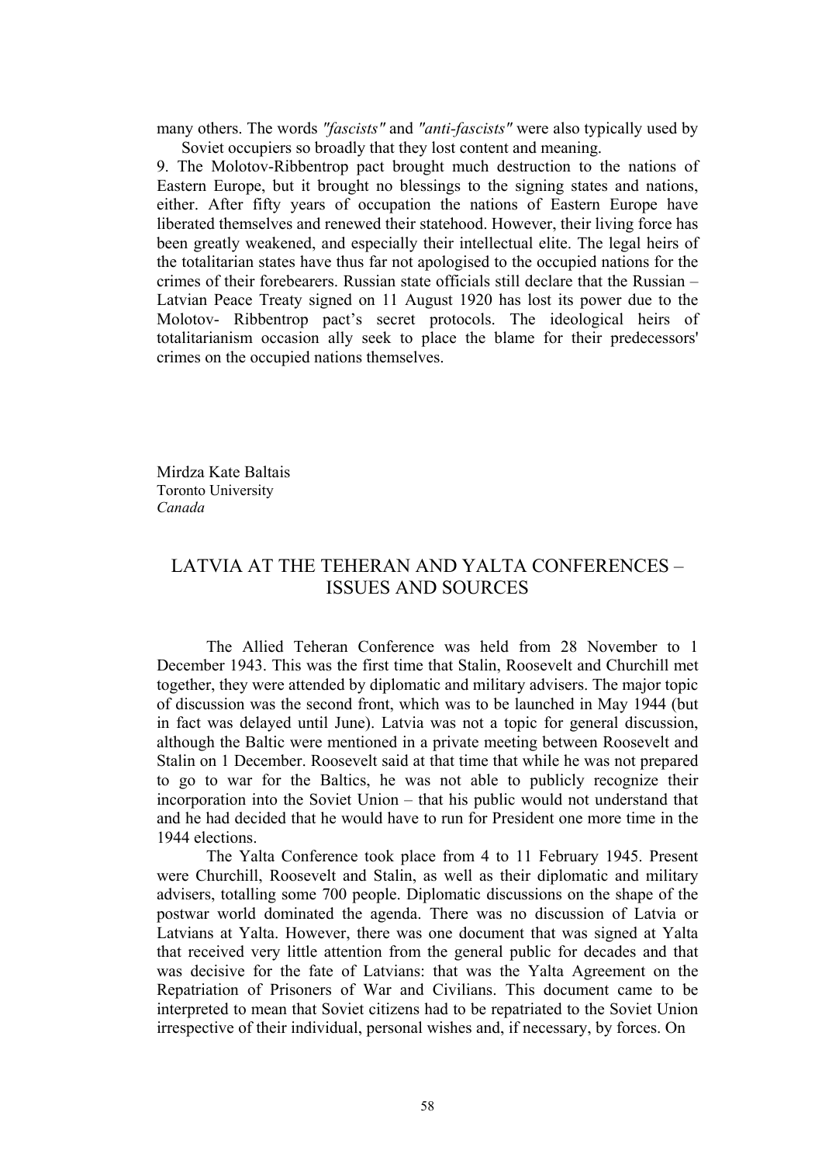many others. The words *"fascists"* and *"anti-fascists"* were also typically used by Soviet occupiers so broadly that they lost content and meaning.

9. The Molotov-Ribbentrop pact brought much destruction to the nations of Eastern Europe, but it brought no blessings to the signing states and nations, either. After fifty years of occupation the nations of Eastern Europe have liberated themselves and renewed their statehood. However, their living force has been greatly weakened, and especially their intellectual elite. The legal heirs of the totalitarian states have thus far not apologised to the occupied nations for the crimes of their forebearers. Russian state officials still declare that the Russian – Latvian Peace Treaty signed on 11 August 1920 has lost its power due to the Molotov- Ribbentrop pact's secret protocols. The ideological heirs of totalitarianism occasion ally seek to place the blame for their predecessors' crimes on the occupied nations themselves.

Mirdza Kate Baltais Toronto University *Canada* 

#### LATVIA AT THE TEHERAN AND YALTA CONFERENCES – ISSUES AND SOURCES

The Allied Teheran Conference was held from 28 November to 1 December 1943. This was the first time that Stalin, Roosevelt and Churchill met together, they were attended by diplomatic and military advisers. The major topic of discussion was the second front, which was to be launched in May 1944 (but in fact was delayed until June). Latvia was not a topic for general discussion, although the Baltic were mentioned in a private meeting between Roosevelt and Stalin on 1 December. Roosevelt said at that time that while he was not prepared to go to war for the Baltics, he was not able to publicly recognize their incorporation into the Soviet Union – that his public would not understand that and he had decided that he would have to run for President one more time in the 1944 elections.

The Yalta Conference took place from 4 to 11 February 1945. Present were Churchill, Roosevelt and Stalin, as well as their diplomatic and military advisers, totalling some 700 people. Diplomatic discussions on the shape of the postwar world dominated the agenda. There was no discussion of Latvia or Latvians at Yalta. However, there was one document that was signed at Yalta that received very little attention from the general public for decades and that was decisive for the fate of Latvians: that was the Yalta Agreement on the Repatriation of Prisoners of War and Civilians. This document came to be interpreted to mean that Soviet citizens had to be repatriated to the Soviet Union irrespective of their individual, personal wishes and, if necessary, by forces. On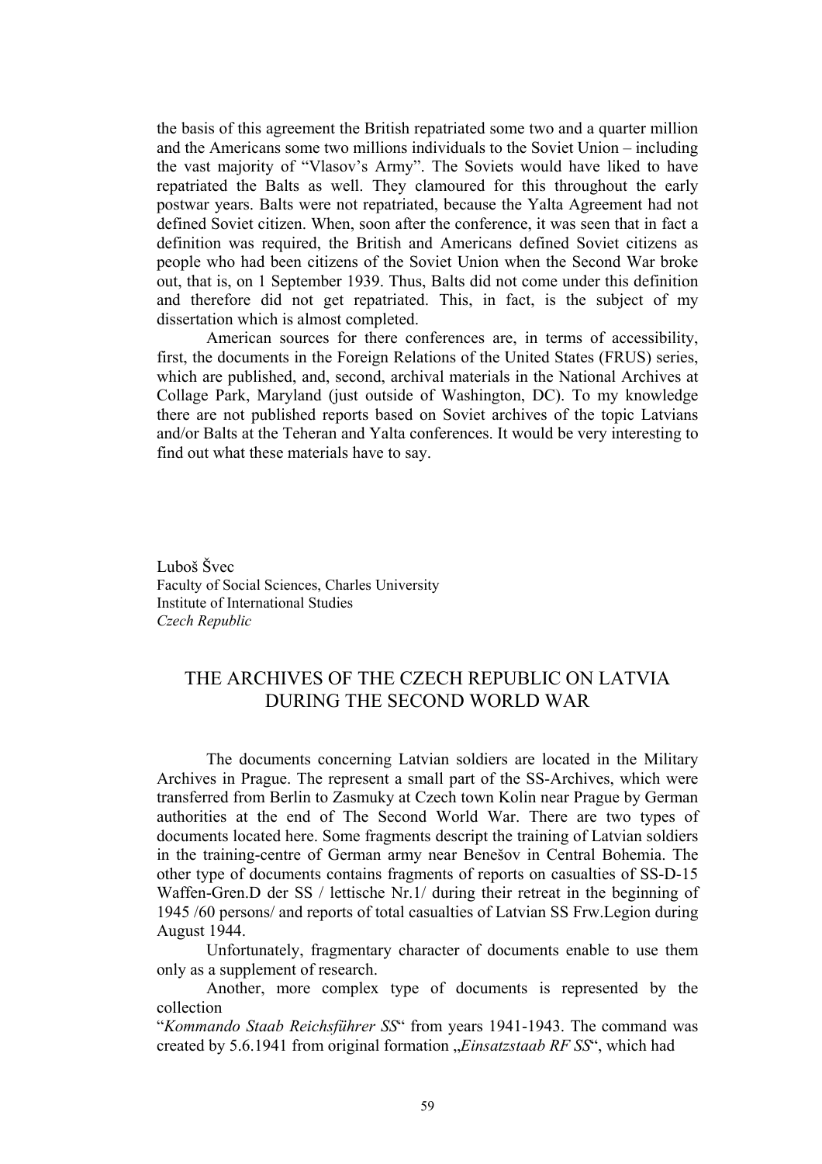the basis of this agreement the British repatriated some two and a quarter million and the Americans some two millions individuals to the Soviet Union – including the vast majority of "Vlasov's Army". The Soviets would have liked to have repatriated the Balts as well. They clamoured for this throughout the early postwar years. Balts were not repatriated, because the Yalta Agreement had not defined Soviet citizen. When, soon after the conference, it was seen that in fact a definition was required, the British and Americans defined Soviet citizens as people who had been citizens of the Soviet Union when the Second War broke out, that is, on 1 September 1939. Thus, Balts did not come under this definition and therefore did not get repatriated. This, in fact, is the subject of my dissertation which is almost completed.

American sources for there conferences are, in terms of accessibility, first, the documents in the Foreign Relations of the United States (FRUS) series, which are published, and, second, archival materials in the National Archives at Collage Park, Maryland (just outside of Washington, DC). To my knowledge there are not published reports based on Soviet archives of the topic Latvians and/or Balts at the Teheran and Yalta conferences. It would be very interesting to find out what these materials have to say.

Luboš Švec Faculty of Social Sciences, Charles University Institute of International Studies *Czech Republic* 

### THE ARCHIVES OF THE CZECH REPUBLIC ON LATVIA DURING THE SECOND WORLD WAR

 The documents concerning Latvian soldiers are located in the Military Archives in Prague. The represent a small part of the SS-Archives, which were transferred from Berlin to Zasmuky at Czech town Kolin near Prague by German authorities at the end of The Second World War. There are two types of documents located here. Some fragments descript the training of Latvian soldiers in the training-centre of German army near Benešov in Central Bohemia. The other type of documents contains fragments of reports on casualties of SS-D-15 Waffen-Gren.D der SS / lettische Nr.1/ during their retreat in the beginning of 1945 /60 persons/ and reports of total casualties of Latvian SS Frw.Legion during August 1944.

 Unfortunately, fragmentary character of documents enable to use them only as a supplement of research.

 Another, more complex type of documents is represented by the collection

"*Kommando Staab Reichsführer SS*" from years 1941-1943. The command was created by 5.6.1941 from original formation "*Einsatzstaab RF SS*", which had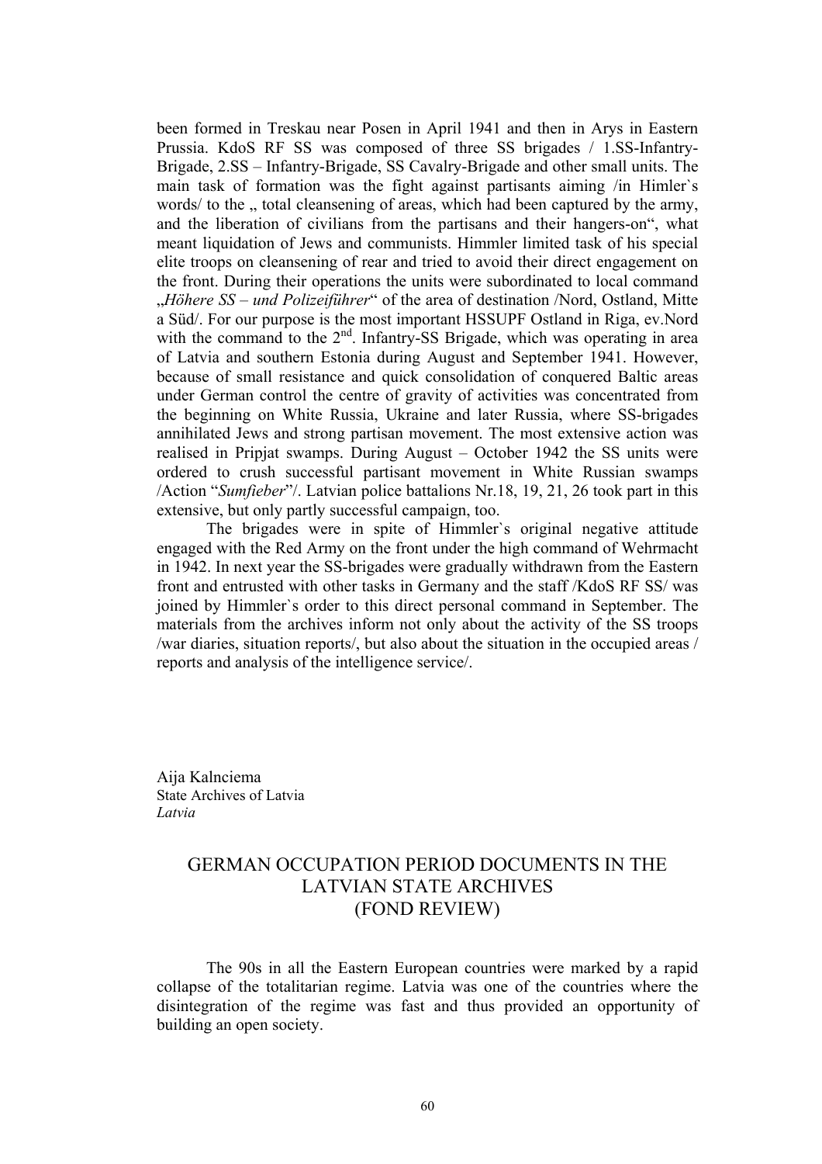been formed in Treskau near Posen in April 1941 and then in Arys in Eastern Prussia. KdoS RF SS was composed of three SS brigades / 1.SS-Infantry-Brigade, 2.SS – Infantry-Brigade, SS Cavalry-Brigade and other small units. The main task of formation was the fight against partisants aiming /in Himler`s words/ to the ... total cleansening of areas, which had been captured by the army, and the liberation of civilians from the partisans and their hangers-on", what meant liquidation of Jews and communists. Himmler limited task of his special elite troops on cleansening of rear and tried to avoid their direct engagement on the front. During their operations the units were subordinated to local command "*Höhere SS – und Polizeiführer*" of the area of destination /Nord, Ostland, Mitte a Süd/. For our purpose is the most important HSSUPF Ostland in Riga, ev.Nord with the command to the 2<sup>nd</sup>. Infantry-SS Brigade, which was operating in area of Latvia and southern Estonia during August and September 1941. However, because of small resistance and quick consolidation of conquered Baltic areas under German control the centre of gravity of activities was concentrated from the beginning on White Russia, Ukraine and later Russia, where SS-brigades annihilated Jews and strong partisan movement. The most extensive action was realised in Pripjat swamps. During August – October 1942 the SS units were ordered to crush successful partisant movement in White Russian swamps /Action "*Sumfieber*"/. Latvian police battalions Nr.18, 19, 21, 26 took part in this extensive, but only partly successful campaign, too.

 The brigades were in spite of Himmler`s original negative attitude engaged with the Red Army on the front under the high command of Wehrmacht in 1942. In next year the SS-brigades were gradually withdrawn from the Eastern front and entrusted with other tasks in Germany and the staff /KdoS RF SS/ was joined by Himmler`s order to this direct personal command in September. The materials from the archives inform not only about the activity of the SS troops /war diaries, situation reports/, but also about the situation in the occupied areas / reports and analysis of the intelligence service/.

Aija Kalnciema State Archives of Latvia *Latvia* 

## GERMAN OCCUPATION PERIOD DOCUMENTS IN THE LATVIAN STATE ARCHIVES (FOND REVIEW)

The 90s in all the Eastern European countries were marked by a rapid collapse of the totalitarian regime. Latvia was one of the countries where the disintegration of the regime was fast and thus provided an opportunity of building an open society.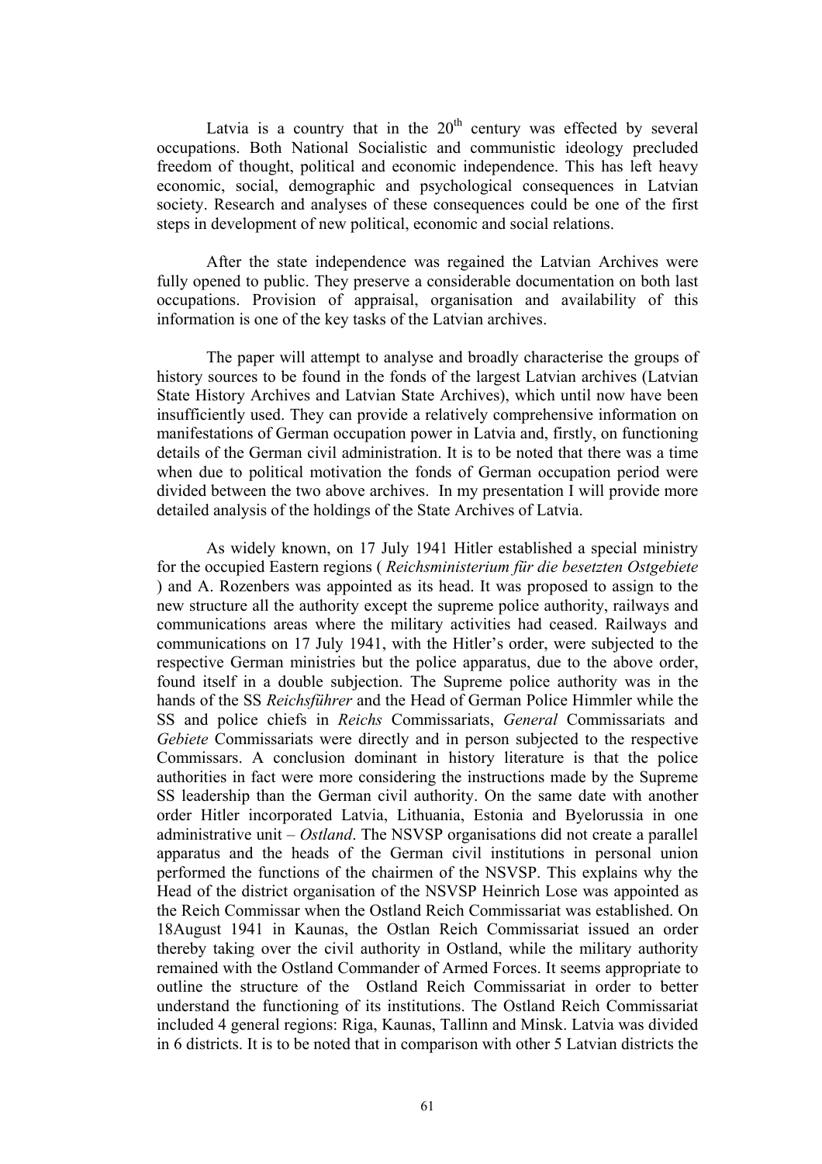Latvia is a country that in the  $20<sup>th</sup>$  century was effected by several occupations. Both National Socialistic and communistic ideology precluded freedom of thought, political and economic independence. This has left heavy economic, social, demographic and psychological consequences in Latvian society. Research and analyses of these consequences could be one of the first steps in development of new political, economic and social relations.

After the state independence was regained the Latvian Archives were fully opened to public. They preserve a considerable documentation on both last occupations. Provision of appraisal, organisation and availability of this information is one of the key tasks of the Latvian archives.

The paper will attempt to analyse and broadly characterise the groups of history sources to be found in the fonds of the largest Latvian archives (Latvian State History Archives and Latvian State Archives), which until now have been insufficiently used. They can provide a relatively comprehensive information on manifestations of German occupation power in Latvia and, firstly, on functioning details of the German civil administration. It is to be noted that there was a time when due to political motivation the fonds of German occupation period were divided between the two above archives. In my presentation I will provide more detailed analysis of the holdings of the State Archives of Latvia.

As widely known, on 17 July 1941 Hitler established a special ministry for the occupied Eastern regions ( *Reichsministerium für die besetzten Ostgebiete* ) and A. Rozenbers was appointed as its head. It was proposed to assign to the new structure all the authority except the supreme police authority, railways and communications areas where the military activities had ceased. Railways and communications on 17 July 1941, with the Hitler's order, were subjected to the respective German ministries but the police apparatus, due to the above order, found itself in a double subjection. The Supreme police authority was in the hands of the SS *Reichsführer* and the Head of German Police Himmler while the SS and police chiefs in *Reichs* Commissariats, *General* Commissariats and *Gebiete* Commissariats were directly and in person subjected to the respective Commissars. A conclusion dominant in history literature is that the police authorities in fact were more considering the instructions made by the Supreme SS leadership than the German civil authority. On the same date with another order Hitler incorporated Latvia, Lithuania, Estonia and Byelorussia in one administrative unit – *Ostland*. The NSVSP organisations did not create a parallel apparatus and the heads of the German civil institutions in personal union performed the functions of the chairmen of the NSVSP. This explains why the Head of the district organisation of the NSVSP Heinrich Lose was appointed as the Reich Commissar when the Ostland Reich Commissariat was established. On 18August 1941 in Kaunas, the Ostlan Reich Commissariat issued an order thereby taking over the civil authority in Ostland, while the military authority remained with the Ostland Commander of Armed Forces. It seems appropriate to outline the structure of the Ostland Reich Commissariat in order to better understand the functioning of its institutions. The Ostland Reich Commissariat included 4 general regions: Riga, Kaunas, Tallinn and Minsk. Latvia was divided in 6 districts. It is to be noted that in comparison with other 5 Latvian districts the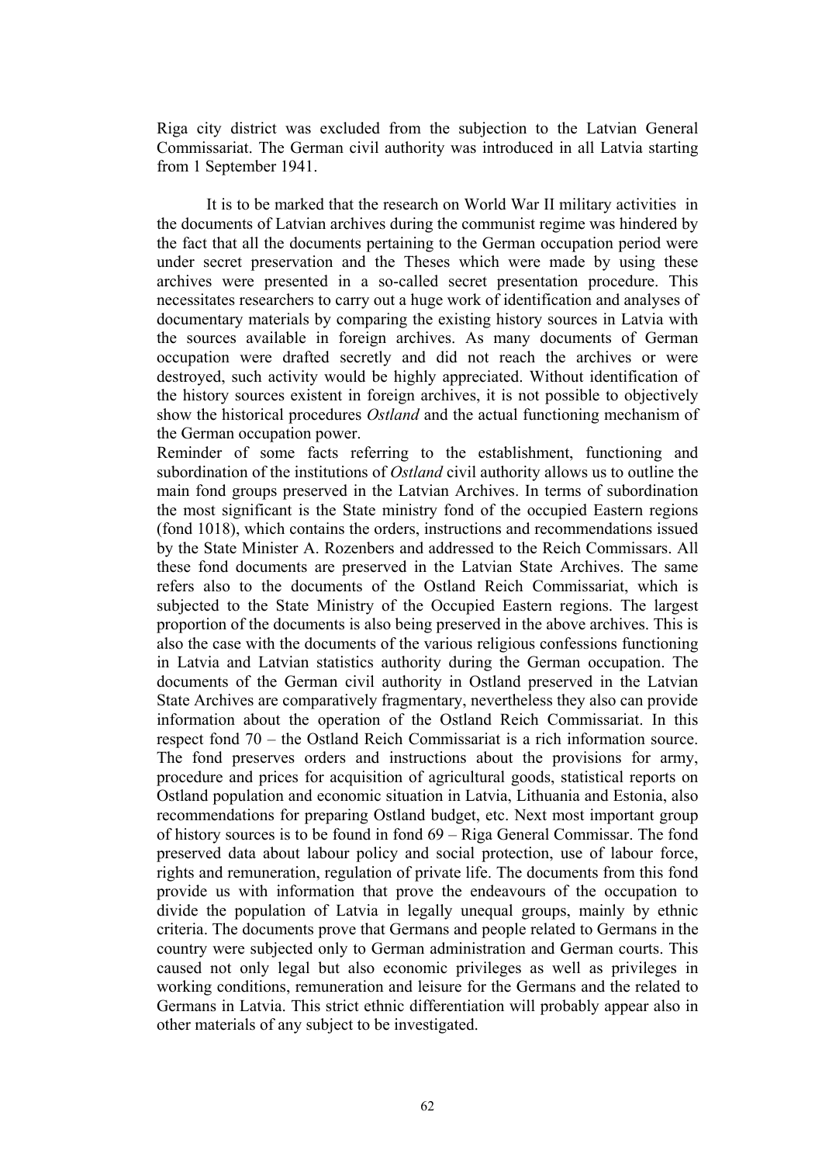Riga city district was excluded from the subjection to the Latvian General Commissariat. The German civil authority was introduced in all Latvia starting from 1 September 1941.

It is to be marked that the research on World War II military activities in the documents of Latvian archives during the communist regime was hindered by the fact that all the documents pertaining to the German occupation period were under secret preservation and the Theses which were made by using these archives were presented in a so-called secret presentation procedure. This necessitates researchers to carry out a huge work of identification and analyses of documentary materials by comparing the existing history sources in Latvia with the sources available in foreign archives. As many documents of German occupation were drafted secretly and did not reach the archives or were destroyed, such activity would be highly appreciated. Without identification of the history sources existent in foreign archives, it is not possible to objectively show the historical procedures *Ostland* and the actual functioning mechanism of the German occupation power.

Reminder of some facts referring to the establishment, functioning and subordination of the institutions of *Ostland* civil authority allows us to outline the main fond groups preserved in the Latvian Archives. In terms of subordination the most significant is the State ministry fond of the occupied Eastern regions (fond 1018), which contains the orders, instructions and recommendations issued by the State Minister A. Rozenbers and addressed to the Reich Commissars. All these fond documents are preserved in the Latvian State Archives. The same refers also to the documents of the Ostland Reich Commissariat, which is subjected to the State Ministry of the Occupied Eastern regions. The largest proportion of the documents is also being preserved in the above archives. This is also the case with the documents of the various religious confessions functioning in Latvia and Latvian statistics authority during the German occupation. The documents of the German civil authority in Ostland preserved in the Latvian State Archives are comparatively fragmentary, nevertheless they also can provide information about the operation of the Ostland Reich Commissariat. In this respect fond 70 – the Ostland Reich Commissariat is a rich information source. The fond preserves orders and instructions about the provisions for army, procedure and prices for acquisition of agricultural goods, statistical reports on Ostland population and economic situation in Latvia, Lithuania and Estonia, also recommendations for preparing Ostland budget, etc. Next most important group of history sources is to be found in fond 69 – Riga General Commissar. The fond preserved data about labour policy and social protection, use of labour force, rights and remuneration, regulation of private life. The documents from this fond provide us with information that prove the endeavours of the occupation to divide the population of Latvia in legally unequal groups, mainly by ethnic criteria. The documents prove that Germans and people related to Germans in the country were subjected only to German administration and German courts. This caused not only legal but also economic privileges as well as privileges in working conditions, remuneration and leisure for the Germans and the related to Germans in Latvia. This strict ethnic differentiation will probably appear also in other materials of any subject to be investigated.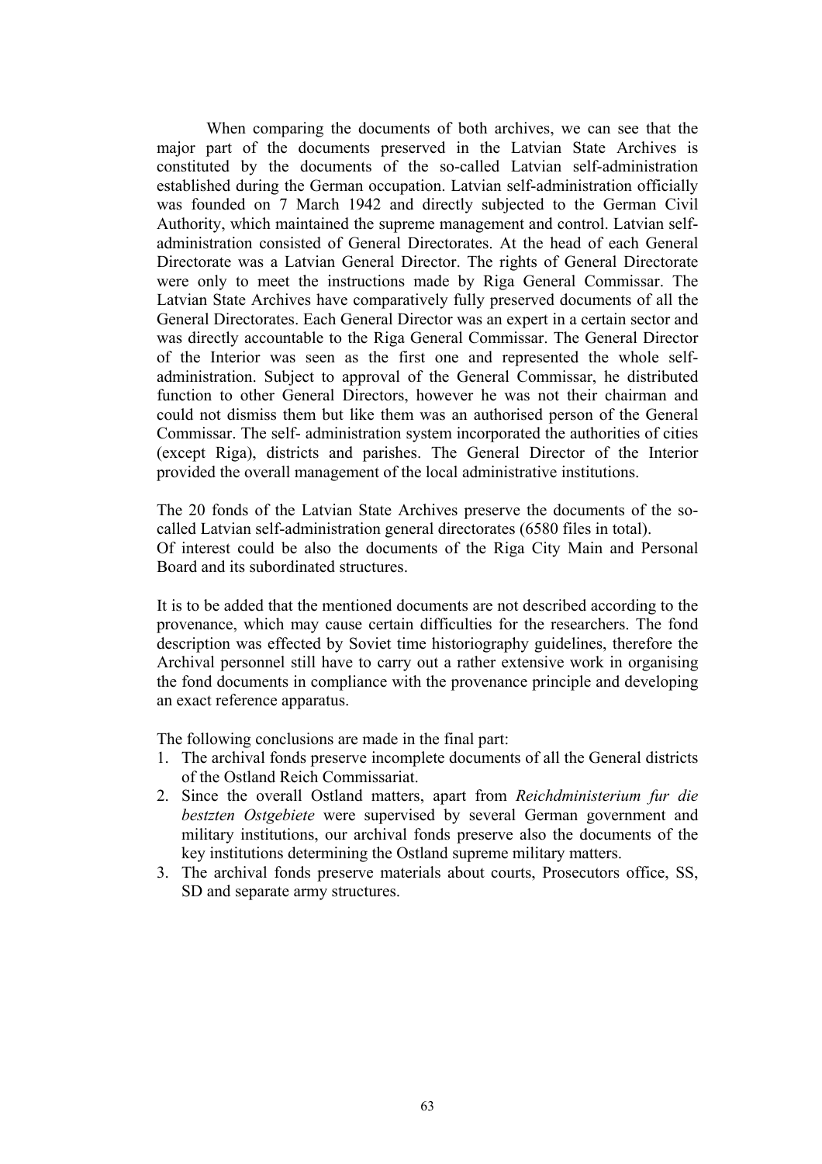When comparing the documents of both archives, we can see that the major part of the documents preserved in the Latvian State Archives is constituted by the documents of the so-called Latvian self-administration established during the German occupation. Latvian self-administration officially was founded on 7 March 1942 and directly subjected to the German Civil Authority, which maintained the supreme management and control. Latvian selfadministration consisted of General Directorates. At the head of each General Directorate was a Latvian General Director. The rights of General Directorate were only to meet the instructions made by Riga General Commissar. The Latvian State Archives have comparatively fully preserved documents of all the General Directorates. Each General Director was an expert in a certain sector and was directly accountable to the Riga General Commissar. The General Director of the Interior was seen as the first one and represented the whole selfadministration. Subject to approval of the General Commissar, he distributed function to other General Directors, however he was not their chairman and could not dismiss them but like them was an authorised person of the General Commissar. The self- administration system incorporated the authorities of cities (except Riga), districts and parishes. The General Director of the Interior provided the overall management of the local administrative institutions.

The 20 fonds of the Latvian State Archives preserve the documents of the socalled Latvian self-administration general directorates (6580 files in total). Of interest could be also the documents of the Riga City Main and Personal Board and its subordinated structures.

It is to be added that the mentioned documents are not described according to the provenance, which may cause certain difficulties for the researchers. The fond description was effected by Soviet time historiography guidelines, therefore the Archival personnel still have to carry out a rather extensive work in organising the fond documents in compliance with the provenance principle and developing an exact reference apparatus.

The following conclusions are made in the final part:

- 1. The archival fonds preserve incomplete documents of all the General districts of the Ostland Reich Commissariat.
- 2. Since the overall Ostland matters, apart from *Reichdministerium fur die bestzten Ostgebiete* were supervised by several German government and military institutions, our archival fonds preserve also the documents of the key institutions determining the Ostland supreme military matters.
- 3. The archival fonds preserve materials about courts, Prosecutors office, SS, SD and separate army structures.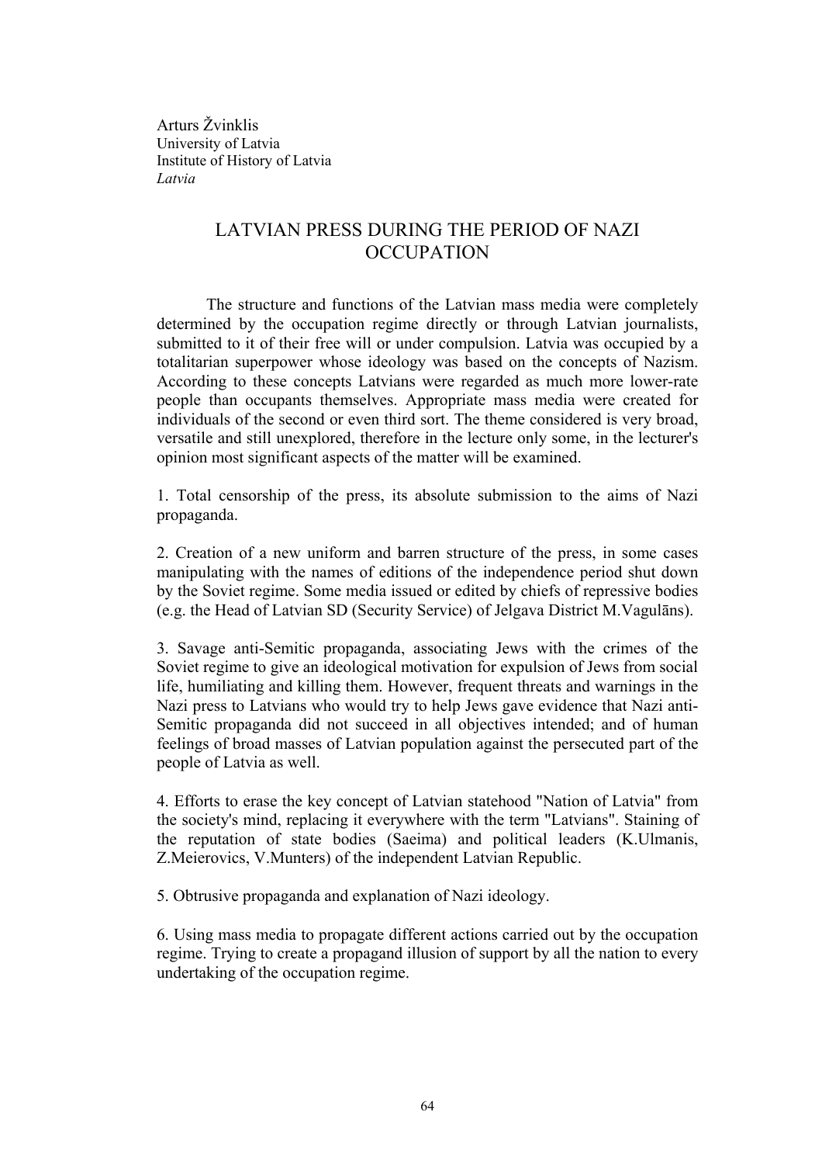Arturs Žvinklis University of Latvia Institute of History of Latvia *Latvia* 

# LATVIAN PRESS DURING THE PERIOD OF NAZI **OCCUPATION**

 The structure and functions of the Latvian mass media were completely determined by the occupation regime directly or through Latvian journalists, submitted to it of their free will or under compulsion. Latvia was occupied by a totalitarian superpower whose ideology was based on the concepts of Nazism. According to these concepts Latvians were regarded as much more lower-rate people than occupants themselves. Appropriate mass media were created for individuals of the second or even third sort. The theme considered is very broad, versatile and still unexplored, therefore in the lecture only some, in the lecturer's opinion most significant aspects of the matter will be examined.

1. Total censorship of the press, its absolute submission to the aims of Nazi propaganda.

2. Creation of a new uniform and barren structure of the press, in some cases manipulating with the names of editions of the independence period shut down by the Soviet regime. Some media issued or edited by chiefs of repressive bodies (e.g. the Head of Latvian SD (Security Service) of Jelgava District M.Vagulāns).

3. Savage anti-Semitic propaganda, associating Jews with the crimes of the Soviet regime to give an ideological motivation for expulsion of Jews from social life, humiliating and killing them. However, frequent threats and warnings in the Nazi press to Latvians who would try to help Jews gave evidence that Nazi anti-Semitic propaganda did not succeed in all objectives intended; and of human feelings of broad masses of Latvian population against the persecuted part of the people of Latvia as well.

4. Efforts to erase the key concept of Latvian statehood "Nation of Latvia" from the society's mind, replacing it everywhere with the term "Latvians". Staining of the reputation of state bodies (Saeima) and political leaders (K.Ulmanis, Z.Meierovics, V.Munters) of the independent Latvian Republic.

5. Obtrusive propaganda and explanation of Nazi ideology.

6. Using mass media to propagate different actions carried out by the occupation regime. Trying to create a propagand illusion of support by all the nation to every undertaking of the occupation regime.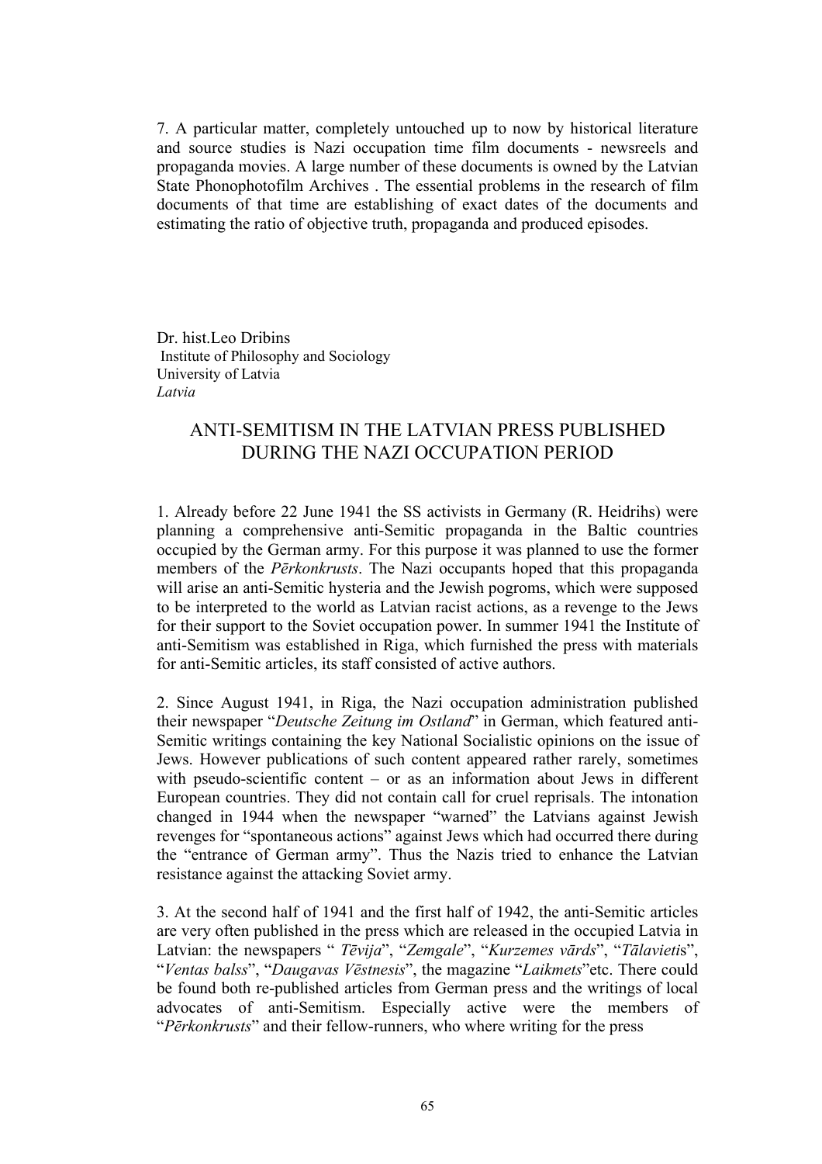7. A particular matter, completely untouched up to now by historical literature and source studies is Nazi occupation time film documents - newsreels and propaganda movies. A large number of these documents is owned by the Latvian State Phonophotofilm Archives . The essential problems in the research of film documents of that time are establishing of exact dates of the documents and estimating the ratio of objective truth, propaganda and produced episodes.

Dr. hist.Leo Dribins Institute of Philosophy and Sociology University of Latvia *Latvia* 

### ANTI-SEMITISM IN THE LATVIAN PRESS PUBLISHED DURING THE NAZI OCCUPATION PERIOD

1. Already before 22 June 1941 the SS activists in Germany (R. Heidrihs) were planning a comprehensive anti-Semitic propaganda in the Baltic countries occupied by the German army. For this purpose it was planned to use the former members of the *Pērkonkrusts*. The Nazi occupants hoped that this propaganda will arise an anti-Semitic hysteria and the Jewish pogroms, which were supposed to be interpreted to the world as Latvian racist actions, as a revenge to the Jews for their support to the Soviet occupation power. In summer 1941 the Institute of anti-Semitism was established in Riga, which furnished the press with materials for anti-Semitic articles, its staff consisted of active authors.

2. Since August 1941, in Riga, the Nazi occupation administration published their newspaper "*Deutsche Zeitung im Ostland*" in German, which featured anti-Semitic writings containing the key National Socialistic opinions on the issue of Jews. However publications of such content appeared rather rarely, sometimes with pseudo-scientific content  $-$  or as an information about Jews in different European countries. They did not contain call for cruel reprisals. The intonation changed in 1944 when the newspaper "warned" the Latvians against Jewish revenges for "spontaneous actions" against Jews which had occurred there during the "entrance of German army". Thus the Nazis tried to enhance the Latvian resistance against the attacking Soviet army.

3. At the second half of 1941 and the first half of 1942, the anti-Semitic articles are very often published in the press which are released in the occupied Latvia in Latvian: the newspapers " *Tēvija*", "*Zemgale*", "*Kurzemes vārds*", "*Tālavieti*s", "*Ventas balss*", "*Daugavas Vēstnesis*", the magazine "*Laikmets*"etc. There could be found both re-published articles from German press and the writings of local advocates of anti-Semitism. Especially active were the members of "*Pērkonkrusts*" and their fellow-runners, who where writing for the press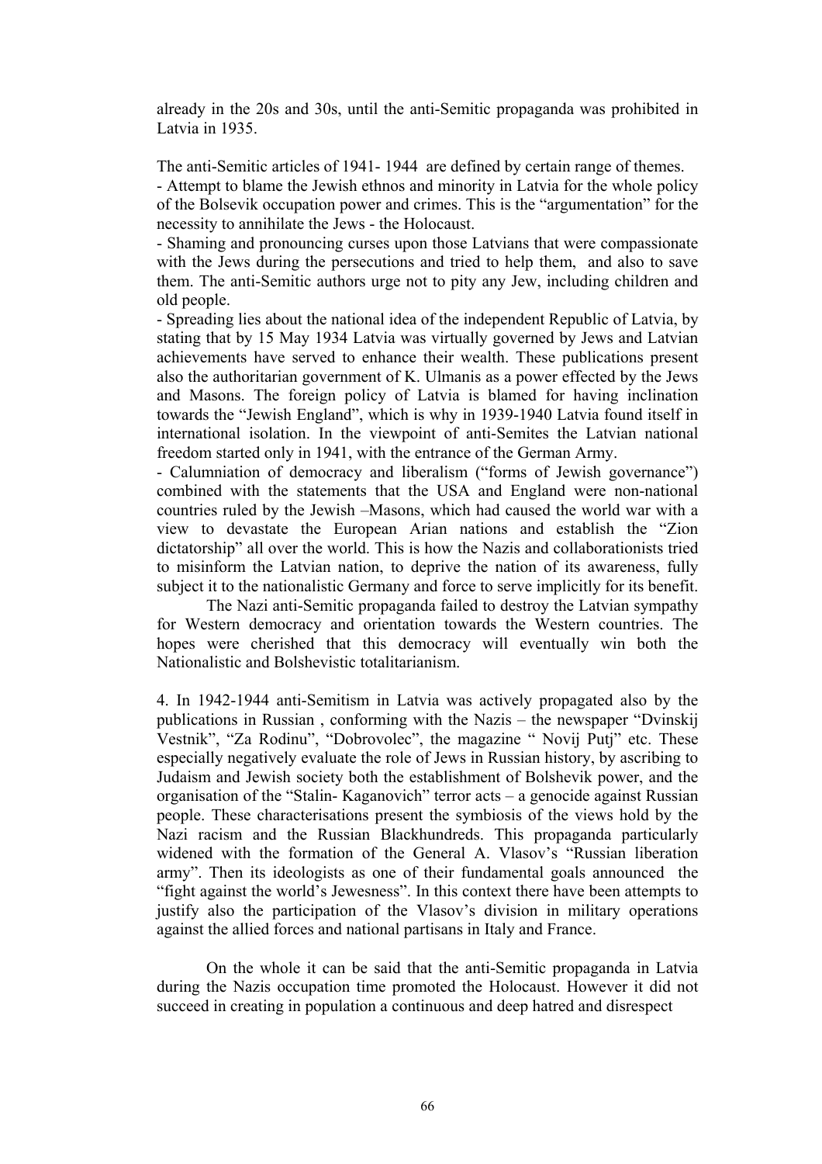already in the 20s and 30s, until the anti-Semitic propaganda was prohibited in Latvia in 1935.

The anti-Semitic articles of 1941- 1944 are defined by certain range of themes.

- Attempt to blame the Jewish ethnos and minority in Latvia for the whole policy of the Bolsevik occupation power and crimes. This is the "argumentation" for the necessity to annihilate the Jews - the Holocaust.

- Shaming and pronouncing curses upon those Latvians that were compassionate with the Jews during the persecutions and tried to help them, and also to save them. The anti-Semitic authors urge not to pity any Jew, including children and old people.

- Spreading lies about the national idea of the independent Republic of Latvia, by stating that by 15 May 1934 Latvia was virtually governed by Jews and Latvian achievements have served to enhance their wealth. These publications present also the authoritarian government of K. Ulmanis as a power effected by the Jews and Masons. The foreign policy of Latvia is blamed for having inclination towards the "Jewish England", which is why in 1939-1940 Latvia found itself in international isolation. In the viewpoint of anti-Semites the Latvian national freedom started only in 1941, with the entrance of the German Army.

- Calumniation of democracy and liberalism ("forms of Jewish governance") combined with the statements that the USA and England were non-national countries ruled by the Jewish –Masons, which had caused the world war with a view to devastate the European Arian nations and establish the "Zion dictatorship" all over the world. This is how the Nazis and collaborationists tried to misinform the Latvian nation, to deprive the nation of its awareness, fully subject it to the nationalistic Germany and force to serve implicitly for its benefit.

The Nazi anti-Semitic propaganda failed to destroy the Latvian sympathy for Western democracy and orientation towards the Western countries. The hopes were cherished that this democracy will eventually win both the Nationalistic and Bolshevistic totalitarianism.

4. In 1942-1944 anti-Semitism in Latvia was actively propagated also by the publications in Russian , conforming with the Nazis – the newspaper "Dvinskij Vestnik", "Za Rodinu", "Dobrovolec", the magazine " Novij Putj" etc. These especially negatively evaluate the role of Jews in Russian history, by ascribing to Judaism and Jewish society both the establishment of Bolshevik power, and the organisation of the "Stalin- Kaganovich" terror acts – a genocide against Russian people. These characterisations present the symbiosis of the views hold by the Nazi racism and the Russian Blackhundreds. This propaganda particularly widened with the formation of the General A. Vlasov's "Russian liberation army". Then its ideologists as one of their fundamental goals announced the "fight against the world's Jewesness". In this context there have been attempts to justify also the participation of the Vlasov's division in military operations against the allied forces and national partisans in Italy and France.

On the whole it can be said that the anti-Semitic propaganda in Latvia during the Nazis occupation time promoted the Holocaust. However it did not succeed in creating in population a continuous and deep hatred and disrespect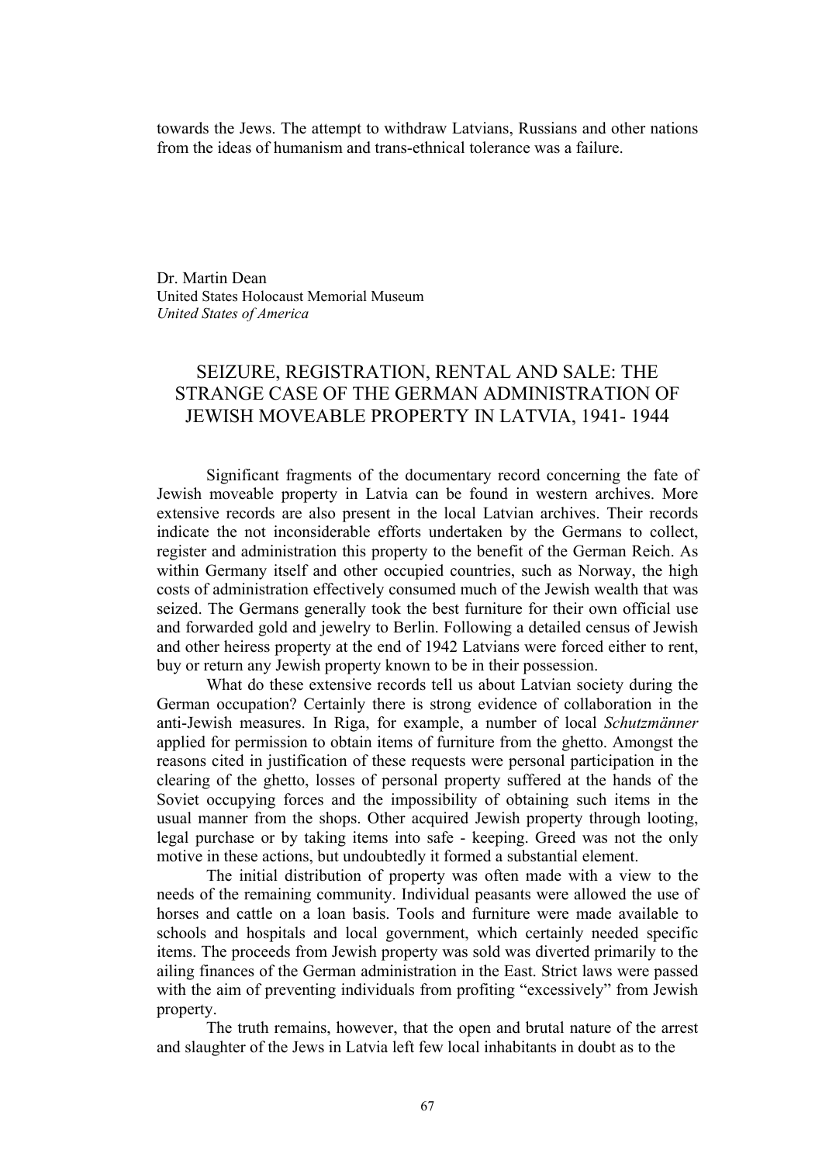towards the Jews. The attempt to withdraw Latvians, Russians and other nations from the ideas of humanism and trans-ethnical tolerance was a failure.

Dr. Martin Dean United States Holocaust Memorial Museum *United States of America* 

## SEIZURE, REGISTRATION, RENTAL AND SALE: THE STRANGE CASE OF THE GERMAN ADMINISTRATION OF JEWISH MOVEABLE PROPERTY IN LATVIA, 1941- 1944

Significant fragments of the documentary record concerning the fate of Jewish moveable property in Latvia can be found in western archives. More extensive records are also present in the local Latvian archives. Their records indicate the not inconsiderable efforts undertaken by the Germans to collect, register and administration this property to the benefit of the German Reich. As within Germany itself and other occupied countries, such as Norway, the high costs of administration effectively consumed much of the Jewish wealth that was seized. The Germans generally took the best furniture for their own official use and forwarded gold and jewelry to Berlin. Following a detailed census of Jewish and other heiress property at the end of 1942 Latvians were forced either to rent, buy or return any Jewish property known to be in their possession.

What do these extensive records tell us about Latvian society during the German occupation? Certainly there is strong evidence of collaboration in the anti-Jewish measures. In Riga, for example, a number of local *Schutzmänner* applied for permission to obtain items of furniture from the ghetto. Amongst the reasons cited in justification of these requests were personal participation in the clearing of the ghetto, losses of personal property suffered at the hands of the Soviet occupying forces and the impossibility of obtaining such items in the usual manner from the shops. Other acquired Jewish property through looting, legal purchase or by taking items into safe - keeping. Greed was not the only motive in these actions, but undoubtedly it formed a substantial element.

The initial distribution of property was often made with a view to the needs of the remaining community. Individual peasants were allowed the use of horses and cattle on a loan basis. Tools and furniture were made available to schools and hospitals and local government, which certainly needed specific items. The proceeds from Jewish property was sold was diverted primarily to the ailing finances of the German administration in the East. Strict laws were passed with the aim of preventing individuals from profiting "excessively" from Jewish property.

The truth remains, however, that the open and brutal nature of the arrest and slaughter of the Jews in Latvia left few local inhabitants in doubt as to the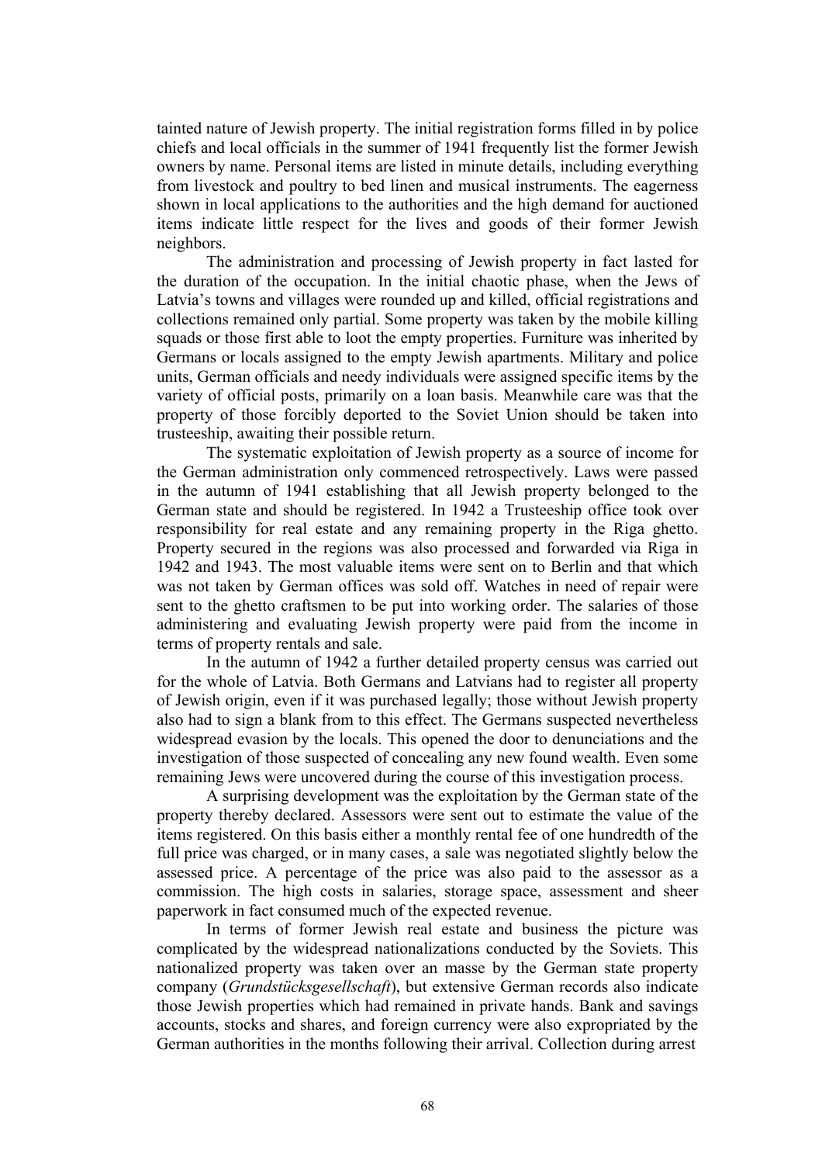tainted nature of Jewish property. The initial registration forms filled in by police chiefs and local officials in the summer of 1941 frequently list the former Jewish owners by name. Personal items are listed in minute details, including everything from livestock and poultry to bed linen and musical instruments. The eagerness shown in local applications to the authorities and the high demand for auctioned items indicate little respect for the lives and goods of their former Jewish neighbors.

The administration and processing of Jewish property in fact lasted for the duration of the occupation. In the initial chaotic phase, when the Jews of Latvia's towns and villages were rounded up and killed, official registrations and collections remained only partial. Some property was taken by the mobile killing squads or those first able to loot the empty properties. Furniture was inherited by Germans or locals assigned to the empty Jewish apartments. Military and police units, German officials and needy individuals were assigned specific items by the variety of official posts, primarily on a loan basis. Meanwhile care was that the property of those forcibly deported to the Soviet Union should be taken into trusteeship, awaiting their possible return.

The systematic exploitation of Jewish property as a source of income for the German administration only commenced retrospectively. Laws were passed in the autumn of 1941 establishing that all Jewish property belonged to the German state and should be registered. In 1942 a Trusteeship office took over responsibility for real estate and any remaining property in the Riga ghetto. Property secured in the regions was also processed and forwarded via Riga in 1942 and 1943. The most valuable items were sent on to Berlin and that which was not taken by German offices was sold off. Watches in need of repair were sent to the ghetto craftsmen to be put into working order. The salaries of those administering and evaluating Jewish property were paid from the income in terms of property rentals and sale.

In the autumn of 1942 a further detailed property census was carried out for the whole of Latvia. Both Germans and Latvians had to register all property of Jewish origin, even if it was purchased legally; those without Jewish property also had to sign a blank from to this effect. The Germans suspected nevertheless widespread evasion by the locals. This opened the door to denunciations and the investigation of those suspected of concealing any new found wealth. Even some remaining Jews were uncovered during the course of this investigation process.

A surprising development was the exploitation by the German state of the property thereby declared. Assessors were sent out to estimate the value of the items registered. On this basis either a monthly rental fee of one hundredth of the full price was charged, or in many cases, a sale was negotiated slightly below the assessed price. A percentage of the price was also paid to the assessor as a commission. The high costs in salaries, storage space, assessment and sheer paperwork in fact consumed much of the expected revenue.

In terms of former Jewish real estate and business the picture was complicated by the widespread nationalizations conducted by the Soviets. This nationalized property was taken over an masse by the German state property company (*Grundstücksgesellschaft*), but extensive German records also indicate those Jewish properties which had remained in private hands. Bank and savings accounts, stocks and shares, and foreign currency were also expropriated by the German authorities in the months following their arrival. Collection during arrest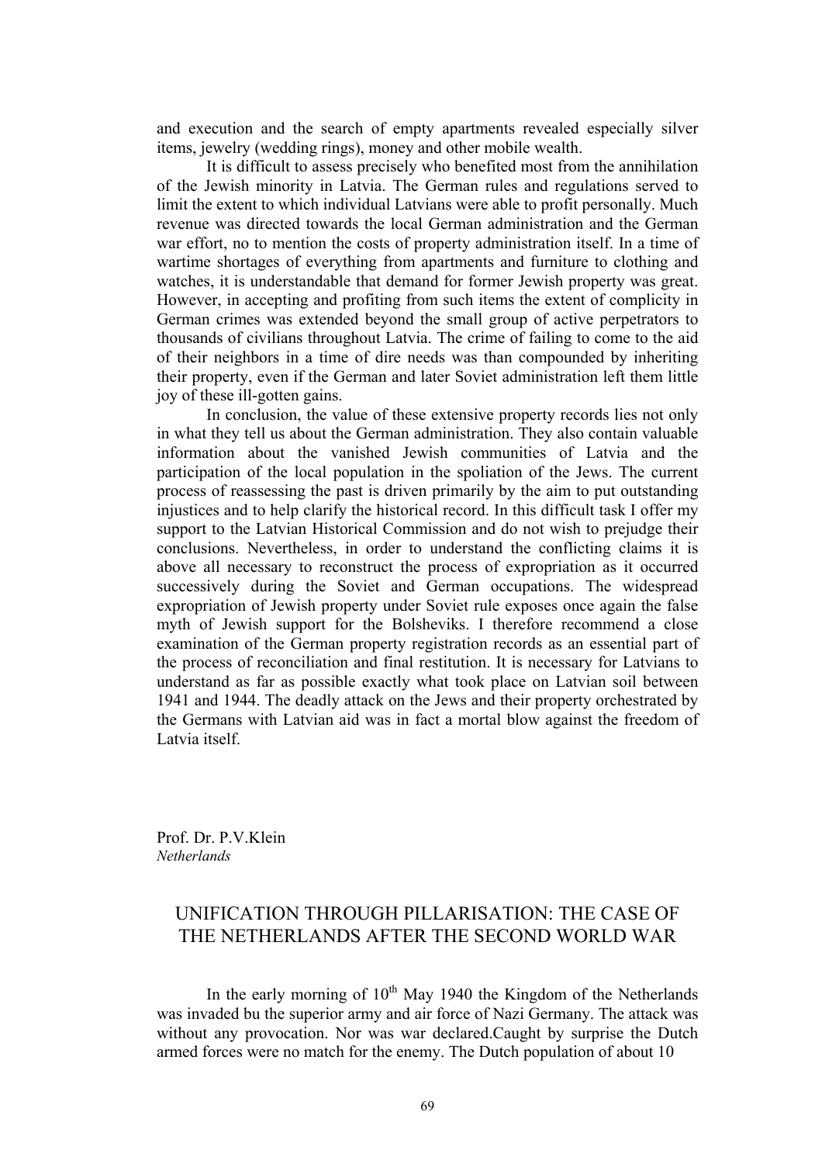and execution and the search of empty apartments revealed especially silver items, jewelry (wedding rings), money and other mobile wealth.

It is difficult to assess precisely who benefited most from the annihilation of the Jewish minority in Latvia. The German rules and regulations served to limit the extent to which individual Latvians were able to profit personally. Much revenue was directed towards the local German administration and the German war effort, no to mention the costs of property administration itself. In a time of wartime shortages of everything from apartments and furniture to clothing and watches, it is understandable that demand for former Jewish property was great. However, in accepting and profiting from such items the extent of complicity in German crimes was extended beyond the small group of active perpetrators to thousands of civilians throughout Latvia. The crime of failing to come to the aid of their neighbors in a time of dire needs was than compounded by inheriting their property, even if the German and later Soviet administration left them little joy of these ill-gotten gains.

In conclusion, the value of these extensive property records lies not only in what they tell us about the German administration. They also contain valuable information about the vanished Jewish communities of Latvia and the participation of the local population in the spoliation of the Jews. The current process of reassessing the past is driven primarily by the aim to put outstanding injustices and to help clarify the historical record. In this difficult task I offer my support to the Latvian Historical Commission and do not wish to prejudge their conclusions. Nevertheless, in order to understand the conflicting claims it is above all necessary to reconstruct the process of expropriation as it occurred successively during the Soviet and German occupations. The widespread expropriation of Jewish property under Soviet rule exposes once again the false myth of Jewish support for the Bolsheviks. I therefore recommend a close examination of the German property registration records as an essential part of the process of reconciliation and final restitution. It is necessary for Latvians to understand as far as possible exactly what took place on Latvian soil between 1941 and 1944. The deadly attack on the Jews and their property orchestrated by the Germans with Latvian aid was in fact a mortal blow against the freedom of Latvia itself.

Prof. Dr. P.V.Klein *Netherlands* 

#### UNIFICATION THROUGH PILLARISATION: THE CASE OF THE NETHERLANDS AFTER THE SECOND WORLD WAR

In the early morning of  $10^{th}$  May 1940 the Kingdom of the Netherlands was invaded bu the superior army and air force of Nazi Germany. The attack was without any provocation. Nor was war declared.Caught by surprise the Dutch armed forces were no match for the enemy. The Dutch population of about 10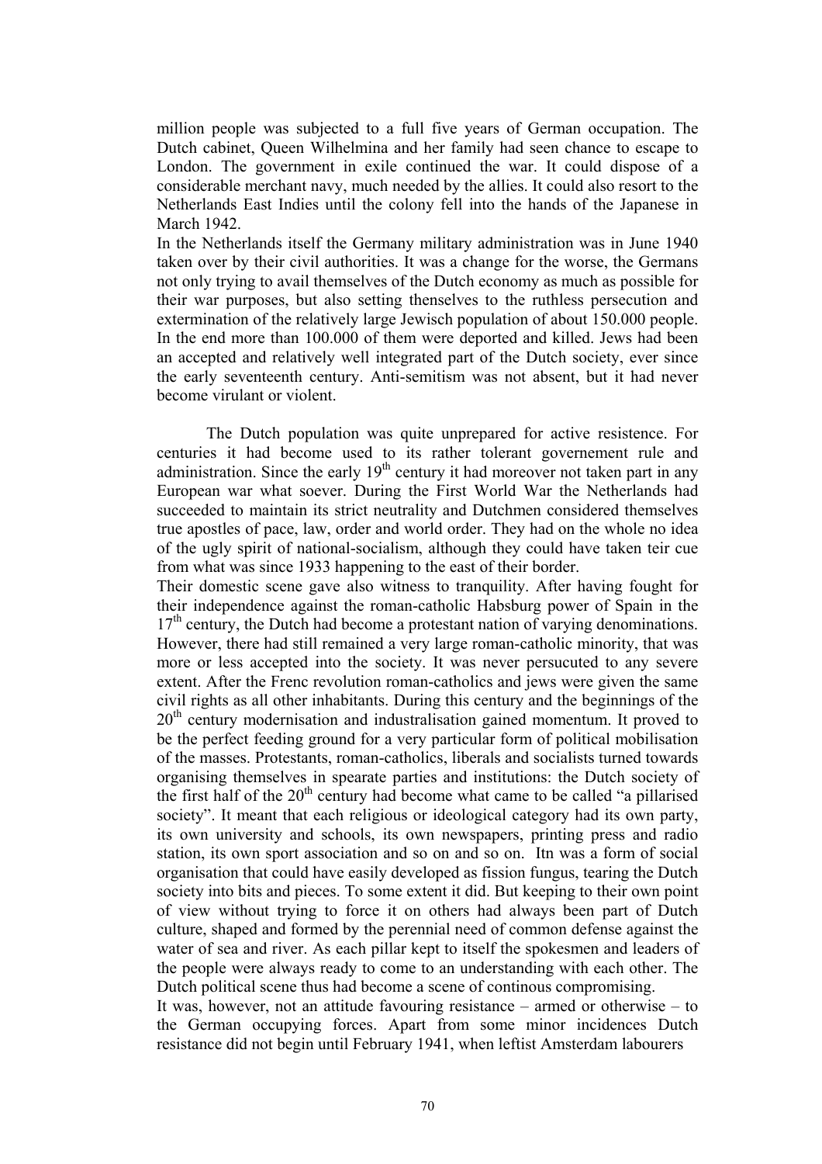million people was subjected to a full five years of German occupation. The Dutch cabinet, Queen Wilhelmina and her family had seen chance to escape to London. The government in exile continued the war. It could dispose of a considerable merchant navy, much needed by the allies. It could also resort to the Netherlands East Indies until the colony fell into the hands of the Japanese in March 1942.

In the Netherlands itself the Germany military administration was in June 1940 taken over by their civil authorities. It was a change for the worse, the Germans not only trying to avail themselves of the Dutch economy as much as possible for their war purposes, but also setting thenselves to the ruthless persecution and extermination of the relatively large Jewisch population of about 150.000 people. In the end more than 100.000 of them were deported and killed. Jews had been an accepted and relatively well integrated part of the Dutch society, ever since the early seventeenth century. Anti-semitism was not absent, but it had never become virulant or violent.

The Dutch population was quite unprepared for active resistence. For centuries it had become used to its rather tolerant governement rule and administration. Since the early  $19<sup>th</sup>$  century it had moreover not taken part in any European war what soever. During the First World War the Netherlands had succeeded to maintain its strict neutrality and Dutchmen considered themselves true apostles of pace, law, order and world order. They had on the whole no idea of the ugly spirit of national-socialism, although they could have taken teir cue from what was since 1933 happening to the east of their border.

Their domestic scene gave also witness to tranquility. After having fought for their independence against the roman-catholic Habsburg power of Spain in the  $17<sup>th</sup>$  century, the Dutch had become a protestant nation of varying denominations. However, there had still remained a very large roman-catholic minority, that was more or less accepted into the society. It was never persucuted to any severe extent. After the Frenc revolution roman-catholics and jews were given the same civil rights as all other inhabitants. During this century and the beginnings of the 20<sup>th</sup> century modernisation and industralisation gained momentum. It proved to be the perfect feeding ground for a very particular form of political mobilisation of the masses. Protestants, roman-catholics, liberals and socialists turned towards organising themselves in spearate parties and institutions: the Dutch society of the first half of the  $20<sup>th</sup>$  century had become what came to be called "a pillarised society". It meant that each religious or ideological category had its own party, its own university and schools, its own newspapers, printing press and radio station, its own sport association and so on and so on. Itn was a form of social organisation that could have easily developed as fission fungus, tearing the Dutch society into bits and pieces. To some extent it did. But keeping to their own point of view without trying to force it on others had always been part of Dutch culture, shaped and formed by the perennial need of common defense against the water of sea and river. As each pillar kept to itself the spokesmen and leaders of the people were always ready to come to an understanding with each other. The Dutch political scene thus had become a scene of continous compromising.

It was, however, not an attitude favouring resistance – armed or otherwise – to the German occupying forces. Apart from some minor incidences Dutch resistance did not begin until February 1941, when leftist Amsterdam labourers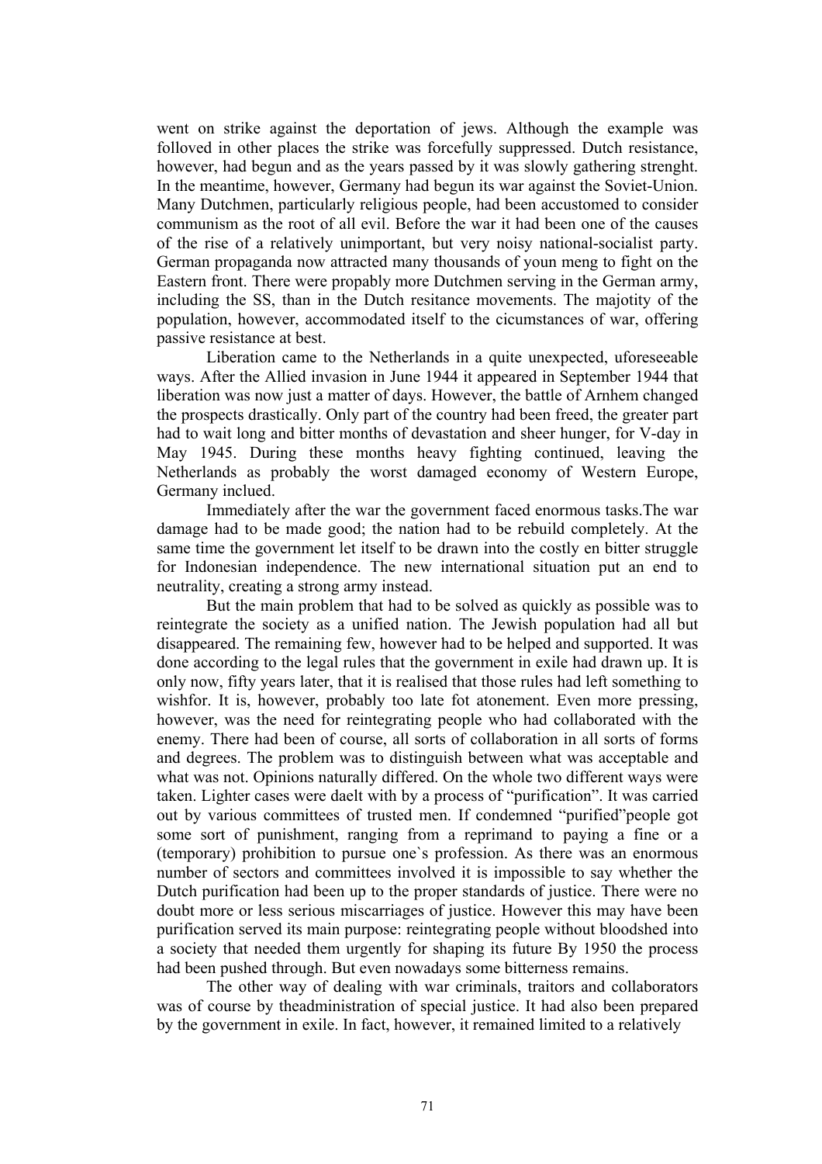went on strike against the deportation of jews. Although the example was folloved in other places the strike was forcefully suppressed. Dutch resistance, however, had begun and as the years passed by it was slowly gathering strenght. In the meantime, however, Germany had begun its war against the Soviet-Union. Many Dutchmen, particularly religious people, had been accustomed to consider communism as the root of all evil. Before the war it had been one of the causes of the rise of a relatively unimportant, but very noisy national-socialist party. German propaganda now attracted many thousands of youn meng to fight on the Eastern front. There were propably more Dutchmen serving in the German army, including the SS, than in the Dutch resitance movements. The majotity of the population, however, accommodated itself to the cicumstances of war, offering passive resistance at best.

Liberation came to the Netherlands in a quite unexpected, uforeseeable ways. After the Allied invasion in June 1944 it appeared in September 1944 that liberation was now just a matter of days. However, the battle of Arnhem changed the prospects drastically. Only part of the country had been freed, the greater part had to wait long and bitter months of devastation and sheer hunger, for V-day in May 1945. During these months heavy fighting continued, leaving the Netherlands as probably the worst damaged economy of Western Europe, Germany inclued.

Immediately after the war the government faced enormous tasks.The war damage had to be made good; the nation had to be rebuild completely. At the same time the government let itself to be drawn into the costly en bitter struggle for Indonesian independence. The new international situation put an end to neutrality, creating a strong army instead.

But the main problem that had to be solved as quickly as possible was to reintegrate the society as a unified nation. The Jewish population had all but disappeared. The remaining few, however had to be helped and supported. It was done according to the legal rules that the government in exile had drawn up. It is only now, fifty years later, that it is realised that those rules had left something to wishfor. It is, however, probably too late fot atonement. Even more pressing, however, was the need for reintegrating people who had collaborated with the enemy. There had been of course, all sorts of collaboration in all sorts of forms and degrees. The problem was to distinguish between what was acceptable and what was not. Opinions naturally differed. On the whole two different ways were taken. Lighter cases were daelt with by a process of "purification". It was carried out by various committees of trusted men. If condemned "purified"people got some sort of punishment, ranging from a reprimand to paying a fine or a (temporary) prohibition to pursue one`s profession. As there was an enormous number of sectors and committees involved it is impossible to say whether the Dutch purification had been up to the proper standards of justice. There were no doubt more or less serious miscarriages of justice. However this may have been purification served its main purpose: reintegrating people without bloodshed into a society that needed them urgently for shaping its future By 1950 the process had been pushed through. But even nowadays some bitterness remains.

The other way of dealing with war criminals, traitors and collaborators was of course by theadministration of special justice. It had also been prepared by the government in exile. In fact, however, it remained limited to a relatively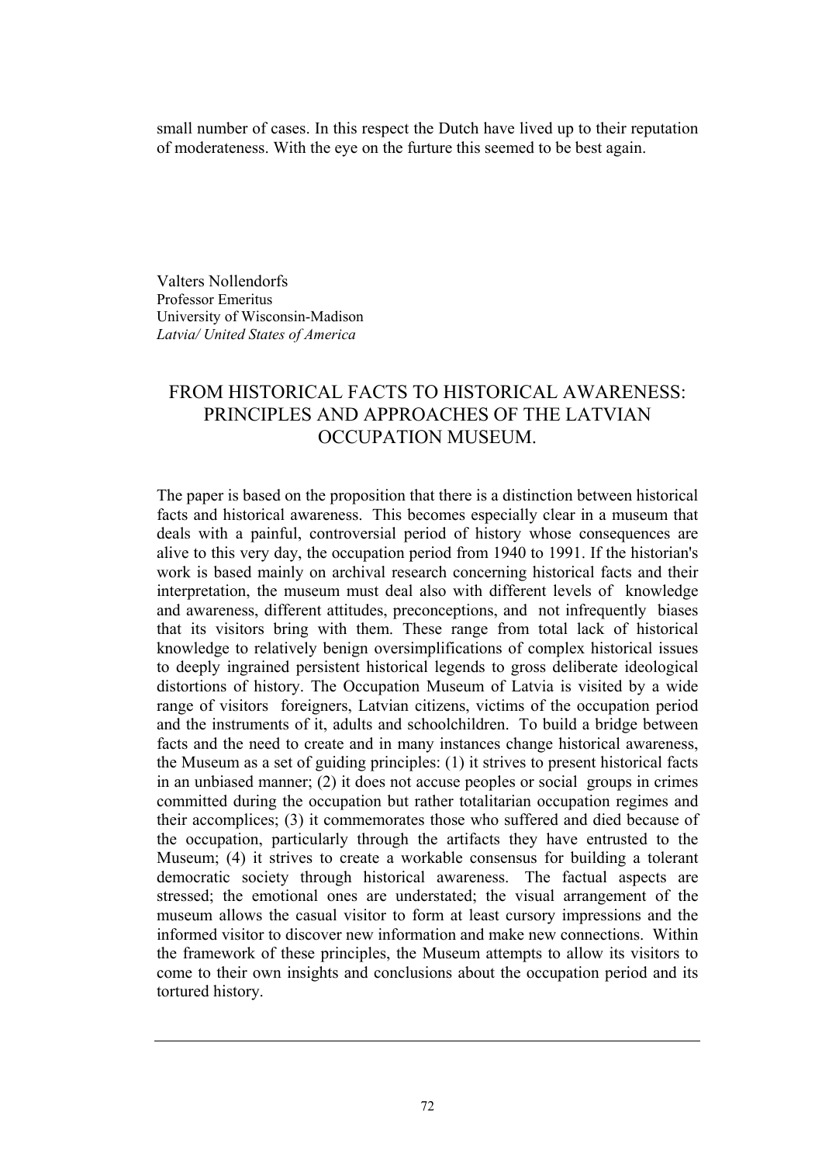small number of cases. In this respect the Dutch have lived up to their reputation of moderateness. With the eye on the furture this seemed to be best again.

Valters Nollendorfs Professor Emeritus University of Wisconsin-Madison *Latvia/ United States of America* 

# FROM HISTORICAL FACTS TO HISTORICAL AWARENESS: PRINCIPLES AND APPROACHES OF THE LATVIAN OCCUPATION MUSEUM.

The paper is based on the proposition that there is a distinction between historical facts and historical awareness. This becomes especially clear in a museum that deals with a painful, controversial period of history whose consequences are alive to this very day, the occupation period from 1940 to 1991. If the historian's work is based mainly on archival research concerning historical facts and their interpretation, the museum must deal also with different levels of knowledge and awareness, different attitudes, preconceptions, and not infrequently biases that its visitors bring with them. These range from total lack of historical knowledge to relatively benign oversimplifications of complex historical issues to deeply ingrained persistent historical legends to gross deliberate ideological distortions of history. The Occupation Museum of Latvia is visited by a wide range of visitors foreigners, Latvian citizens, victims of the occupation period and the instruments of it, adults and schoolchildren. To build a bridge between facts and the need to create and in many instances change historical awareness, the Museum as a set of guiding principles: (1) it strives to present historical facts in an unbiased manner; (2) it does not accuse peoples or social groups in crimes committed during the occupation but rather totalitarian occupation regimes and their accomplices; (3) it commemorates those who suffered and died because of the occupation, particularly through the artifacts they have entrusted to the Museum; (4) it strives to create a workable consensus for building a tolerant democratic society through historical awareness. The factual aspects are stressed; the emotional ones are understated; the visual arrangement of the museum allows the casual visitor to form at least cursory impressions and the informed visitor to discover new information and make new connections. Within the framework of these principles, the Museum attempts to allow its visitors to come to their own insights and conclusions about the occupation period and its tortured history.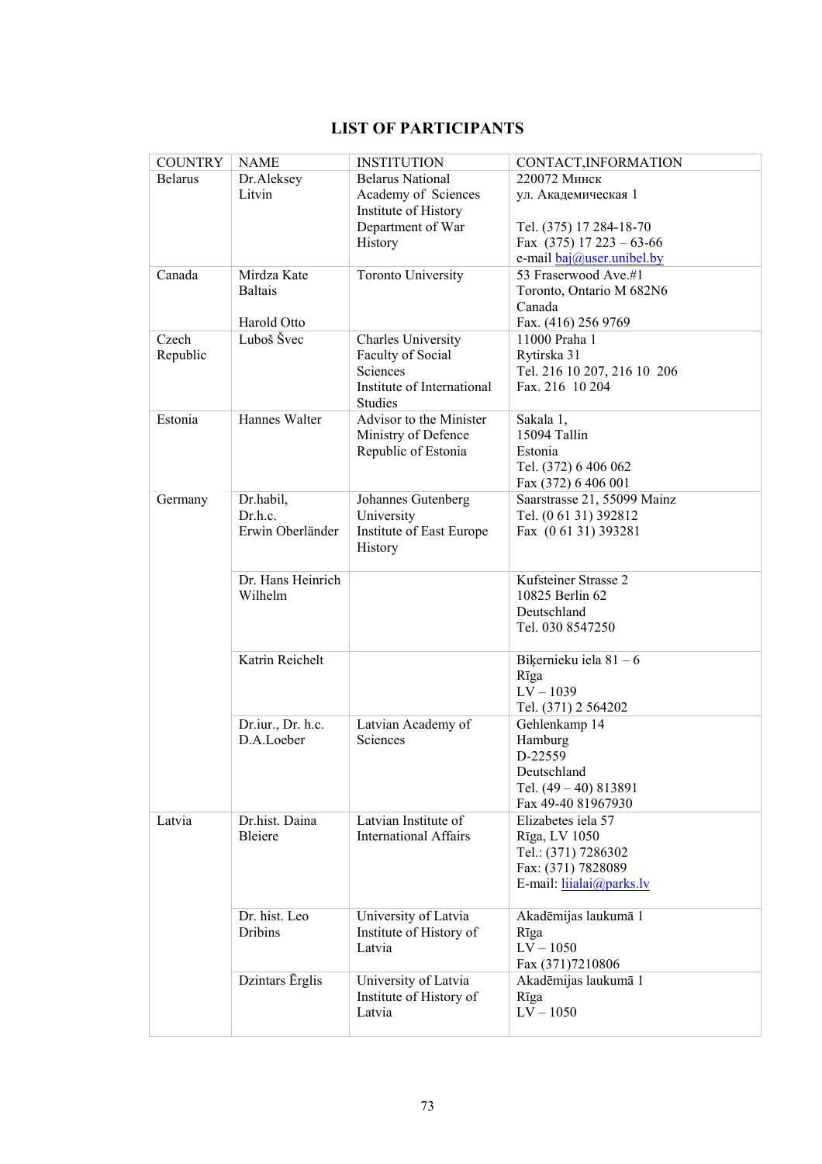# **LIST OF PARTICIPANTS**

| <b>COUNTRY</b> | <b>NAME</b>       | <b>INSTITUTION</b>                | CONTACT, INFORMATION                                 |
|----------------|-------------------|-----------------------------------|------------------------------------------------------|
| <b>Belarus</b> | Dr.Aleksey        | <b>Belarus National</b>           | 220072 Минск                                         |
|                | Litvin            | Academy of Sciences               | ул. Академическая 1                                  |
|                |                   | Institute of History              |                                                      |
|                |                   | Department of War                 | Tel. (375) 17 284-18-70                              |
|                |                   | History                           | Fax $(375)$ 17 223 - 63-66                           |
|                |                   |                                   | e-mail $\frac{\text{bai}(a)}{\text{user}}$ unibel.by |
| Canada         | Mirdza Kate       | Toronto University                | 53 Fraserwood Ave.#1                                 |
|                | <b>Baltais</b>    |                                   | Toronto, Ontario M 682N6                             |
|                |                   |                                   | Canada                                               |
|                | Harold Otto       |                                   | Fax. (416) 256 9769                                  |
| Czech          | Luboš Švec        | Charles University                | 11000 Praha 1                                        |
| Republic       |                   | Faculty of Social                 | Rytirska 31                                          |
|                |                   | Sciences                          | Tel. 216 10 207, 216 10 206                          |
|                |                   | Institute of International        | Fax. 216 10 204                                      |
|                |                   | <b>Studies</b>                    |                                                      |
| Estonia        | Hannes Walter     | Advisor to the Minister           | Sakala 1,                                            |
|                |                   | Ministry of Defence               | 15094 Tallin                                         |
|                |                   | Republic of Estonia               | Estonia                                              |
|                |                   |                                   | Tel. (372) 6 406 062                                 |
|                | Dr.habil,         | Johannes Gutenberg                | Fax (372) 6 406 001<br>Saarstrasse 21, 55099 Mainz   |
| Germany        | Dr.h.c.           | University                        | Tel. (0 61 31) 392812                                |
|                | Erwin Oberländer  | Institute of East Europe          | Fax (06131) 393281                                   |
|                |                   | History                           |                                                      |
|                |                   |                                   |                                                      |
|                | Dr. Hans Heinrich |                                   | Kufsteiner Strasse 2                                 |
|                | Wilhelm           |                                   | 10825 Berlin 62                                      |
|                |                   |                                   | Deutschland                                          |
|                |                   |                                   | Tel. 030 8547250                                     |
|                |                   |                                   |                                                      |
|                | Katrin Reichelt   |                                   | Biķernieku iela $81 - 6$                             |
|                |                   |                                   | Rīga                                                 |
|                |                   |                                   | $LV - 1039$                                          |
|                |                   |                                   | Tel. (371) 2 564202                                  |
|                | Dr.iur., Dr. h.c. | Latvian Academy of                | Gehlenkamp 14                                        |
|                | D.A.Loeber        | Sciences                          | Hamburg                                              |
|                |                   |                                   | D-22559                                              |
|                |                   |                                   | Deutschland                                          |
|                |                   |                                   | Tel. (49 - 40) 813891                                |
|                |                   |                                   | Fax 49-40 81967930                                   |
| Latvia         | Dr.hist. Daina    | Latvian Institute of              | Elizabetes iela 57                                   |
|                | Bleiere           | <b>International Affairs</b>      | Rīga, LV 1050                                        |
|                |                   |                                   | Tel.: (371) 7286302                                  |
|                |                   |                                   | Fax: (371) 7828089                                   |
|                |                   |                                   | E-mail: $liiala@parks.lv$                            |
|                |                   |                                   |                                                      |
|                | Dr. hist. Leo     | University of Latvia              | Akadēmijas laukumā 1                                 |
|                | <b>Dribins</b>    | Institute of History of           | Rīga                                                 |
|                |                   | Latvia                            | $LV - 1050$                                          |
|                |                   |                                   | Fax (371)7210806                                     |
|                | Dzintars Erglis   | University of Latvia              | Akadēmijas laukumā 1                                 |
|                |                   | Institute of History of<br>Latvia | Rīga<br>$LV - 1050$                                  |
|                |                   |                                   |                                                      |
|                |                   |                                   |                                                      |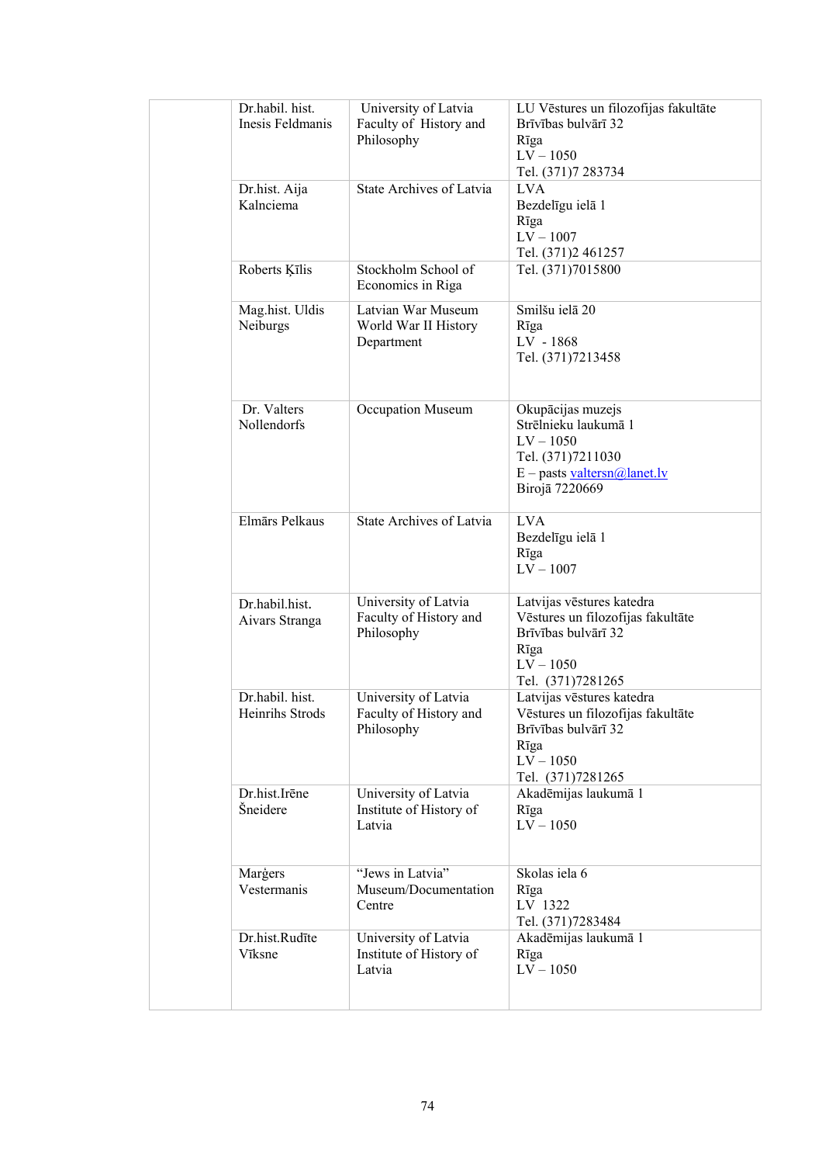|  | Dr.habil. hist.<br>Inesis Feldmanis | University of Latvia<br>Faculty of History and<br>Philosophy | LU Vēstures un filozofijas fakultāte<br>Brīvības bulvārī 32<br>Rīga<br>$LV - 1050$<br>Tel. (371)7 283734                                |
|--|-------------------------------------|--------------------------------------------------------------|-----------------------------------------------------------------------------------------------------------------------------------------|
|  | Dr.hist. Aija<br>Kalnciema          | <b>State Archives of Latvia</b>                              | <b>LVA</b><br>Bezdelīgu ielā 1<br>Rīga<br>$LV - 1007$<br>Tel. (371)2 461257                                                             |
|  | Roberts Ķīlis                       | Stockholm School of<br>Economics in Riga                     | Tel. (371)7015800                                                                                                                       |
|  | Mag.hist. Uldis<br>Neiburgs         | Latvian War Museum<br>World War II History<br>Department     | Smilšu ielā 20<br>Rīga<br>LV - 1868<br>Tel. (371)7213458                                                                                |
|  | Dr. Valters<br><b>Nollendorfs</b>   | Occupation Museum                                            | Okupācijas muzejs<br>Strēlnieku laukumā 1<br>$LV - 1050$<br>Tel. (371)7211030<br>$E$ – pasts <u>valtersn@lanet.lv</u><br>Birojā 7220669 |
|  | Elmārs Pelkaus                      | <b>State Archives of Latvia</b>                              | <b>LVA</b><br>Bezdelīgu ielā 1<br>Rīga<br>$LV - 1007$                                                                                   |
|  | Dr.habil.hist.<br>Aivars Stranga    | University of Latvia<br>Faculty of History and<br>Philosophy | Latvijas vēstures katedra<br>Vēstures un filozofijas fakultāte<br>Brīvības bulvārī 32<br>Rīga<br>$LV - 1050$<br>Tel. (371)7281265       |
|  | Dr.habil. hist.<br>Heinrihs Strods  | University of Latvia<br>Faculty of History and<br>Philosophy | Latvijas vēstures katedra<br>Vēstures un filozofijas fakultāte<br>Brīvības bulvārī 32<br>Rīga<br>$\rm LV-1050$<br>Tel. (371)7281265     |
|  | Dr.hist.Irene<br>Šneidere           | University of Latvia<br>Institute of History of<br>Latvia    | Akadēmijas laukumā 1<br>Rīga<br>$LV - 1050$                                                                                             |
|  | Margers<br>Vestermanis              | "Jews in Latvia"<br>Museum/Documentation<br>Centre           | Skolas iela 6<br>Rīga<br>LV 1322<br>Tel. (371)7283484                                                                                   |
|  | Dr.hist.Rudīte<br>Vīksne            | University of Latvia<br>Institute of History of<br>Latvia    | Akadēmijas laukumā 1<br>Rīga<br>$LV - 1050$                                                                                             |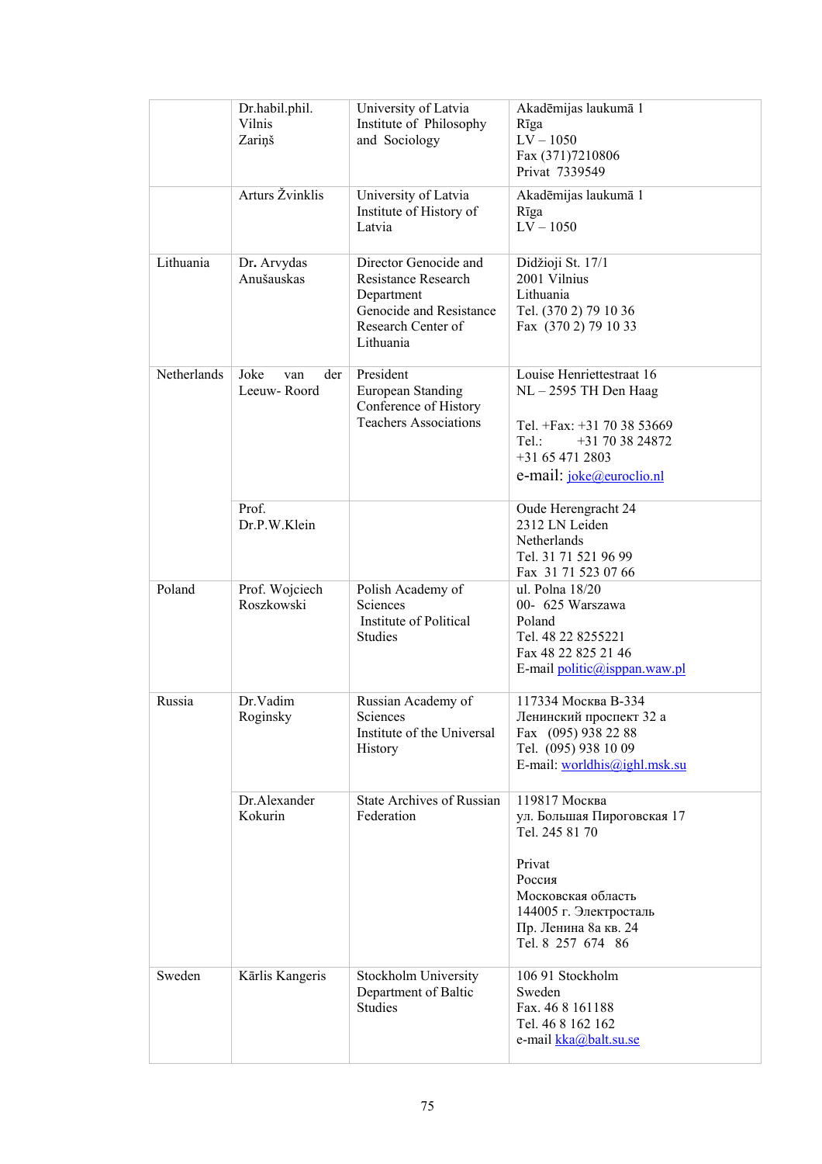|             | Dr.habil.phil.<br>Vilnis<br>Zariņš | University of Latvia<br>Institute of Philosophy<br>and Sociology                                                                | Akadēmijas laukumā 1<br>Rīga<br>$LV - 1050$<br>Fax (371)7210806<br>Privat 7339549                                                                                              |
|-------------|------------------------------------|---------------------------------------------------------------------------------------------------------------------------------|--------------------------------------------------------------------------------------------------------------------------------------------------------------------------------|
|             | Arturs Žvinklis                    | University of Latvia<br>Institute of History of<br>Latvia                                                                       | Akadēmijas laukumā 1<br>Rīga<br>$LV - 1050$                                                                                                                                    |
| Lithuania   | Dr. Arvydas<br>Anušauskas          | Director Genocide and<br><b>Resistance Research</b><br>Department<br>Genocide and Resistance<br>Research Center of<br>Lithuania | Didžioji St. 17/1<br>2001 Vilnius<br>Lithuania<br>Tel. (370 2) 79 10 36<br>Fax (370 2) 79 10 33                                                                                |
| Netherlands | Joke<br>der<br>van<br>Leeuw-Roord  | President<br>European Standing<br>Conference of History<br><b>Teachers Associations</b>                                         | Louise Henriettestraat 16<br>$NL - 2595$ TH Den Haag<br>Tel. $+Fx$ : $+31$ 70 38 53669<br>Tel:<br>+31 70 38 24872<br>$+31654712803$<br>e-mail: $joke@euroclio.nl$              |
|             | Prof.<br>Dr.P.W.Klein              |                                                                                                                                 | Oude Herengracht 24<br>2312 LN Leiden<br>Netherlands<br>Tel. 31 71 521 96 99<br>Fax 31 71 523 07 66                                                                            |
| Poland      | Prof. Wojciech<br>Roszkowski       | Polish Academy of<br><b>Sciences</b><br>Institute of Political<br><b>Studies</b>                                                | ul. Polna 18/20<br>00- 625 Warszawa<br>Poland<br>Tel. 48 22 8255221<br>Fax 48 22 825 21 46<br>E-mail politic@isppan.waw.pl                                                     |
| Russia      | Dr.Vadim<br>Roginsky               | Russian Academy of<br>Sciences<br>Institute of the Universal<br>History                                                         | 117334 Москва В-334<br>Ленинский проспект 32 а<br>Fax (095) 938 22 88<br>Tel. (095) 938 10 09<br>E-mail: worldhis@ighl.msk.su                                                  |
|             | Dr.Alexander<br>Kokurin            | <b>State Archives of Russian</b><br>Federation                                                                                  | 119817 Москва<br>ул. Большая Пироговская 17<br>Tel. 245 81 70<br>Privat<br>Россия<br>Московская область<br>144005 г. Электросталь<br>Пр. Ленина 8а кв. 24<br>Tel. 8 257 674 86 |
| Sweden      | Kārlis Kangeris                    | Stockholm University<br>Department of Baltic<br><b>Studies</b>                                                                  | 106 91 Stockholm<br>Sweden<br>Fax. 46 8 161188<br>Tel. 46 8 162 162<br>e-mail kka@balt.su.se                                                                                   |